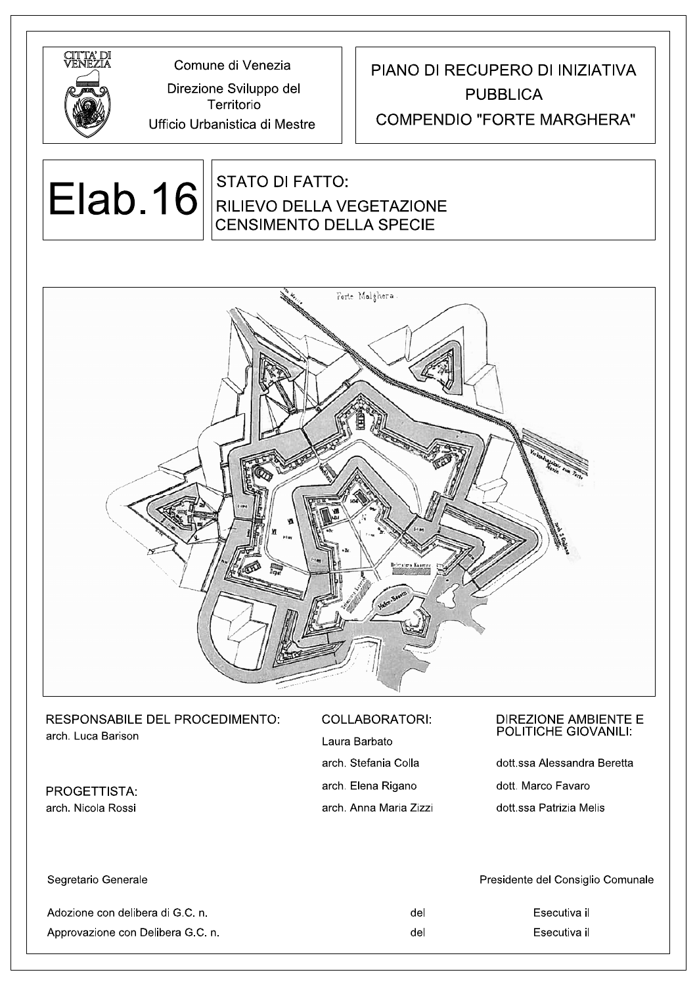

Comune di Venezia

Territorio Ufficio Urbanistica di Mestre

Direzione Sviluppo del

## PIANO DI RECUPERO DI INIZIATIVA **PUBBLICA**

#### **COMPENDIO "FORTE MARGHERA"**

# **Elab.16**

### **STATO DI FATTO: RILIEVO DELLA VEGETAZIONE CENSIMENTO DELLA SPECIE**



#### RESPONSABILE DEL PROCEDIMENTO: arch. Luca Barison

PROGETTISTA: arch. Nicola Rossi

#### **COLLABORATORI:**

Laura Barbato arch. Stefanja Colla arch. Elena Rigano arch. Anna Maria Zizzi

# DIREZIONE AMBIENTE E<br>POLITICHE GIOVANILI:

dott ssa Alessandra Beretta dott. Marco Favaro dott ssa Patrizia Melis

| Segretario Generale               |     | Presidente del Consiglio Comunale |
|-----------------------------------|-----|-----------------------------------|
| Adozione con delibera di G.C. n   | del | Esecutiva il                      |
| Approvazione con Delibera G.C. n. | del | Esecutiva il                      |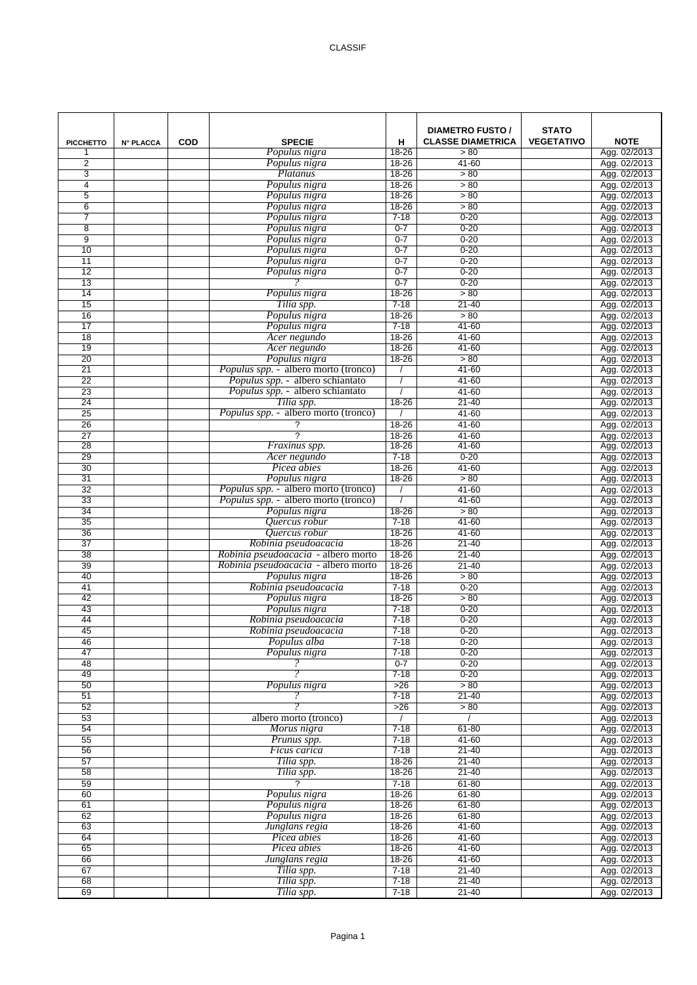| <b>PICCHETTO</b>    | <b>N° PLACCA</b> | <b>COD</b> | <b>SPECIE</b>                                      | н                     | <b>DIAMETRO FUSTO /</b><br><b>CLASSE DIAMETRICA</b> | <b>STATO</b><br><b>VEGETATIVO</b> | <b>NOTE</b>                  |
|---------------------|------------------|------------|----------------------------------------------------|-----------------------|-----------------------------------------------------|-----------------------------------|------------------------------|
| 1                   |                  |            | Populus nigra                                      | $18 - 26$             | > 80                                                |                                   | Agg. 02/2013                 |
| $\overline{2}$<br>3 |                  |            | Populus nigra<br>Platanus                          | 18-26<br>18-26        | $41 - 60$<br>> 80                                   |                                   | Agg. 02/2013<br>Agg. 02/2013 |
| 4                   |                  |            | Populus nigra                                      | 18-26                 | > 80                                                |                                   | Agg. 02/2013                 |
| 5                   |                  |            | Populus nigra                                      | 18-26                 | > 80                                                |                                   | Agg. 02/2013                 |
| 6                   |                  |            | Populus nigra                                      | 18-26                 | > 80                                                |                                   | Agg. 02/2013                 |
| 7                   |                  |            | Populus nigra                                      | $7 - 18$              | $0 - 20$                                            |                                   | Agg. 02/2013                 |
| 8                   |                  |            | Populus nigra                                      | $0 - 7$               | $0 - 20$                                            |                                   | Agg. 02/2013                 |
| 9                   |                  |            | Populus nigra                                      | $0 - 7$               | $0 - 20$                                            |                                   | Agg. 02/2013                 |
| 10                  |                  |            | Populus nigra                                      | $0 - 7$               | $0 - 20$                                            |                                   | Agg. 02/2013                 |
| 11                  |                  |            | Populus nigra                                      | $0 - 7$               | $0 - 20$                                            |                                   | Agg. 02/2013                 |
| 12                  |                  |            | Populus nigra                                      | $0 - 7$               | $0 - 20$                                            |                                   | Agg. 02/2013                 |
| 13<br>14            |                  |            | Populus nigra                                      | $0 - 7$<br>18-26      | $0 - 20$<br>> 80                                    |                                   | Agg. 02/2013<br>Agg. 02/2013 |
| 15                  |                  |            | Tilia spp.                                         | $7 - 18$              | 21-40                                               |                                   | Agg. 02/2013                 |
| 16                  |                  |            | Populus nigra                                      | $18 - 26$             | > 80                                                |                                   | Agg. 02/2013                 |
| 17                  |                  |            | Populus nigra                                      | $7 - 18$              | $41 - 60$                                           |                                   | Agg. 02/2013                 |
| 18                  |                  |            | Acer negundo                                       | 18-26                 | $41 - 60$                                           |                                   | Agg. 02/2013                 |
| 19                  |                  |            | Acer negundo                                       | 18-26                 | $41 - 60$                                           |                                   | Agg. 02/2013                 |
| $\overline{20}$     |                  |            | Populus nigra                                      | $18 - 26$             | > 80                                                |                                   | Agg. 02/2013                 |
| 21                  |                  |            | Populus spp. - albero morto (tronco)               |                       | $41 - 60$                                           |                                   | Agg. 02/2013                 |
| 22                  |                  |            | Populus spp. - albero schiantato                   |                       | $41 - 60$                                           |                                   | Agg. 02/2013                 |
| 23                  |                  |            | Populus spp. - albero schiantato                   |                       | $41 - 60$                                           |                                   | Agg. 02/2013                 |
| 24<br>25            |                  |            | Tilia spp.<br>Populus spp. - albero morto (tronco) | 18-26                 | $21 - 40$<br>$41 - 60$                              |                                   | Agg. 02/2013                 |
| 26                  |                  |            | ?                                                  | 18-26                 | 41-60                                               |                                   | Agg. 02/2013<br>Agg. 02/2013 |
| 27                  |                  |            | $\overline{?}$                                     | $18 - 26$             | 41-60                                               |                                   | Agg. 02/2013                 |
| 28                  |                  |            | Fraxinus spp.                                      | 18-26                 | 41-60                                               |                                   | Agg. 02/2013                 |
| 29                  |                  |            | Acer negundo                                       | $7 - 18$              | $0 - 20$                                            |                                   | Agg. 02/2013                 |
| 30                  |                  |            | Picea abies                                        | $18 - 26$             | $41 - 60$                                           |                                   | Agg. 02/2013                 |
| 31                  |                  |            | Populus nigra                                      | $18 - 26$             | > 80                                                |                                   | Agg. 02/2013                 |
| 32                  |                  |            | <i>Populus spp.</i> - albero morto (tronco)        |                       | $41 - 60$                                           |                                   | Agg. 02/2013                 |
| 33                  |                  |            | Populus spp. - albero morto (tronco)               |                       | $41 - 60$                                           |                                   | Agg. 02/2013                 |
| 34                  |                  |            | Populus nigra                                      | $18 - 26$<br>$7 - 18$ | > 80<br>$41 - 60$                                   |                                   | Agg. 02/2013                 |
| 35<br>36            |                  |            | Quercus robur<br>Quercus robur                     | $18 - 26$             | $41 - 60$                                           |                                   | Agg. 02/2013<br>Agg. 02/2013 |
| 37                  |                  |            | Robinia pseudoacacia                               | $18 - 26$             | $21 - 40$                                           |                                   | Agg. 02/2013                 |
| 38                  |                  |            | Robinia pseudoacacia - albero morto                | $18 - 26$             | $21 - 40$                                           |                                   | Agg. 02/2013                 |
| 39                  |                  |            | Robinia pseudoacacia - albero morto                | $18 - 26$             | $21 - 40$                                           |                                   | Agg. 02/2013                 |
| 40                  |                  |            | Populus nigra                                      | $18 - 26$             | > 80                                                |                                   | Agg. 02/2013                 |
| 41                  |                  |            | Robinia pseudoacacia                               | $7 - 18$              | $0 - 20$                                            |                                   | Agg. 02/2013                 |
| 42                  |                  |            | Populus nigra                                      | $18 - 26$             | > 80                                                |                                   | Agg. 02/2013                 |
| 43                  |                  |            | Populus nigra                                      | $7 - 18$              | $0 - 20$                                            |                                   | Agg. 02/2013                 |
| 44<br>45            |                  |            | Robinia pseudoacacia<br>Robinia pseudoacacia       | $7 - 18$<br>$7 - 18$  | $0 - 20$                                            |                                   | Agg. 02/2013                 |
| 46                  |                  |            | Populus alba                                       | $7 - 18$              | $0 - 20$<br>$0 - 20$                                |                                   | Agg. 02/2013<br>Agg. 02/2013 |
| 47                  |                  |            | Populus nigra                                      | $7 - 18$              | $0 - 20$                                            |                                   | Agg. 02/2013                 |
| 48                  |                  |            |                                                    | $0 - 7$               | $0 - 20$                                            |                                   | Agg. 02/2013                 |
| 49                  |                  |            |                                                    | $7 - 18$              | $0 - 20$                                            |                                   | Agg. 02/2013                 |
| 50                  |                  |            | Populus nigra                                      | $>26$                 | > 80                                                |                                   | Agg. 02/2013                 |
| 51                  |                  |            | 2                                                  | $7 - 18$              | $21 - 40$                                           |                                   | Agg. 02/2013                 |
| 52                  |                  |            |                                                    | >26                   | > 80                                                |                                   | Agg. 02/2013                 |
| 53                  |                  |            | albero morto (tronco)                              | $\prime$              |                                                     |                                   | Agg. 02/2013                 |
| 54                  |                  |            | Morus nigra                                        | $7 - 18$<br>$7 - 18$  | 61-80<br>$41 - 60$                                  |                                   | Agg. 02/2013<br>Agg. 02/2013 |
| 55<br>56            |                  |            | Prunus spp.<br>Ficus carica                        | $7 - 18$              | $21 - 40$                                           |                                   | Agg. 02/2013                 |
| 57                  |                  |            | Tilia spp.                                         | $18 - 26$             | $21 - 40$                                           |                                   | Agg. 02/2013                 |
| 58                  |                  |            | Tilia spp.                                         | $18 - 26$             | $21 - 40$                                           |                                   | Agg. 02/2013                 |
| 59                  |                  |            | $\overline{\phantom{0}}$                           | $7 - 18$              | $61 - 80$                                           |                                   | Agg. 02/2013                 |
| 60                  |                  |            | Populus nigra                                      | $18 - 26$             | $61 - 80$                                           |                                   | Agg. 02/2013                 |
| 61                  |                  |            | Populus nigra                                      | $18 - 26$             | $61 - 80$                                           |                                   | Agg. 02/2013                 |
| 62                  |                  |            | Populus nigra                                      | $18 - 26$             | $61 - 80$                                           |                                   | Agg. 02/2013                 |
| 63                  |                  |            | Junglans regia                                     | $18 - 26$             | $41 - 60$                                           |                                   | Agg. 02/2013                 |
| 64                  |                  |            | Picea abies                                        | $18 - 26$             | $41 - 60$                                           |                                   | Agg. 02/2013                 |
| 65<br>66            |                  |            | Picea abies                                        | $18 - 26$             | $41 - 60$<br>$41 - 60$                              |                                   | Agg. 02/2013                 |
| 67                  |                  |            | Junglans regia<br>Tilia spp.                       | $18 - 26$<br>$7 - 18$ | $21 - 40$                                           |                                   | Agg. 02/2013<br>Agg. 02/2013 |
| 68                  |                  |            | Tilia spp.                                         | $7 - 18$              | $21 - 40$                                           |                                   | Agg. 02/2013                 |
| 69                  |                  |            | Tilia spp.                                         | $7 - 18$              | $21 - 40$                                           |                                   | Agg. 02/2013                 |
|                     |                  |            |                                                    |                       |                                                     |                                   |                              |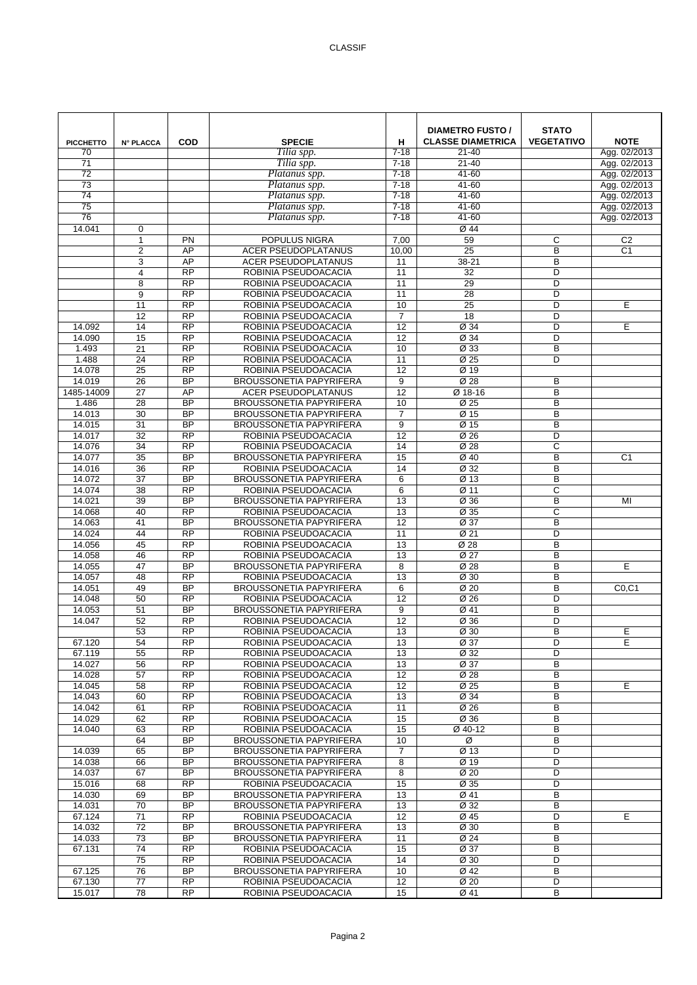| <b>PICCHETTO</b>    | <b>N° PLACCA</b>      | <b>COD</b>                   | <b>SPECIE</b>                                                | н               | <b>DIAMETRO FUSTO /</b><br><b>CLASSE DIAMETRICA</b> | <b>STATO</b><br><b>VEGETATIVO</b> | <b>NOTE</b>          |
|---------------------|-----------------------|------------------------------|--------------------------------------------------------------|-----------------|-----------------------------------------------------|-----------------------------------|----------------------|
| 70                  |                       |                              | Tilia spp.                                                   | $7 - 18$        | $21 - 40$                                           |                                   | Agg. 02/2013         |
| 71                  |                       |                              | Tilia spp.                                                   | $7 - 18$        | $21 - 40$                                           |                                   | Agg. 02/2013         |
| 72                  |                       |                              | Platanus spp.                                                | $7 - 18$        | $41 - 60$                                           |                                   | Agg. 02/2013         |
| 73                  |                       |                              | Platanus spp.                                                | $7 - 18$        | $41 - 60$                                           |                                   | Agg. 02/2013         |
| $\overline{74}$     |                       |                              | Platanus spp.                                                | $7 - 18$        | $41 - 60$                                           |                                   | Agg. 02/2013         |
| 75                  |                       |                              | Platanus spp.                                                | $7 - 18$        | 41-60                                               |                                   | Agg. 02/2013         |
| 76                  |                       |                              | Platanus spp.                                                | $7 - 18$        | 41-60                                               |                                   | Agg. 02/2013         |
| 14.041              | $\mathbf 0$           |                              | <b>POPULUS NIGRA</b>                                         |                 | Ø 44                                                |                                   |                      |
|                     | $\mathbf{1}$<br>2     | PN<br>AP                     | <b>ACER PSEUDOPLATANUS</b>                                   | 7,00<br>10,00   | 59<br>25                                            | C<br>B                            | C <sub>2</sub><br>C1 |
|                     | 3                     | AP                           | <b>ACER PSEUDOPLATANUS</b>                                   | 11              | 38-21                                               | B                                 |                      |
|                     | 4                     | <b>RP</b>                    | ROBINIA PSEUDOACACIA                                         | 11              | 32                                                  | D                                 |                      |
|                     | 8                     | <b>RP</b>                    | ROBINIA PSEUDOACACIA                                         | 11              | 29                                                  | $\overline{D}$                    |                      |
|                     | 9                     | $\overline{RP}$              | ROBINIA PSEUDOACACIA                                         | 11              | 28                                                  | D                                 |                      |
|                     | 11                    | <b>RP</b>                    | ROBINIA PSEUDOACACIA                                         | 10              | 25                                                  | D                                 | Е                    |
|                     | 12                    | <b>RP</b>                    | ROBINIA PSEUDOACACIA                                         | $\overline{7}$  | 18                                                  | D                                 |                      |
| 14.092              | 14                    | $\overline{RP}$              | ROBINIA PSEUDOACACIA                                         | $\overline{12}$ | Ø 34                                                | D                                 | Е                    |
| 14.090              | 15                    | <b>RP</b>                    | ROBINIA PSEUDOACACIA                                         | 12              | Ø 34                                                | D                                 |                      |
| 1.493               | 21                    | $\overline{RP}$              | ROBINIA PSEUDOACACIA                                         | 10              | $\overline{\emptyset}$ 33                           | B                                 |                      |
| 1.488               | 24                    | <b>RP</b>                    | ROBINIA PSEUDOACACIA                                         | 11              | Ø 25                                                | D                                 |                      |
| 14.078              | 25                    | <b>RP</b>                    | ROBINIA PSEUDOACACIA                                         | 12              | Ø 19                                                |                                   |                      |
| 14.019              | 26                    | <b>BP</b>                    | <b>BROUSSONETIA PAPYRIFERA</b>                               | 9               | Ø 28                                                | В                                 |                      |
| 1485-14009<br>1.486 | 27<br>28              | AP<br><b>BP</b>              | <b>ACER PSEUDOPLATANUS</b><br><b>BROUSSONETIA PAPYRIFERA</b> | 12<br>10        | Ø 18-16<br>Ø 25                                     | B<br>B                            |                      |
| 14.013              | $\overline{30}$       | $\overline{BP}$              | <b>BROUSSONETIA PAPYRIFERA</b>                               | $\overline{7}$  | Ø 15                                                | B                                 |                      |
| 14.015              | 31                    | <b>BP</b>                    | <b>BROUSSONETIA PAPYRIFERA</b>                               | 9               | Ø 15                                                | B                                 |                      |
| 14.017              | 32                    | <b>RP</b>                    | ROBINIA PSEUDOACACIA                                         | 12              | Ø 26                                                | D                                 |                      |
| 14.076              | 34                    | <b>RP</b>                    | ROBINIA PSEUDOACACIA                                         | 14              | Ø 28                                                | C                                 |                      |
| 14.077              | 35                    | $\overline{BP}$              | BROUSSONETIA PAPYRIFERA                                      | 15              | Ø 40                                                | B                                 | C1                   |
| 14.016              | $\overline{36}$       | $\overline{RP}$              | ROBINIA PSEUDOACACIA                                         | 14              | $\overline{\emptyset}$ 32                           | B                                 |                      |
| 14.072              | 37                    | <b>BP</b>                    | <b>BROUSSONETIA PAPYRIFERA</b>                               | 6               | Ø 13                                                | B                                 |                      |
| 14.074              | 38                    | <b>RP</b>                    | ROBINIA PSEUDOACACIA                                         | 6               | Ø 11                                                | $\overline{c}$                    |                      |
| 14.021              | 39                    | <b>BP</b>                    | BROUSSONETIA PAPYRIFERA                                      | 13              | Ø 36                                                | B                                 | MI                   |
| 14.068              | 40                    | $\overline{RP}$              | ROBINIA PSEUDOACACIA                                         | 13              | Ø 35                                                | C                                 |                      |
| 14.063              | 41                    | <b>BP</b>                    | <b>BROUSSONETIA PAPYRIFERA</b>                               | 12              | $\overline{\emptyset}$ 37                           | B                                 |                      |
| 14.024              | 44                    | <b>RP</b>                    | ROBINIA PSEUDOACACIA                                         | 11              | Ø 21                                                | D                                 |                      |
| 14.056              | 45                    | $\overline{RP}$              | ROBINIA PSEUDOACACIA                                         | 13              | Ø 28                                                | B                                 |                      |
| 14.058<br>14.055    | 46<br>47              | <b>RP</b><br><b>BP</b>       | ROBINIA PSEUDOACACIA<br><b>BROUSSONETIA PAPYRIFERA</b>       | 13<br>8         | Ø 27<br>$\overline{\emptyset}$ 28                   | B<br>B                            | E                    |
| 14.057              | 48                    | $\overline{RP}$              | ROBINIA PSEUDOACACIA                                         | 13              | $\overline{\varnothing}$ 30                         | B                                 |                      |
| 14.051              | 49                    | <b>BP</b>                    | <b>BROUSSONETIA PAPYRIFERA</b>                               | 6               | Ø 20                                                | B                                 | CO, C1               |
| 14.048              | 50                    | <b>RP</b>                    | ROBINIA PSEUDOACACIA                                         | 12              | Ø 26                                                | D                                 |                      |
| 14.053              | 51                    | <b>BP</b>                    | BROUSSONETIA PAPYRIFERA                                      | 9               | Ø 41                                                | B                                 |                      |
| 14.047              | 52                    | <b>RP</b>                    | ROBINIA PSEUDOACACIA                                         | 12              | Ø 36                                                | D                                 |                      |
|                     | 53                    | <b>RP</b>                    | ROBINIA PSEUDOACACIA                                         | 13              | Ø 30                                                | B                                 | Е                    |
| 67.120              | 54                    | <b>RP</b>                    | ROBINIA PSEUDOACACIA                                         | 13              | Ø 37                                                | D                                 | Е                    |
| 67.119              | 55                    | <b>RP</b>                    | ROBINIA PSEUDOACACIA                                         | 13              | Ø 32                                                | D                                 |                      |
| 14.027              | 56                    | <b>RP</b>                    | ROBINIA PSEUDOACACIA                                         | 13              | Ø 37                                                | B                                 |                      |
| 14.028              | 57                    | <b>RP</b>                    | ROBINIA PSEUDOACACIA                                         | 12              | Ø 28                                                | B                                 |                      |
| 14.045              | 58                    | $\overline{RP}$              | ROBINIA PSEUDOACACIA                                         | 12              | Ø 25                                                | В                                 | E                    |
| 14.043<br>14.042    | 60<br>61              | $\overline{RP}$<br><b>RP</b> | ROBINIA PSEUDOACACIA<br>ROBINIA PSEUDOACACIA                 | 13<br>11        | Ø 34<br>Ø 26                                        | В<br>В                            |                      |
| 14.029              | 62                    | <b>RP</b>                    | ROBINIA PSEUDOACACIA                                         | 15              | Ø 36                                                | B                                 |                      |
| 14.040              | 63                    | <b>RP</b>                    | ROBINIA PSEUDOACACIA                                         | 15              | Ø 40-12                                             | В                                 |                      |
|                     | 64                    | <b>BP</b>                    | BROUSSONETIA PAPYRIFERA                                      | 10              | Ø                                                   | B                                 |                      |
| 14.039              | 65                    | BP                           | <b>BROUSSONETIA PAPYRIFERA</b>                               | 7               | Ø 13                                                | D                                 |                      |
| 14.038              | 66                    | <b>BP</b>                    | <b>BROUSSONETIA PAPYRIFERA</b>                               | 8               | Ø 19                                                | D                                 |                      |
| 14.037              | 67                    | BP                           | <b>BROUSSONETIA PAPYRIFERA</b>                               | 8               | Ø 20                                                | D                                 |                      |
| 15.016              | 68                    | <b>RP</b>                    | ROBINIA PSEUDOACACIA                                         | 15              | Ø 35                                                | D                                 |                      |
| 14.030              | 69                    | BP                           | <b>BROUSSONETIA PAPYRIFERA</b>                               | 13              | Ø 41                                                | B                                 |                      |
| 14.031              | 70                    | $\overline{BP}$              | <b>BROUSSONETIA PAPYRIFERA</b>                               | 13              | $\overline{\emptyset}$ 32                           | B                                 |                      |
| 67.124              | 71                    | <b>RP</b>                    | ROBINIA PSEUDOACACIA                                         | 12              | Ø 45                                                | D                                 | E                    |
| 14.032              | 72                    | BP                           | BROUSSONETIA PAPYRIFERA                                      | 13              | Ø 30                                                | В                                 |                      |
| 14.033              | 73                    | <b>BP</b><br>$\overline{RP}$ | <b>BROUSSONETIA PAPYRIFERA</b>                               | 11              | Ø 24                                                | B<br>B                            |                      |
| 67.131              | 74<br>$\overline{75}$ | $\overline{RP}$              | ROBINIA PSEUDOACACIA<br>ROBINIA PSEUDOACACIA                 | 15<br>14        | Ø 37<br>Ø 30                                        | D                                 |                      |
| 67.125              | 76                    | BP                           | BROUSSONETIA PAPYRIFERA                                      | 10              | Ø 42                                                | B                                 |                      |
| 67.130              | 77                    | <b>RP</b>                    | ROBINIA PSEUDOACACIA                                         | 12              | Ø 20                                                | D                                 |                      |
| 15.017              | 78                    | <b>RP</b>                    | ROBINIA PSEUDOACACIA                                         | 15              | Ø 41                                                | B                                 |                      |
|                     |                       |                              |                                                              |                 |                                                     |                                   |                      |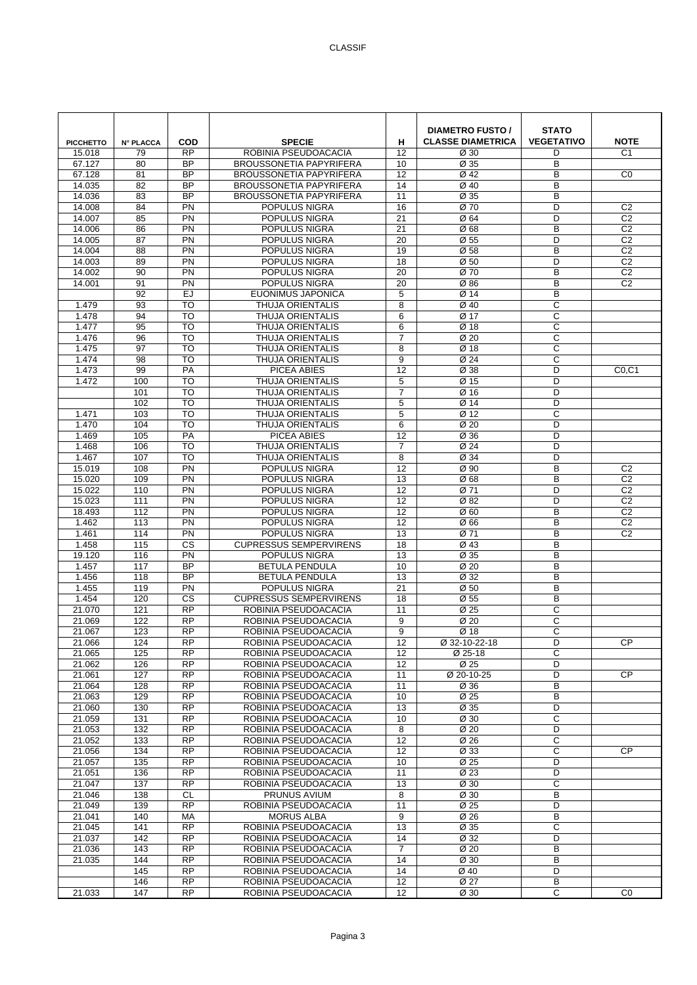| <b>PICCHETTO</b> | <b>N° PLACCA</b> | COD                    | <b>SPECIE</b>                                                    | н                   | <b>DIAMETRO FUSTO /</b><br><b>CLASSE DIAMETRICA</b> | <b>STATO</b><br><b>VEGETATIVO</b> | <b>NOTE</b>                      |
|------------------|------------------|------------------------|------------------------------------------------------------------|---------------------|-----------------------------------------------------|-----------------------------------|----------------------------------|
| 15.018           | 79               | <b>RP</b>              | ROBINIA PSEUDOACACIA                                             | 12                  | Ø 30                                                | D                                 | C <sub>1</sub>                   |
| 67.127<br>67.128 | 80<br>81         | <b>BP</b><br><b>BP</b> | <b>BROUSSONETIA PAPYRIFERA</b><br><b>BROUSSONETIA PAPYRIFERA</b> | 10<br>12            | Ø 35<br>Ø 42                                        | B<br>B                            | C <sub>0</sub>                   |
| 14.035           | 82               | <b>BP</b>              | <b>BROUSSONETIA PAPYRIFERA</b>                                   | 14                  | Ø 40                                                | B                                 |                                  |
| 14.036           | 83               | <b>BP</b>              | <b>BROUSSONETIA PAPYRIFERA</b>                                   | 11                  | Ø 35                                                | B                                 |                                  |
| 14.008           | 84               | PN                     | POPULUS NIGRA                                                    | 16                  | Ø 70                                                | D                                 | C <sub>2</sub>                   |
| 14.007           | 85               | PN                     | POPULUS NIGRA                                                    | 21                  | Ø 64                                                | D                                 | C <sub>2</sub>                   |
| 14.006           | 86               | PN                     | POPULUS NIGRA                                                    | 21                  | Ø68                                                 | B                                 | C <sub>2</sub>                   |
| 14.005           | 87               | PN                     | POPULUS NIGRA                                                    | 20                  | Ø 55                                                | D                                 | C <sub>2</sub>                   |
| 14.004<br>14.003 | 88<br>89         | PN<br>PN               | POPULUS NIGRA<br>POPULUS NIGRA                                   | 19<br>18            | Ø 58<br>Ø 50                                        | B<br>D                            | C <sub>2</sub><br>C <sub>2</sub> |
| 14.002           | 90               | PN                     | POPULUS NIGRA                                                    | 20                  | Ø 70                                                | B                                 | C <sub>2</sub>                   |
| 14.001           | 91               | PN                     | POPULUS NIGRA                                                    | 20                  | Ø86                                                 | B                                 | C <sub>2</sub>                   |
|                  | 92               | EJ                     | EUONIMUS JAPONICA                                                | 5                   | Ø 14                                                | B                                 |                                  |
| 1.479            | 93               | <b>TO</b>              | <b>THUJA ORIENTALIS</b>                                          | 8                   | Ø 40                                                | C                                 |                                  |
| 1.478            | 94               | <b>TO</b>              | THUJA ORIENTALIS                                                 | 6                   | Ø 17                                                | С                                 |                                  |
| 1.477            | 95               | <b>TO</b>              | THUJA ORIENTALIS                                                 | 6                   | Ø 18                                                | C                                 |                                  |
| 1.476            | 96               | <b>TO</b>              | THUJA ORIENTALIS                                                 | $\overline{7}$      | Ø 20                                                | C                                 |                                  |
| 1.475<br>1.474   | 97<br>98         | TO<br><b>TO</b>        | THUJA ORIENTALIS<br><b>THUJA ORIENTALIS</b>                      | 8<br>9              | Ø 18<br>Ø 24                                        | C<br>C                            |                                  |
| 1.473            | 99               | PA                     | PICEA ABIES                                                      | 12                  | Ø 38                                                | D                                 | CO, C1                           |
| 1.472            | 100              | <b>TO</b>              | THUJA ORIENTALIS                                                 | 5                   | Ø 15                                                | D                                 |                                  |
|                  | 101              | <b>TO</b>              | <b>THUJA ORIENTALIS</b>                                          | $\overline{7}$      | Ø 16                                                | D                                 |                                  |
|                  | 102              | <b>TO</b>              | <b>THUJA ORIENTALIS</b>                                          | $\overline{5}$      | Ø 14                                                | D                                 |                                  |
| 1.471            | 103              | <b>TO</b>              | <b>THUJA ORIENTALIS</b>                                          | 5                   | Ø 12                                                | C                                 |                                  |
| 1.470            | 104              | <b>TO</b>              | THUJA ORIENTALIS                                                 | 6                   | Ø 20                                                | D                                 |                                  |
| 1.469            | 105              | PA                     | PICEA ABIES                                                      | 12                  | Ø 36                                                | D                                 |                                  |
| 1.468<br>1.467   | 106<br>107       | <b>TO</b><br><b>TO</b> | <b>THUJA ORIENTALIS</b><br>THUJA ORIENTALIS                      | $\overline{7}$<br>8 | Ø 24<br>Ø 34                                        | D<br>D                            |                                  |
| 15.019           | 108              | PN                     | POPULUS NIGRA                                                    | 12                  | Ø 90                                                | B                                 | C <sub>2</sub>                   |
| 15.020           | 109              | PN                     | POPULUS NIGRA                                                    | 13                  | Ø68                                                 | B                                 | C <sub>2</sub>                   |
| 15.022           | 110              | PN                     | POPULUS NIGRA                                                    | 12                  | Ø 71                                                | D                                 | C <sub>2</sub>                   |
| 15.023           | 111              | PN                     | POPULUS NIGRA                                                    | 12                  | Ø 82                                                | D                                 | C <sub>2</sub>                   |
| 18.493           | 112              | PN                     | POPULUS NIGRA                                                    | 12                  | Ø <sub>60</sub>                                     | B                                 | C <sub>2</sub>                   |
| 1.462            | 113              | PN                     | POPULUS NIGRA                                                    | 12                  | Ø 66                                                | B                                 | C <sub>2</sub>                   |
| 1.461<br>1.458   | 114<br>115       | PN<br><b>CS</b>        | POPULUS NIGRA<br><b>CUPRESSUS SEMPERVIRENS</b>                   | 13<br>18            | Ø 71<br>Ø 43                                        | B<br>B                            | C <sub>2</sub>                   |
| 19.120           | 116              | PN                     | POPULUS NIGRA                                                    | 13                  | Ø 35                                                | B                                 |                                  |
| 1.457            | 117              | <b>BP</b>              | <b>BETULA PENDULA</b>                                            | 10                  | Ø <sub>20</sub>                                     | B                                 |                                  |
| 1.456            | 118              | <b>BP</b>              | <b>BETULA PENDULA</b>                                            | 13                  | Ø 32                                                | B                                 |                                  |
| 1.455            | 119              | PN                     | POPULUS NIGRA                                                    | 21                  | Ø <sub>50</sub>                                     | B                                 |                                  |
| 1.454            | 120              | <b>CS</b>              | <b>CUPRESSUS SEMPERVIRENS</b>                                    | 18                  | Ø 55                                                | B                                 |                                  |
| 21.070           | 121              | <b>RP</b>              | ROBINIA PSEUDOACACIA                                             | 11                  | Ø 25                                                | C                                 |                                  |
| 21.069<br>21.067 | 122<br>123       | <b>RP</b><br>RP        | ROBINIA PSEUDOACACIA<br>ROBINIA PSEUDOACACIA                     | 9<br>9              | Ø <sub>20</sub><br>Ø 18                             | C<br>C                            |                                  |
| 21.066           | 124              | <b>RP</b>              | ROBINIA PSEUDOACACIA                                             | 12                  | Ø 32-10-22-18                                       | D                                 | CP                               |
| 21.065           | 125              | <b>RP</b>              | ROBINIA PSEUDOACACIA                                             | 12                  | $\overline{\emptyset}$ 25-18                        | С                                 |                                  |
| 21.062           | 126              | <b>RP</b>              | ROBINIA PSEUDOACACIA                                             | 12                  | Ø 25                                                | D                                 |                                  |
| 21.061           | 127              | <b>RP</b>              | ROBINIA PSEUDOACACIA                                             | 11                  | Ø 20-10-25                                          | D                                 | <b>CP</b>                        |
| 21.064           | 128              | <b>RP</b>              | ROBINIA PSEUDOACACIA                                             | 11                  | Ø 36                                                | В                                 |                                  |
| 21.063           | 129              | $\overline{RP}$        | ROBINIA PSEUDOACACIA                                             | 10                  | Ø 25                                                | B                                 |                                  |
| 21.060<br>21.059 | 130<br>131       | <b>RP</b><br><b>RP</b> | ROBINIA PSEUDOACACIA<br>ROBINIA PSEUDOACACIA                     | 13<br>10            | Ø 35<br>Ø 30                                        | D<br>C                            |                                  |
| 21.053           | 132              | <b>RP</b>              | ROBINIA PSEUDOACACIA                                             | 8                   | Ø 20                                                | D                                 |                                  |
| 21.052           | 133              | <b>RP</b>              | ROBINIA PSEUDOACACIA                                             | 12                  | Ø 26                                                | $\overline{c}$                    |                                  |
| 21.056           | 134              | $\overline{RP}$        | ROBINIA PSEUDOACACIA                                             | 12                  | Ø 33                                                | С                                 | CP                               |
| 21.057           | 135              | <b>RP</b>              | ROBINIA PSEUDOACACIA                                             | 10                  | Ø 25                                                | D                                 |                                  |
| 21.051           | 136              | <b>RP</b>              | ROBINIA PSEUDOACACIA                                             | 11                  | Ø 23                                                | D                                 |                                  |
| 21.047           | 137              | <b>RP</b>              | ROBINIA PSEUDOACACIA                                             | 13                  | Ø 30                                                | $\mathsf C$<br>B                  |                                  |
| 21.046<br>21.049 | 138<br>139       | CL<br>$\overline{RP}$  | PRUNUS AVIUM<br>ROBINIA PSEUDOACACIA                             | 8<br>11             | Ø 30<br>Ø 25                                        | D                                 |                                  |
| 21.041           | 140              | MA                     | <b>MORUS ALBA</b>                                                | 9                   | Ø 26                                                | B                                 |                                  |
| 21.045           | 141              | <b>RP</b>              | ROBINIA PSEUDOACACIA                                             | 13                  | Ø 35                                                | $\mathsf C$                       |                                  |
| 21.037           | 142              | <b>RP</b>              | ROBINIA PSEUDOACACIA                                             | 14                  | Ø 32                                                | D                                 |                                  |
| 21.036           | 143              | <b>RP</b>              | ROBINIA PSEUDOACACIA                                             | $\overline{7}$      | Ø 20                                                | B                                 |                                  |
| 21.035           | 144              | $\overline{RP}$        | ROBINIA PSEUDOACACIA                                             | 14                  | Ø 30                                                | B                                 |                                  |
|                  | 145              | <b>RP</b>              | ROBINIA PSEUDOACACIA                                             | 14                  | Ø 40                                                | D                                 |                                  |
|                  | 146<br>147       | <b>RP</b><br><b>RP</b> | ROBINIA PSEUDOACACIA                                             | 12                  | Ø 27                                                | В<br>$\mathsf{C}$                 |                                  |
| 21.033           |                  |                        | ROBINIA PSEUDOACACIA                                             | 12                  | Ø 30                                                |                                   | C <sub>0</sub>                   |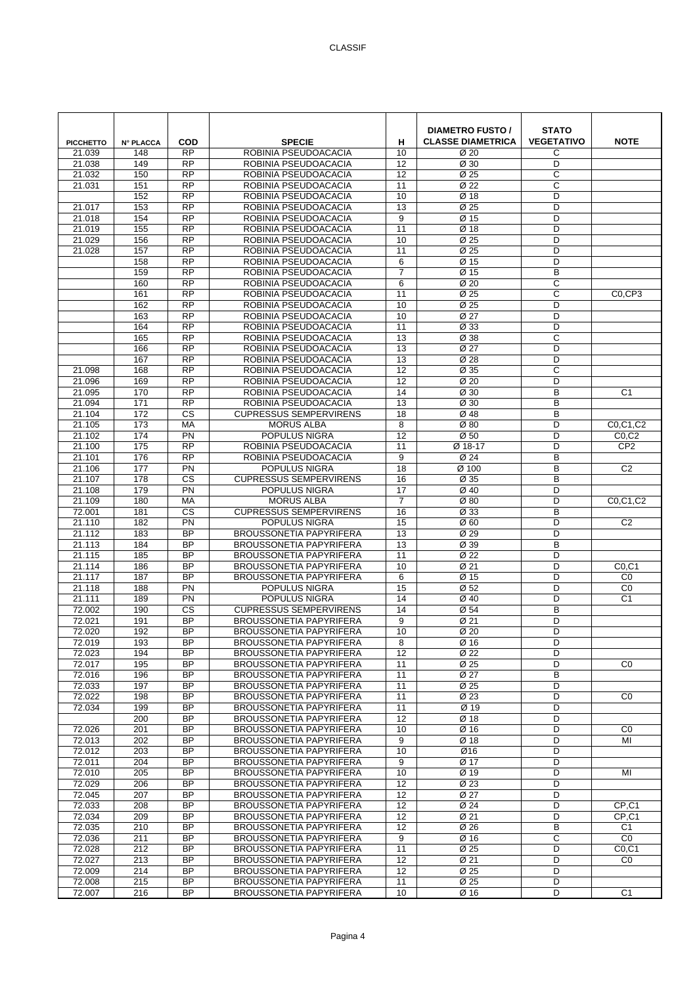| <b>PICCHETTO</b><br>21.039 | <b>N° PLACCA</b><br>148 | <b>COD</b><br><b>RP</b>            | <b>SPECIE</b><br>ROBINIA PSEUDOACACIA                            | н<br>10               | <b>DIAMETRO FUSTO /</b><br><b>CLASSE DIAMETRICA</b><br>Ø 20 | <b>STATO</b><br><b>VEGETATIVO</b><br>C | <b>NOTE</b>                    |
|----------------------------|-------------------------|------------------------------------|------------------------------------------------------------------|-----------------------|-------------------------------------------------------------|----------------------------------------|--------------------------------|
| 21.038                     | 149                     | <b>RP</b>                          | ROBINIA PSEUDOACACIA                                             | 12                    | Ø 30                                                        | D                                      |                                |
| 21.032                     | 150                     | <b>RP</b>                          | ROBINIA PSEUDOACACIA                                             | 12                    | Ø 25                                                        | C                                      |                                |
| 21.031                     | 151                     | RP                                 | ROBINIA PSEUDOACACIA                                             | 11                    | Ø 22                                                        | C                                      |                                |
|                            | 152                     | <b>RP</b>                          | ROBINIA PSEUDOACACIA                                             | 10                    | Ø 18                                                        | D                                      |                                |
| 21.017                     | 153                     | <b>RP</b>                          | ROBINIA PSEUDOACACIA                                             | 13                    | Ø 25                                                        | D                                      |                                |
| 21.018                     | 154                     | <b>RP</b>                          | ROBINIA PSEUDOACACIA                                             | 9                     | Ø 15                                                        | D                                      |                                |
| 21.019                     | 155                     | $\overline{RP}$                    | ROBINIA PSEUDOACACIA                                             | 11                    | Ø 18                                                        | D                                      |                                |
| 21.029                     | 156                     | $\overline{RP}$                    | ROBINIA PSEUDOACACIA                                             | 10                    | $\overline{\emptyset}$ 25                                   | D                                      |                                |
| 21.028                     | 157<br>158              | <b>RP</b><br><b>RP</b>             | ROBINIA PSEUDOACACIA<br>ROBINIA PSEUDOACACIA                     | 11<br>6               | Ø 25<br>Ø 15                                                | D<br>D                                 |                                |
|                            | 159                     | <b>RP</b>                          | ROBINIA PSEUDOACACIA                                             | $\overline{7}$        | Ø 15                                                        | B                                      |                                |
|                            | 160                     | <b>RP</b>                          | ROBINIA PSEUDOACACIA                                             | 6                     | Ø <sub>20</sub>                                             | C                                      |                                |
|                            | 161                     | $\overline{RP}$                    | ROBINIA PSEUDOACACIA                                             | 11                    | Ø 25                                                        | C                                      | C <sub>0</sub> CP <sub>3</sub> |
|                            | 162                     | $\overline{RP}$                    | ROBINIA PSEUDOACACIA                                             | 10                    | Ø 25                                                        | D                                      |                                |
|                            | 163                     | <b>RP</b>                          | ROBINIA PSEUDOACACIA                                             | 10                    | Ø 27                                                        | D                                      |                                |
|                            | 164                     | <b>RP</b>                          | ROBINIA PSEUDOACACIA                                             | 11                    | Ø 33                                                        | D                                      |                                |
|                            | 165                     | <b>RP</b>                          | ROBINIA PSEUDOACACIA                                             | 13                    | Ø 38                                                        | C                                      |                                |
|                            | 166                     | $\overline{RP}$                    | ROBINIA PSEUDOACACIA                                             | 13                    | $\overline{\emptyset$ 27                                    | D                                      |                                |
|                            | 167                     | <b>RP</b>                          | ROBINIA PSEUDOACACIA                                             | 13                    | Ø 28                                                        | D                                      |                                |
| 21.098                     | 168                     | <b>RP</b>                          | ROBINIA PSEUDOACACIA                                             | 12                    | Ø 35                                                        | C                                      |                                |
| 21.096                     | 169                     | <b>RP</b>                          | ROBINIA PSEUDOACACIA                                             | 12                    | Ø <sub>20</sub>                                             | D                                      |                                |
| 21.095                     | 170                     | <b>RP</b><br><b>RP</b>             | ROBINIA PSEUDOACACIA                                             | 14<br>$\overline{13}$ | Ø 30                                                        | B<br>B                                 | C <sub>1</sub>                 |
| 21.094<br>21.104           | 171<br>172              | CS                                 | ROBINIA PSEUDOACACIA<br><b>CUPRESSUS SEMPERVIRENS</b>            | 18                    | Ø 30<br>Ø 48                                                | B                                      |                                |
| 21.105                     | 173                     | <b>MA</b>                          | <b>MORUS ALBA</b>                                                | 8                     | Ø80                                                         | D                                      | C0,C1,C2                       |
| 21.102                     | 174                     | PN                                 | POPULUS NIGRA                                                    | 12                    | Ø 50                                                        | D                                      | CO, C2                         |
| 21.100                     | 175                     | <b>RP</b>                          | ROBINIA PSEUDOACACIA                                             | 11                    | Ø 18-17                                                     | D                                      | CP <sub>2</sub>                |
| 21.101                     | 176                     | $\overline{RP}$                    | ROBINIA PSEUDOACACIA                                             | 9                     | $\overline{\emptyset}$ 24                                   | B                                      |                                |
| 21.106                     | 177                     | $\overline{PN}$                    | POPULUS NIGRA                                                    | 18                    | Ø 100                                                       | B                                      | C <sub>2</sub>                 |
| 21.107                     | 178                     | <b>CS</b>                          | <b>CUPRESSUS SEMPERVIRENS</b>                                    | 16                    | Ø 35                                                        | B                                      |                                |
| 21.108                     | 179                     | <b>PN</b>                          | POPULUS NIGRA                                                    | 17                    | Ø 40                                                        | D                                      |                                |
| 21.109                     | 180                     | MA                                 | <b>MORUS ALBA</b>                                                | $\overline{7}$        | Ø80                                                         | D                                      | C0,C1,C2                       |
| 72.001                     | 181                     | $\overline{\text{cs}}$             | <b>CUPRESSUS SEMPERVIRENS</b>                                    | 16                    | Ø 33                                                        | B                                      |                                |
| 21.110                     | 182                     | PN                                 | POPULUS NIGRA                                                    | 15                    | Ø 60                                                        | D                                      | C <sub>2</sub>                 |
| 21.112                     | 183                     | <b>BP</b>                          | <b>BROUSSONETIA PAPYRIFERA</b>                                   | 13                    | Ø 29                                                        | D                                      |                                |
| 21.113                     | 184                     | <b>BP</b>                          | <b>BROUSSONETIA PAPYRIFERA</b>                                   | 13                    | Ø 39                                                        | B                                      |                                |
| 21.115<br>21.114           | 185<br>186              | <b>BP</b><br>$\overline{BP}$       | <b>BROUSSONETIA PAPYRIFERA</b><br><b>BROUSSONETIA PAPYRIFERA</b> | 11<br>10              | Ø 22<br>Ø 21                                                | D<br>D                                 | CO, C1                         |
| 21.117                     | 187                     | <b>BP</b>                          | <b>BROUSSONETIA PAPYRIFERA</b>                                   | 6                     | Ø 15                                                        | D                                      | C <sub>0</sub>                 |
| 21.118                     | 188                     | <b>PN</b>                          | POPULUS NIGRA                                                    | 15                    | Ø 52                                                        | D                                      | C <sub>0</sub>                 |
| 21.111                     | 189                     | <b>PN</b>                          | POPULUS NIGRA                                                    | 14                    | Ø 40                                                        | D                                      | C <sub>1</sub>                 |
| 72.002                     | 190                     | CS                                 | <b>CUPRESSUS SEMPERVIRENS</b>                                    | 14                    | Ø 54                                                        | В                                      |                                |
| 72.021                     | 191                     | <b>BP</b>                          | <b>BROUSSONETIA PAPYRIFERA</b>                                   | 9                     | Ø 21                                                        | D                                      |                                |
| 72.020                     | 192                     | <b>BP</b>                          | <b>BROUSSONETIA PAPYRIFERA</b>                                   | 10                    | Ø 20                                                        | D                                      |                                |
| 72.019                     | 193                     | <b>BP</b>                          | <b>BROUSSONETIA PAPYRIFERA</b>                                   | 8                     | Ø 16                                                        | D                                      |                                |
| 72.023                     | 194                     | <b>BP</b>                          | <b>BROUSSONETIA PAPYRIFERA</b>                                   | 12                    | Ø 22                                                        | D                                      |                                |
| 72.017                     | 195                     | <b>BP</b>                          | <b>BROUSSONETIA PAPYRIFERA</b>                                   | 11                    | Ø 25                                                        | D                                      | CO                             |
| 72.016                     | 196                     | <b>BP</b>                          | <b>BROUSSONETIA PAPYRIFERA</b>                                   | 11                    | Ø 27                                                        | B                                      |                                |
| 72.033                     | 197                     | $\overline{BP}$<br>$\overline{BP}$ | <b>BROUSSONETIA PAPYRIFERA</b><br><b>BROUSSONETIA PAPYRIFERA</b> | 11                    | Ø 25                                                        | D                                      |                                |
| 72.022<br>72.034           | 198<br>199              | <b>BP</b>                          | <b>BROUSSONETIA PAPYRIFERA</b>                                   | 11<br>11              | Ø 23<br>Ø 19                                                | D<br>D                                 | CO                             |
|                            | 200                     | <b>BP</b>                          | <b>BROUSSONETIA PAPYRIFERA</b>                                   | 12                    | Ø 18                                                        | D                                      |                                |
| 72.026                     | 201                     | <b>BP</b>                          | <b>BROUSSONETIA PAPYRIFERA</b>                                   | 10                    | Ø 16                                                        | D                                      | C <sub>0</sub>                 |
| 72.013                     | 202                     | <b>BP</b>                          | <b>BROUSSONETIA PAPYRIFERA</b>                                   | 9                     | Ø 18                                                        | D                                      | MI                             |
| 72.012                     | 203                     | BP                                 | <b>BROUSSONETIA PAPYRIFERA</b>                                   | 10                    | Ø16                                                         | D                                      |                                |
| 72.011                     | 204                     | <b>BP</b>                          | <b>BROUSSONETIA PAPYRIFERA</b>                                   | 9                     | Ø 17                                                        | D                                      |                                |
| 72.010                     | 205                     | <b>BP</b>                          | <b>BROUSSONETIA PAPYRIFERA</b>                                   | 10                    | Ø 19                                                        | D                                      | MI                             |
| 72.029                     | 206                     | <b>BP</b>                          | BROUSSONETIA PAPYRIFERA                                          | 12                    | Ø 23                                                        | D                                      |                                |
| 72.045                     | 207                     | $\overline{BP}$                    | <b>BROUSSONETIA PAPYRIFERA</b>                                   | 12                    | Ø 27                                                        | D                                      |                                |
| 72.033                     | 208                     | $\overline{BP}$                    | <b>BROUSSONETIA PAPYRIFERA</b>                                   | 12                    | Ø 24                                                        | D                                      | $CP$ , $C1$                    |
| 72.034                     | 209                     | <b>BP</b>                          | <b>BROUSSONETIA PAPYRIFERA</b>                                   | 12                    | Ø 21                                                        | D                                      | CP,C1                          |
| 72.035                     | 210                     | <b>BP</b>                          | BROUSSONETIA PAPYRIFERA                                          | 12                    | Ø 26                                                        | В                                      | C1                             |
| 72.036                     | 211                     | <b>BP</b><br>$\overline{BP}$       | <b>BROUSSONETIA PAPYRIFERA</b>                                   | 9                     | Ø 16                                                        | C<br>D                                 | CO                             |
| 72.028<br>72.027           | 212<br>213              | $\overline{BP}$                    | <b>BROUSSONETIA PAPYRIFERA</b><br><b>BROUSSONETIA PAPYRIFERA</b> | 11<br>$\overline{12}$ | Ø 25<br>Ø 21                                                | D                                      | CO, C1<br>CO                   |
| 72.009                     | 214                     | BP                                 | <b>BROUSSONETIA PAPYRIFERA</b>                                   | 12                    | Ø 25                                                        | D                                      |                                |
| 72.008                     | 215                     | <b>BP</b>                          | <b>BROUSSONETIA PAPYRIFERA</b>                                   | 11                    | Ø 25                                                        | D                                      |                                |
| 72.007                     | 216                     | <b>BP</b>                          | <b>BROUSSONETIA PAPYRIFERA</b>                                   | 10                    | Ø 16                                                        | D                                      | C <sub>1</sub>                 |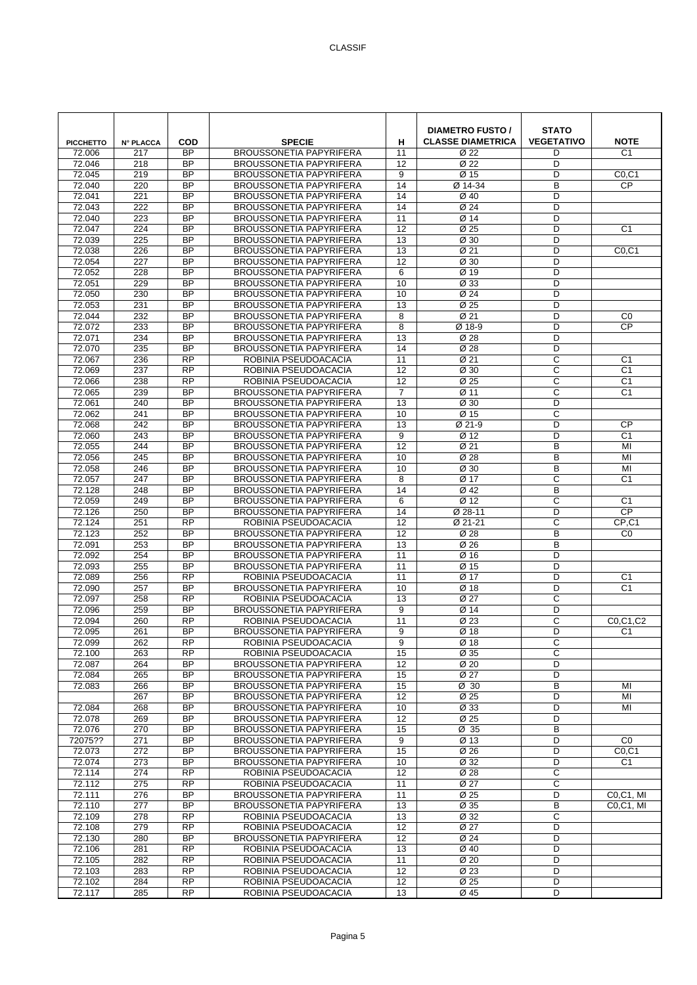| <b>PICCHETTO</b> | <b>N° PLACCA</b> | <b>COD</b>                   | <b>SPECIE</b>                                                    | н               | <b>DIAMETRO FUSTO /</b><br><b>CLASSE DIAMETRICA</b> | <b>STATO</b><br><b>VEGETATIVO</b> | <b>NOTE</b>    |
|------------------|------------------|------------------------------|------------------------------------------------------------------|-----------------|-----------------------------------------------------|-----------------------------------|----------------|
| 72.006           | 217              | <b>BP</b>                    | <b>BROUSSONETIA PAPYRIFERA</b>                                   | 11              | Ø 22                                                | D                                 | C <sub>1</sub> |
| 72.046<br>72.045 | 218<br>219       | <b>BP</b><br><b>BP</b>       | <b>BROUSSONETIA PAPYRIFERA</b><br><b>BROUSSONETIA PAPYRIFERA</b> | 12<br>9         | Ø 22<br>Ø 15                                        | D<br>D                            | CO, C1         |
| 72.040           | 220              | <b>BP</b>                    | <b>BROUSSONETIA PAPYRIFERA</b>                                   | 14              | Ø 14-34                                             | B                                 | <b>CP</b>      |
| 72.041           | 221              | <b>BP</b>                    | <b>BROUSSONETIA PAPYRIFERA</b>                                   | 14              | Ø 40                                                | D                                 |                |
| 72.043           | 222              | <b>BP</b>                    | <b>BROUSSONETIA PAPYRIFERA</b>                                   | 14              | $\varnothing$ 24                                    | D                                 |                |
| 72.040           | 223              | <b>BP</b>                    | <b>BROUSSONETIA PAPYRIFERA</b>                                   | 11              | Ø 14                                                | D                                 |                |
| 72.047           | $\overline{224}$ | $\overline{BP}$              | <b>BROUSSONETIA PAPYRIFERA</b>                                   | 12              | Ø 25                                                | D                                 | C <sub>1</sub> |
| 72.039           | 225              | <b>BP</b>                    | <b>BROUSSONETIA PAPYRIFERA</b>                                   | $\overline{13}$ | Ø 30                                                | D                                 |                |
| 72.038<br>72.054 | 226<br>227       | <b>BP</b><br><b>BP</b>       | <b>BROUSSONETIA PAPYRIFERA</b><br><b>BROUSSONETIA PAPYRIFERA</b> | 13<br>12        | Ø 21<br>Ø 30                                        | D<br>D                            | CO, C1         |
| 72.052           | 228              | <b>BP</b>                    | BROUSSONETIA PAPYRIFERA                                          | 6               | Ø 19                                                | D                                 |                |
| 72.051           | 229              | <b>BP</b>                    | <b>BROUSSONETIA PAPYRIFERA</b>                                   | 10              | Ø 33                                                | D                                 |                |
| 72.050           | 230              | <b>BP</b>                    | <b>BROUSSONETIA PAPYRIFERA</b>                                   | 10              | Ø 24                                                | D                                 |                |
| 72.053           | 231              | <b>BP</b>                    | <b>BROUSSONETIA PAPYRIFERA</b>                                   | 13              | Ø 25                                                | D                                 |                |
| 72.044           | 232              | <b>BP</b>                    | <b>BROUSSONETIA PAPYRIFERA</b>                                   | 8               | Ø 21                                                | D                                 | CO             |
| 72.072           | 233              | <b>BP</b>                    | <b>BROUSSONETIA PAPYRIFERA</b>                                   | 8               | Ø 18-9                                              | D                                 | <b>CP</b>      |
| 72.071           | 234              | <b>BP</b>                    | <b>BROUSSONETIA PAPYRIFERA</b>                                   | 13              | Ø 28                                                | D                                 |                |
| 72.070<br>72.067 | 235<br>236       | <b>BP</b><br><b>RP</b>       | <b>BROUSSONETIA PAPYRIFERA</b><br>ROBINIA PSEUDOACACIA           | 14<br>11        | Ø 28<br>Ø 21                                        | D<br>$\mathsf{C}$                 | C <sub>1</sub> |
| 72.069           | 237              | <b>RP</b>                    | ROBINIA PSEUDOACACIA                                             | 12              | Ø 30                                                | C                                 | C <sub>1</sub> |
| 72.066           | 238              | $\overline{RP}$              | ROBINIA PSEUDOACACIA                                             | 12              | Ø 25                                                | C                                 | C <sub>1</sub> |
| 72.065           | 239              | <b>BP</b>                    | <b>BROUSSONETIA PAPYRIFERA</b>                                   | $\overline{7}$  | Ø 11                                                | C                                 | C <sub>1</sub> |
| 72.061           | 240              | <b>BP</b>                    | <b>BROUSSONETIA PAPYRIFERA</b>                                   | 13              | Ø 30                                                | D                                 |                |
| 72.062           | 241              | <b>BP</b>                    | <b>BROUSSONETIA PAPYRIFERA</b>                                   | 10              | Ø 15                                                | С                                 |                |
| 72.068           | 242              | <b>BP</b>                    | <b>BROUSSONETIA PAPYRIFERA</b>                                   | 13              | Ø 21-9                                              | D                                 | <b>CP</b>      |
| 72.060           | 243              | <b>BP</b>                    | <b>BROUSSONETIA PAPYRIFERA</b>                                   | 9               | Ø 12                                                | D                                 | C <sub>1</sub> |
| 72.055<br>72.056 | 244<br>245       | <b>BP</b><br><b>BP</b>       | <b>BROUSSONETIA PAPYRIFERA</b><br><b>BROUSSONETIA PAPYRIFERA</b> | 12<br>10        | Ø 21<br>Ø 28                                        | B<br>B                            | MI<br>MI       |
| 72.058           | 246              | <b>BP</b>                    | <b>BROUSSONETIA PAPYRIFERA</b>                                   | 10              | Ø 30                                                | B                                 | MI             |
| 72.057           | 247              | <b>BP</b>                    | <b>BROUSSONETIA PAPYRIFERA</b>                                   | 8               | Ø 17                                                | C                                 | C <sub>1</sub> |
| 72.128           | 248              | <b>BP</b>                    | <b>BROUSSONETIA PAPYRIFERA</b>                                   | 14              | Ø 42                                                | B                                 |                |
| 72.059           | 249              | <b>BP</b>                    | <b>BROUSSONETIA PAPYRIFERA</b>                                   | 6               | Ø 12                                                | C                                 | C <sub>1</sub> |
| 72.126           | 250              | <b>BP</b>                    | <b>BROUSSONETIA PAPYRIFERA</b>                                   | 14              | Ø 28-11                                             | D                                 | <b>CP</b>      |
| 72.124           | 251              | RP                           | ROBINIA PSEUDOACACIA                                             | 12              | Ø 21-21                                             | C                                 | $CP$ , $C1$    |
| 72.123           | 252              | <b>BP</b>                    | <b>BROUSSONETIA PAPYRIFERA</b>                                   | 12              | Ø 28                                                | B                                 | CO             |
| 72.091<br>72.092 | 253<br>254       | <b>BP</b><br><b>BP</b>       | <b>BROUSSONETIA PAPYRIFERA</b><br><b>BROUSSONETIA PAPYRIFERA</b> | 13<br>11        | Ø 26<br>Ø 16                                        | B<br>D                            |                |
| 72.093           | 255              | $\overline{BP}$              | <b>BROUSSONETIA PAPYRIFERA</b>                                   | 11              | Ø 15                                                | D                                 |                |
| 72.089           | 256              | $\overline{RP}$              | ROBINIA PSEUDOACACIA                                             | 11              | Ø 17                                                | D                                 | C <sub>1</sub> |
| 72.090           | 257              | <b>BP</b>                    | <b>BROUSSONETIA PAPYRIFERA</b>                                   | 10              | Ø 18                                                | D                                 | C <sub>1</sub> |
| 72.097           | 258              | <b>RP</b>                    | ROBINIA PSEUDOACACIA                                             | 13              | Ø 27                                                | C                                 |                |
| 72.096           | 259              | <b>BP</b>                    | <b>BROUSSONETIA PAPYRIFERA</b>                                   | 9               | Ø 14                                                | D                                 |                |
| 72.094           | 260              | <b>RP</b>                    | ROBINIA PSEUDOACACIA                                             | 11              | Ø 23                                                | C                                 | C0,C1,C2       |
| 72.095<br>72.099 | 261<br>262       | <b>BP</b><br><b>RP</b>       | <b>BROUSSONETIA PAPYRIFERA</b><br>ROBINIA PSEUDOACACIA           | 9<br>9          | Ø 18<br>Ø 18                                        | D<br>C                            | C <sub>1</sub> |
| 72.100           | 263              | <b>RP</b>                    | ROBINIA PSEUDOACACIA                                             | 15              | Ø 35                                                | С                                 |                |
| 72.087           | 264              | <b>BP</b>                    | <b>BROUSSONETIA PAPYRIFERA</b>                                   | 12              | Ø 20                                                | D                                 |                |
| 72.084           | 265              | <b>BP</b>                    | <b>BROUSSONETIA PAPYRIFERA</b>                                   | 15              | Ø 27                                                | D                                 |                |
| 72.083           | 266              | BP                           | <b>BROUSSONETIA PAPYRIFERA</b>                                   | 15              | Ø 30                                                | В                                 | MI             |
|                  | 267              | <b>BP</b>                    | <b>BROUSSONETIA PAPYRIFERA</b>                                   | $\overline{12}$ | $\overline{\emptyset}$ 25                           | D                                 | MI             |
| 72.084           | 268              | <b>BP</b>                    | BROUSSONETIA PAPYRIFERA                                          | 10              | Ø 33                                                | D                                 | MI             |
| 72.078<br>72.076 | 269<br>270       | <b>BP</b><br>BP              | <b>BROUSSONETIA PAPYRIFERA</b><br><b>BROUSSONETIA PAPYRIFERA</b> | 12<br>15        | Ø 25<br>$\overline{\varnothing}$ 35                 | D<br>B                            |                |
| 72075??          | 271              | <b>BP</b>                    | <b>BROUSSONETIA PAPYRIFERA</b>                                   | 9               | $\overline{\emptyset}$ 13                           | D                                 | C <sub>0</sub> |
| 72.073           | 272              | $\overline{BP}$              | BROUSSONETIA PAPYRIFERA                                          | 15              | Ø 26                                                | D                                 | CO, C1         |
| 72.074           | 273              | BP                           | <b>BROUSSONETIA PAPYRIFERA</b>                                   | 10              | Ø 32                                                | D                                 | C <sub>1</sub> |
| 72.114           | 274              | <b>RP</b>                    | ROBINIA PSEUDOACACIA                                             | 12              | Ø 28                                                | C                                 |                |
| 72.112           | 275              | <b>RP</b>                    | ROBINIA PSEUDOACACIA                                             | 11              | Ø 27                                                | $\mathsf C$                       |                |
| 72.111           | 276              | <b>BP</b>                    | <b>BROUSSONETIA PAPYRIFERA</b>                                   | 11              | Ø 25                                                | D                                 | C0, C1, MI     |
| 72.110           | 277              | $\overline{BP}$<br><b>RP</b> | BROUSSONETIA PAPYRIFERA                                          | 13              | Ø 35                                                | B<br>$\mathsf C$                  | C0,C1, MI      |
| 72.109<br>72.108 | 278<br>279       | <b>RP</b>                    | ROBINIA PSEUDOACACIA<br>ROBINIA PSEUDOACACIA                     | 13<br>12        | Ø 32<br>Ø 27                                        | D                                 |                |
| 72.130           | 280              | <b>BP</b>                    | <b>BROUSSONETIA PAPYRIFERA</b>                                   | 12              | Ø 24                                                | D                                 |                |
| 72.106           | 281              | <b>RP</b>                    | ROBINIA PSEUDOACACIA                                             | 13              | Ø 40                                                | D                                 |                |
| 72.105           | 282              | $\overline{RP}$              | ROBINIA PSEUDOACACIA                                             | 11              | $\overline{\emptyset}$ 20                           | D                                 |                |
| 72.103           | 283              | <b>RP</b>                    | ROBINIA PSEUDOACACIA                                             | 12              | Ø 23                                                | D                                 |                |
| 72.102           | 284              | <b>RP</b>                    | ROBINIA PSEUDOACACIA                                             | 12              | Ø 25                                                | D                                 |                |
| 72.117           | 285              | <b>RP</b>                    | ROBINIA PSEUDOACACIA                                             | 13              | Ø 45                                                | D                                 |                |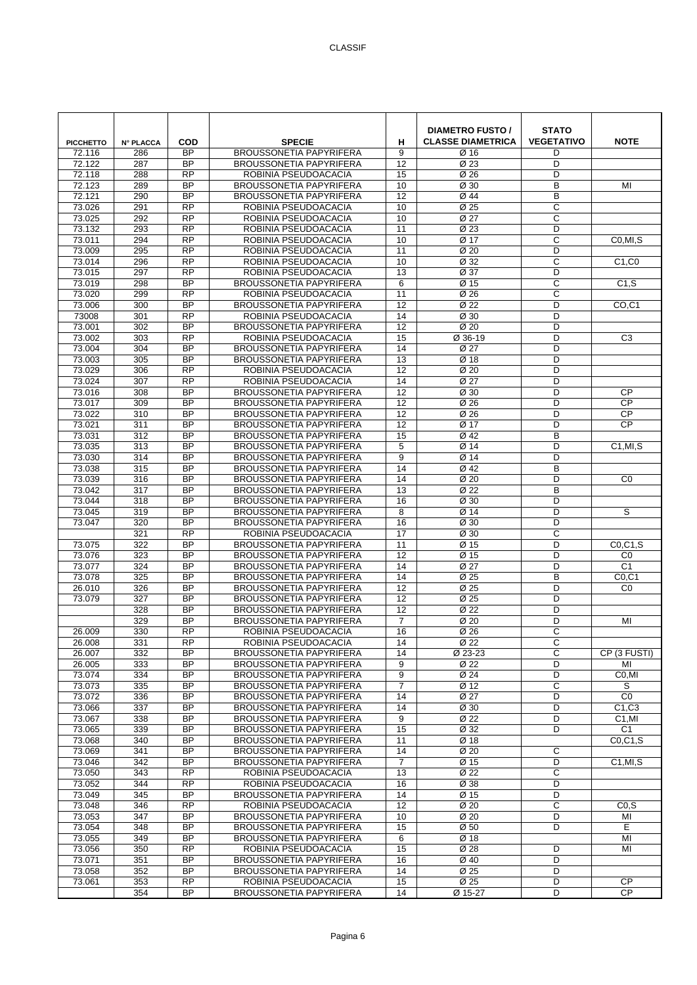| <b>PICCHETTO</b> | <b>N° PLACCA</b> | <b>COD</b>                   | <b>SPECIE</b>                                                    | н               | <b>DIAMETRO FUSTO /</b><br><b>CLASSE DIAMETRICA</b> | <b>STATO</b><br><b>VEGETATIVO</b> | <b>NOTE</b>                       |
|------------------|------------------|------------------------------|------------------------------------------------------------------|-----------------|-----------------------------------------------------|-----------------------------------|-----------------------------------|
| 72.116           | 286              | <b>BP</b>                    | <b>BROUSSONETIA PAPYRIFERA</b>                                   | 9               | Ø 16                                                | D                                 |                                   |
| 72.122<br>72.118 | 287<br>288       | <b>BP</b><br><b>RP</b>       | <b>BROUSSONETIA PAPYRIFERA</b><br>ROBINIA PSEUDOACACIA           | 12<br>15        | Ø 23<br>Ø 26                                        | D<br>D                            |                                   |
| 72.123           | 289              | <b>BP</b>                    | <b>BROUSSONETIA PAPYRIFERA</b>                                   | 10              | $\overline{\emptyset}$ 30                           | B                                 | MI                                |
| 72.121           | 290              | <b>BP</b>                    | <b>BROUSSONETIA PAPYRIFERA</b>                                   | 12              | Ø 44                                                | B                                 |                                   |
| 73.026           | 291              | $\overline{RP}$              | ROBINIA PSEUDOACACIA                                             | 10              | Ø 25                                                | $\mathsf{C}$                      |                                   |
| 73.025           | 292              | <b>RP</b>                    | ROBINIA PSEUDOACACIA                                             | 10              | Ø 27                                                | С                                 |                                   |
| 73.132           | 293              | $\overline{RP}$              | ROBINIA PSEUDOACACIA                                             | 11              | Ø 23                                                | D                                 |                                   |
| 73.011           | 294              | $\overline{RP}$              | ROBINIA PSEUDOACACIA                                             | 10              | Ø 17                                                | C                                 | C0,MI,S                           |
| 73.009           | 295              | <b>RP</b><br><b>RP</b>       | ROBINIA PSEUDOACACIA<br>ROBINIA PSEUDOACACIA                     | 11              | Ø <sub>20</sub>                                     | D<br>C                            |                                   |
| 73.014<br>73.015 | 296<br>297       | <b>RP</b>                    | ROBINIA PSEUDOACACIA                                             | 10<br>13        | Ø 32<br>Ø 37                                        | D                                 | C1, CO                            |
| 73.019           | 298              | <b>BP</b>                    | <b>BROUSSONETIA PAPYRIFERA</b>                                   | 6               | Ø 15                                                | C                                 | C1, S                             |
| 73.020           | 299              | $\overline{RP}$              | ROBINIA PSEUDOACACIA                                             | 11              | Ø 26                                                | C                                 |                                   |
| 73.006           | 300              | <b>BP</b>                    | <b>BROUSSONETIA PAPYRIFERA</b>                                   | 12              | Ø 22                                                | D                                 | CO <sub>.</sub> C <sub>1</sub>    |
| 73008            | 301              | <b>RP</b>                    | ROBINIA PSEUDOACACIA                                             | 14              | Ø 30                                                | D                                 |                                   |
| 73.001           | 302              | <b>BP</b>                    | <b>BROUSSONETIA PAPYRIFERA</b>                                   | 12              | Ø 20                                                | D                                 |                                   |
| 73.002           | 303              | <b>RP</b>                    | ROBINIA PSEUDOACACIA                                             | 15              | Ø 36-19                                             | D                                 | C <sub>3</sub>                    |
| 73.004           | 304              | $\overline{BP}$<br><b>BP</b> | <b>BROUSSONETIA PAPYRIFERA</b>                                   | 14              | $\overline{\emptyset 27}$                           | D<br>D                            |                                   |
| 73.003<br>73.029 | 305<br>306       | <b>RP</b>                    | <b>BROUSSONETIA PAPYRIFERA</b><br>ROBINIA PSEUDOACACIA           | 13<br>12        | Ø 18<br>Ø <sub>20</sub>                             | D                                 |                                   |
| 73.024           | 307              | <b>RP</b>                    | ROBINIA PSEUDOACACIA                                             | 14              | Ø 27                                                | D                                 |                                   |
| 73.016           | 308              | <b>BP</b>                    | <b>BROUSSONETIA PAPYRIFERA</b>                                   | 12              | Ø 30                                                | D                                 | <b>CP</b>                         |
| 73.017           | 309              | <b>BP</b>                    | <b>BROUSSONETIA PAPYRIFERA</b>                                   | $\overline{12}$ | Ø 26                                                | D                                 | <b>CP</b>                         |
| 73.022           | 310              | <b>BP</b>                    | <b>BROUSSONETIA PAPYRIFERA</b>                                   | 12              | Ø 26                                                | D                                 | <b>CP</b>                         |
| 73.021           | 311              | $\overline{BP}$              | <b>BROUSSONETIA PAPYRIFERA</b>                                   | 12              | Ø 17                                                | D                                 | <b>CP</b>                         |
| 73.031           | 312              | <b>BP</b>                    | <b>BROUSSONETIA PAPYRIFERA</b>                                   | 15              | Ø 42                                                | B                                 |                                   |
| 73.035           | 313              | <b>BP</b>                    | <b>BROUSSONETIA PAPYRIFERA</b>                                   | 5               | Ø 14                                                | D                                 | C1, MI, S                         |
| 73.030<br>73.038 | 314<br>315       | <b>BP</b><br>$\overline{BP}$ | <b>BROUSSONETIA PAPYRIFERA</b><br><b>BROUSSONETIA PAPYRIFERA</b> | 9<br>14         | Ø 14<br>Ø 42                                        | D<br>B                            |                                   |
| 73.039           | 316              | <b>BP</b>                    | <b>BROUSSONETIA PAPYRIFERA</b>                                   | 14              | Ø <sub>20</sub>                                     | D                                 | CO                                |
| 73.042           | 317              | <b>BP</b>                    | <b>BROUSSONETIA PAPYRIFERA</b>                                   | 13              | Ø 22                                                | B                                 |                                   |
| 73.044           | 318              | <b>BP</b>                    | <b>BROUSSONETIA PAPYRIFERA</b>                                   | 16              | Ø 30                                                | D                                 |                                   |
| 73.045           | 319              | <b>BP</b>                    | BROUSSONETIA PAPYRIFERA                                          | 8               | Ø 14                                                | D                                 | S                                 |
| 73.047           | 320              | <b>BP</b>                    | <b>BROUSSONETIA PAPYRIFERA</b>                                   | 16              | Ø 30                                                | D                                 |                                   |
|                  | 321              | <b>RP</b>                    | ROBINIA PSEUDOACACIA                                             | 17              | Ø 30                                                | C                                 |                                   |
| 73.075           | 322              | <b>BP</b>                    | <b>BROUSSONETIA PAPYRIFERA</b>                                   | 11              | Ø 15                                                | D                                 | CO, C1, S                         |
| 73.076<br>73.077 | 323<br>324       | <b>BP</b><br>$\overline{BP}$ | BROUSSONETIA PAPYRIFERA<br><b>BROUSSONETIA PAPYRIFERA</b>        | 12<br>14        | Ø 15<br>$\overline{\emptyset 27}$                   | D<br>D                            | C <sub>0</sub><br>$\overline{C1}$ |
| 73.078           | 325              | <b>BP</b>                    | <b>BROUSSONETIA PAPYRIFERA</b>                                   | 14              | Ø 25                                                | B                                 | CO.C1                             |
| 26.010           | 326              | <b>BP</b>                    | <b>BROUSSONETIA PAPYRIFERA</b>                                   | 12              | Ø 25                                                | D                                 | CO                                |
| 73.079           | 327              | <b>BP</b>                    | <b>BROUSSONETIA PAPYRIFERA</b>                                   | 12              | Ø 25                                                | D                                 |                                   |
|                  | 328              | <b>BP</b>                    | <b>BROUSSONETIA PAPYRIFERA</b>                                   | 12              | Ø 22                                                | D                                 |                                   |
|                  | 329              | <b>BP</b>                    | <b>BROUSSONETIA PAPYRIFERA</b>                                   | $\overline{7}$  | Ø <sub>20</sub>                                     | D                                 | MI                                |
| 26.009           | 330              | <b>RP</b>                    | ROBINIA PSEUDOACACIA                                             | 16              | Ø 26                                                | C                                 |                                   |
| 26.008<br>26.007 | 331              | <b>RP</b>                    | ROBINIA PSEUDOACACIA                                             | 14              | Ø 22                                                | С                                 |                                   |
| 26.005           | 332<br>333       | BP<br>BP                     | <b>BROUSSONETIA PAPYRIFERA</b><br><b>BROUSSONETIA PAPYRIFERA</b> | 14<br>9         | Ø 23-23<br>Ø 22                                     | C<br>D                            | CP (3 FUSTI)<br>MI                |
| 73.074           | 334              | <b>BP</b>                    | <b>BROUSSONETIA PAPYRIFERA</b>                                   | 9               | Ø 24                                                | D                                 | C <sub>0</sub> .MI                |
| 73.073           | 335              | $\overline{BP}$              | <b>BROUSSONETIA PAPYRIFERA</b>                                   | $\overline{7}$  | Ø 12                                                | C                                 | S                                 |
| 73.072           | 336              | $\overline{BP}$              | <b>BROUSSONETIA PAPYRIFERA</b>                                   | 14              | Ø 27                                                | D                                 | CO                                |
| 73.066           | 337              | <b>BP</b>                    | BROUSSONETIA PAPYRIFERA                                          | 14              | Ø 30                                                | D                                 | C1, C3                            |
| 73.067           | 338              | <b>BP</b>                    | <b>BROUSSONETIA PAPYRIFERA</b>                                   | 9               | Ø 22                                                | D                                 | C <sub>1</sub> ,MI                |
| 73.065           | 339              | <b>BP</b><br><b>BP</b>       | <b>BROUSSONETIA PAPYRIFERA</b>                                   | 15              | Ø 32                                                | D                                 | C <sub>1</sub>                    |
| 73.068<br>73.069 | 340<br>341       | BP                           | <b>BROUSSONETIA PAPYRIFERA</b><br><b>BROUSSONETIA PAPYRIFERA</b> | 11<br>14        | Ø 18<br>Ø 20                                        | C                                 | CO, C1, S                         |
| 73.046           | 342              | <b>BP</b>                    | BROUSSONETIA PAPYRIFERA                                          | $\overline{7}$  | Ø 15                                                | D                                 | C1, MI, S                         |
| 73.050           | 343              | <b>RP</b>                    | ROBINIA PSEUDOACACIA                                             | 13              | Ø 22                                                | С                                 |                                   |
| 73.052           | 344              | <b>RP</b>                    | ROBINIA PSEUDOACACIA                                             | 16              | Ø 38                                                | D                                 |                                   |
| 73.049           | 345              | BP                           | <b>BROUSSONETIA PAPYRIFERA</b>                                   | 14              | Ø 15                                                | D                                 |                                   |
| 73.048           | 346              | $\overline{RP}$              | ROBINIA PSEUDOACACIA                                             | 12              | Ø 20                                                | $\overline{c}$                    | CO.S                              |
| 73.053           | 347              | <b>BP</b>                    | <b>BROUSSONETIA PAPYRIFERA</b>                                   | 10              | Ø 20                                                | D                                 | MI                                |
| 73.054           | 348              | <b>BP</b><br><b>BP</b>       | BROUSSONETIA PAPYRIFERA                                          | 15              | Ø 50                                                | D                                 | Е                                 |
| 73.055<br>73.056 | 349<br>350       | $\overline{RP}$              | <b>BROUSSONETIA PAPYRIFERA</b><br>ROBINIA PSEUDOACACIA           | 6<br>15         | Ø 18<br>Ø 28                                        | D                                 | MI<br>MI                          |
| 73.071           | 351              | $\overline{BP}$              | BROUSSONETIA PAPYRIFERA                                          | 16              | Ø 40                                                | D                                 |                                   |
| 73.058           | 352              | BP                           | BROUSSONETIA PAPYRIFERA                                          | 14              | Ø 25                                                | D                                 |                                   |
| 73.061           | 353              | <b>RP</b>                    | ROBINIA PSEUDOACACIA                                             | 15              | Ø 25                                                | D                                 | CP                                |
|                  | 354              | <b>BP</b>                    | <b>BROUSSONETIA PAPYRIFERA</b>                                   | 14              | Ø 15-27                                             | D                                 | <b>CP</b>                         |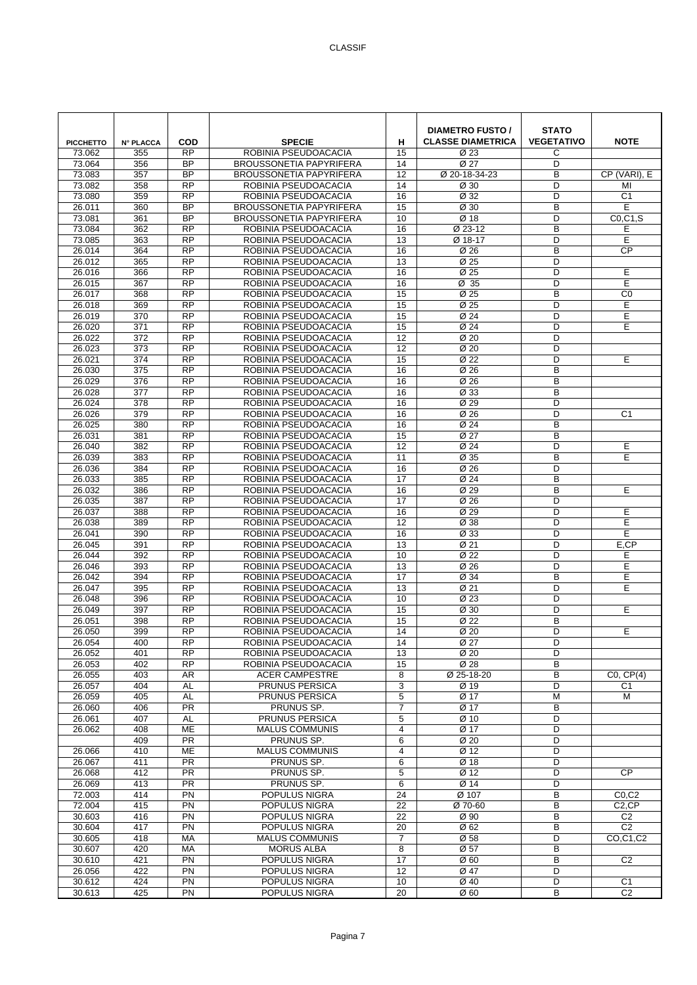| <b>PICCHETTO</b> | <b>N° PLACCA</b> | <b>COD</b>                   | <b>SPECIE</b>                                | н                    | <b>DIAMETRO FUSTO /</b><br><b>CLASSE DIAMETRICA</b> | <b>STATO</b><br><b>VEGETATIVO</b> | <b>NOTE</b>           |
|------------------|------------------|------------------------------|----------------------------------------------|----------------------|-----------------------------------------------------|-----------------------------------|-----------------------|
| 73.062           | 355              | <b>RP</b>                    | ROBINIA PSEUDOACACIA                         | 15                   | Ø 23                                                | С                                 |                       |
| 73.064           | 356              | <b>BP</b>                    | <b>BROUSSONETIA PAPYRIFERA</b>               | 14                   | Ø 27                                                | D                                 |                       |
| 73.083<br>73.082 | 357              | <b>BP</b><br>$\overline{RP}$ | <b>BROUSSONETIA PAPYRIFERA</b>               | 12                   | Ø 20-18-34-23                                       | B<br>D                            | CP (VARI), E          |
| 73.080           | 358<br>359       | <b>RP</b>                    | ROBINIA PSEUDOACACIA<br>ROBINIA PSEUDOACACIA | 14<br>16             | Ø 30<br>Ø 32                                        | D                                 | MI<br>C <sub>1</sub>  |
| 26.011           | 360              | <b>BP</b>                    | <b>BROUSSONETIA PAPYRIFERA</b>               | 15                   | Ø 30                                                | B                                 | E                     |
| 73.081           | 361              | <b>BP</b>                    | <b>BROUSSONETIA PAPYRIFERA</b>               | 10                   | Ø 18                                                | D                                 | CO, C1, S             |
| 73.084           | 362              | <b>RP</b>                    | ROBINIA PSEUDOACACIA                         | 16                   | Ø 23-12                                             | B                                 | Е                     |
| 73.085           | 363              | <b>RP</b>                    | ROBINIA PSEUDOACACIA                         | 13                   | Ø 18-17                                             | D                                 | E                     |
| 26.014           | 364              | <b>RP</b>                    | ROBINIA PSEUDOACACIA                         | 16                   | Ø 26                                                | B                                 | <b>CP</b>             |
| 26.012           | 365              | <b>RP</b>                    | ROBINIA PSEUDOACACIA                         | 13                   | Ø 25                                                | D                                 |                       |
| 26.016           | 366              | <b>RP</b>                    | ROBINIA PSEUDOACACIA                         | 16                   | Ø 25                                                | D                                 | E                     |
| 26.015           | 367              | <b>RP</b>                    | ROBINIA PSEUDOACACIA                         | 16                   | Ø 35                                                | D                                 | E                     |
| 26.017           | 368              | $\overline{RP}$              | ROBINIA PSEUDOACACIA                         | 15                   | $\overline{\emptyset}$ 25                           | B                                 | C <sub>0</sub>        |
| 26.018           | 369              | <b>RP</b>                    | ROBINIA PSEUDOACACIA                         | 15                   | Ø 25                                                | D                                 | E                     |
| 26.019           | 370              | <b>RP</b>                    | ROBINIA PSEUDOACACIA                         | 15                   | Ø 24                                                | D                                 | Е                     |
| 26.020           | 371              | <b>RP</b>                    | ROBINIA PSEUDOACACIA                         | 15                   | Ø 24                                                | D                                 | Е                     |
| 26.022           | 372              | <b>RP</b>                    | ROBINIA PSEUDOACACIA                         | 12                   | Ø <sub>20</sub>                                     | D                                 |                       |
| 26.023           | 373              | $\overline{RP}$              | ROBINIA PSEUDOACACIA                         | 12                   | Ø 20                                                | D                                 |                       |
| 26.021           | 374              | <b>RP</b>                    | ROBINIA PSEUDOACACIA                         | 15                   | Ø 22                                                | D                                 | E                     |
| 26.030           | 375              | <b>RP</b>                    | ROBINIA PSEUDOACACIA                         | 16                   | Ø 26                                                | B                                 |                       |
| 26.029           | 376              | $\overline{RP}$              | ROBINIA PSEUDOACACIA                         | 16                   | Ø 26                                                | B                                 |                       |
| 26.028           | 377              | <b>RP</b><br>$\overline{RP}$ | ROBINIA PSEUDOACACIA                         | 16                   | Ø 33                                                | B                                 |                       |
| 26.024<br>26.026 | 378<br>379       | $\overline{RP}$              | ROBINIA PSEUDOACACIA<br>ROBINIA PSEUDOACACIA | 16<br>16             | Ø 29<br>Ø 26                                        | D<br>D                            | $\overline{C1}$       |
| 26.025           | 380              | <b>RP</b>                    | ROBINIA PSEUDOACACIA                         | 16                   | Ø 24                                                | B                                 |                       |
| 26.031           | 381              | <b>RP</b>                    | ROBINIA PSEUDOACACIA                         | 15                   | Ø 27                                                | B                                 |                       |
| 26.040           | 382              | <b>RP</b>                    | ROBINIA PSEUDOACACIA                         | 12                   | Ø 24                                                | D                                 | E                     |
| 26.039           | 383              | <b>RP</b>                    | ROBINIA PSEUDOACACIA                         | 11                   | Ø 35                                                | B                                 | E                     |
| 26.036           | 384              | $\overline{RP}$              | ROBINIA PSEUDOACACIA                         | 16                   | Ø 26                                                | D                                 |                       |
| 26.033           | 385              | <b>RP</b>                    | ROBINIA PSEUDOACACIA                         | 17                   | Ø 24                                                | B                                 |                       |
| 26.032           | 386              | <b>RP</b>                    | ROBINIA PSEUDOACACIA                         | 16                   | Ø 29                                                | B                                 | Ε                     |
| 26.035           | 387              | <b>RP</b>                    | ROBINIA PSEUDOACACIA                         | 17                   | Ø 26                                                | D                                 |                       |
| 26.037           | 388              | $\overline{RP}$              | ROBINIA PSEUDOACACIA                         | 16                   | Ø 29                                                | D                                 | E                     |
| 26.038           | 389              | $\overline{RP}$              | ROBINIA PSEUDOACACIA                         | $\overline{12}$      | $\overline{\emptyset}$ 38                           | D                                 | E                     |
| 26.041           | 390              | <b>RP</b>                    | ROBINIA PSEUDOACACIA                         | 16                   | Ø 33                                                | D                                 | E                     |
| 26.045           | 391              | <b>RP</b>                    | ROBINIA PSEUDOACACIA                         | 13                   | Ø 21                                                | D                                 | E,CP                  |
| 26.044           | 392              | <b>RP</b>                    | ROBINIA PSEUDOACACIA                         | 10                   | Ø 22                                                | D                                 | E                     |
| 26.046           | 393              | $\overline{RP}$              | ROBINIA PSEUDOACACIA                         | 13                   | Ø 26                                                | D                                 | E                     |
| 26.042           | 394              | $\overline{RP}$              | ROBINIA PSEUDOACACIA                         | $\overline{17}$      | Ø 34                                                | B                                 | Ε                     |
| 26.047           | 395              | <b>RP</b>                    | ROBINIA PSEUDOACACIA                         | 13                   | Ø 21                                                | D                                 | E                     |
| 26.048           | 396              | <b>RP</b>                    | ROBINIA PSEUDOACACIA                         | 10                   | Ø 23                                                | D                                 |                       |
| 26.049           | 397              | <b>RP</b>                    | ROBINIA PSEUDOACACIA                         | 15                   | Ø 30                                                | D                                 | E                     |
| 26.051<br>26.050 | 398<br>399       | <b>RP</b><br>$\overline{RP}$ | ROBINIA PSEUDOACACIA<br>ROBINIA PSEUDOACACIA | 15<br>14             | Ø 22<br>Ø 20                                        | B<br>D                            | E                     |
| 26.054           | 400              | <b>RP</b>                    | ROBINIA PSEUDOACACIA                         | 14                   | Ø 27                                                | D                                 |                       |
| 26.052           | 401              | <b>RP</b>                    | ROBINIA PSEUDOACACIA                         | 13                   | Ø 20                                                | D                                 |                       |
| 26.053           | 402              | <b>RP</b>                    | ROBINIA PSEUDOACACIA                         | 15                   | Ø 28                                                | В                                 |                       |
| 26.055           | 403              | AR                           | <b>ACER CAMPESTRE</b>                        | 8                    | Ø 25-18-20                                          | B                                 | CO, CP(4)             |
| 26.057           | 404              | AL                           | PRUNUS PERSICA                               | 3                    | Ø 19                                                | D                                 | C1                    |
| 26.059           | 405              | <b>AL</b>                    | PRUNUS PERSICA                               | $\overline{5}$       | $\overline{\emptyset}$ 17                           | M                                 | М                     |
| 26.060           | 406              | PR                           | PRUNUS SP.                                   | 7                    | Ø 17                                                | B                                 |                       |
| 26.061           | 407              | AL                           | PRUNUS PERSICA                               | 5                    | Ø 10                                                | D                                 |                       |
| 26.062           | 408              | <b>ME</b>                    | <b>MALUS COMMUNIS</b>                        | 4                    | Ø 17                                                | D                                 |                       |
|                  | 409              | $\overline{PR}$              | PRUNUS SP.                                   | 6                    | Ø 20                                                | D                                 |                       |
| 26.066           | 410              | <b>ME</b>                    | <b>MALUS COMMUNIS</b>                        | 4                    | Ø 12                                                | D                                 |                       |
| 26.067           | 411              | <b>PR</b>                    | PRUNUS SP.                                   | 6                    | Ø 18                                                | D                                 |                       |
| 26.068           | 412              | <b>PR</b>                    | PRUNUS SP.                                   | 5                    | Ø 12                                                | D                                 | <b>CP</b>             |
| 26.069           | 413              | <b>PR</b><br>PN              | PRUNUS SP.                                   | 6<br>$\overline{24}$ | Ø 14<br>Ø 107                                       | D<br>B                            |                       |
| 72.003<br>72.004 | 414<br>415       | $\overline{PN}$              | POPULUS NIGRA<br>POPULUS NIGRA               | $\overline{22}$      | Ø 70-60                                             | B                                 | CO, C2<br>$C2$ , $CP$ |
| 30.603           | 416              | PN                           | POPULUS NIGRA                                | 22                   | Ø 90                                                | B                                 | C <sub>2</sub>        |
| 30.604           | 417              | PN                           | POPULUS NIGRA                                | 20                   | Ø 62                                                | B                                 | C <sub>2</sub>        |
| 30.605           | 418              | MA                           | <b>MALUS COMMUNIS</b>                        | $\overline{7}$       | Ø 58                                                | D                                 | CO,C1,C2              |
| 30.607           | 420              | МA                           | <b>MORUS ALBA</b>                            | 8                    | Ø 57                                                | B                                 |                       |
| 30.610           | 421              | PN                           | POPULUS NIGRA                                | 17                   | Ø <sub>60</sub>                                     | В                                 | C <sub>2</sub>        |
| 26.056           | 422              | PN                           | POPULUS NIGRA                                | 12                   | Ø 47                                                | D                                 |                       |
| 30.612           | 424              | PN                           | POPULUS NIGRA                                | 10                   | Ø 40                                                | D                                 | C <sub>1</sub>        |
| 30.613           | 425              | PN                           | POPULUS NIGRA                                | 20                   | Ø <sub>60</sub>                                     | В                                 | C <sub>2</sub>        |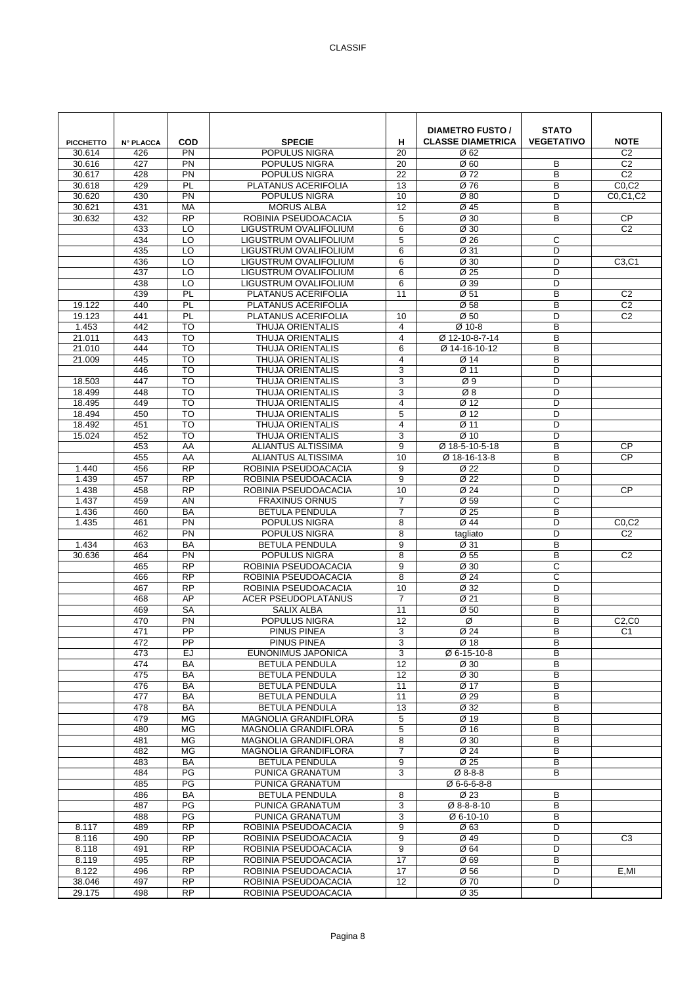| <b>PICCHETTO</b> | <b>N° PLACCA</b> | <b>COD</b>                   | <b>SPECIE</b>                                      | н                    | <b>DIAMETRO FUSTO /</b><br><b>CLASSE DIAMETRICA</b> | <b>STATO</b><br><b>VEGETATIVO</b> | <b>NOTE</b>                      |
|------------------|------------------|------------------------------|----------------------------------------------------|----------------------|-----------------------------------------------------|-----------------------------------|----------------------------------|
| 30.614           | 426              | PN                           | POPULUS NIGRA                                      | 20                   | Ø 62                                                |                                   | C <sub>2</sub>                   |
| 30.616           | 427              | PN<br>PN                     | POPULUS NIGRA                                      | 20                   | Ø <sub>60</sub>                                     | B<br>B                            | C <sub>2</sub><br>C <sub>2</sub> |
| 30.617<br>30.618 | 428<br>429       | PL                           | POPULUS NIGRA<br>PLATANUS ACERIFOLIA               | 22<br>13             | Ø 72<br>Ø 76                                        | $\overline{B}$                    | CO, C2                           |
| 30.620           | 430              | PN                           | POPULUS NIGRA                                      | 10                   | Ø80                                                 | D                                 | C0.C1.C2                         |
| 30.621           | 431              | MA                           | <b>MORUS ALBA</b>                                  | 12                   | Ø 45                                                | B                                 |                                  |
| 30.632           | 432              | <b>RP</b>                    | ROBINIA PSEUDOACACIA                               | 5                    | Ø 30                                                | B                                 | <b>CP</b>                        |
|                  | 433              | $\overline{10}$              | LIGUSTRUM OVALIFOLIUM                              | 6                    | $\overline{\emptyset}$ 30                           |                                   | C <sub>2</sub>                   |
|                  | 434              | $\overline{10}$              | LIGUSTRUM OVALIFOLIUM                              | 5                    | Ø 26                                                | C                                 |                                  |
|                  | 435<br>436       | LO<br>LO                     | LIGUSTRUM OVALIFOLIUM<br>LIGUSTRUM OVALIFOLIUM     | 6<br>6               | Ø 31<br>Ø 30                                        | D<br>D                            | C <sub>3</sub> ,C <sub>1</sub>   |
|                  | 437              | LO                           | LIGUSTRUM OVALIFOLIUM                              | 6                    | Ø 25                                                | D                                 |                                  |
|                  | 438              | LO                           | LIGUSTRUM OVALIFOLIUM                              | 6                    | Ø 39                                                | D                                 |                                  |
|                  | 439              | PL                           | PLATANUS ACERIFOLIA                                | 11                   | $\overline{\emptyset}$ 51                           | B                                 | C <sub>2</sub>                   |
| 19.122           | 440              | PL                           | PLATANUS ACERIFOLIA                                |                      | Ø 58                                                | B                                 | $\overline{C2}$                  |
| 19.123           | 441              | PL                           | PLATANUS ACERIFOLIA                                | 10                   | Ø <sub>50</sub>                                     | D                                 | C <sub>2</sub>                   |
| 1.453            | 442              | <b>TO</b>                    | <b>THUJA ORIENTALIS</b>                            | 4                    | Ø 10-8                                              | B                                 |                                  |
| 21.011<br>21.010 | 443<br>444       | TO<br>TO                     | THUJA ORIENTALIS<br><b>THUJA ORIENTALIS</b>        | $\overline{4}$<br>6  | Ø 12-10-8-7-14<br>Ø 14-16-10-12                     | B<br>B                            |                                  |
| 21.009           | 445              | <b>TO</b>                    | <b>THUJA ORIENTALIS</b>                            | $\overline{4}$       | Ø 14                                                | B                                 |                                  |
|                  | 446              | <b>TO</b>                    | <b>THUJA ORIENTALIS</b>                            | 3                    | Ø 11                                                | D                                 |                                  |
| 18.503           | 447              | <b>TO</b>                    | <b>THUJA ORIENTALIS</b>                            | 3                    | $\varnothing$ 9                                     | D                                 |                                  |
| 18.499           | 448              | TO                           | <b>THUJA ORIENTALIS</b>                            | 3                    | Ø8                                                  | D                                 |                                  |
| 18.495           | 449              | <b>TO</b>                    | <b>THUJA ORIENTALIS</b>                            | $\overline{4}$       | Ø 12                                                | D                                 |                                  |
| 18.494           | 450              | <b>TO</b>                    | <b>THUJA ORIENTALIS</b>                            | 5                    | Ø 12                                                | D                                 |                                  |
| 18.492<br>15.024 | 451<br>452       | TO<br><b>TO</b>              | <b>THUJA ORIENTALIS</b><br><b>THUJA ORIENTALIS</b> | 4<br>3               | Ø 11<br>Ø 10                                        | D<br>D                            |                                  |
|                  | 453              | AA                           | <b>ALIANTUS ALTISSIMA</b>                          | 9                    | Ø 18-5-10-5-18                                      | B                                 | <b>CP</b>                        |
|                  | 455              | AA                           | ALIANTUS ALTISSIMA                                 | 10                   | Ø 18-16-13-8                                        | B                                 | <b>CP</b>                        |
| 1.440            | 456              | <b>RP</b>                    | ROBINIA PSEUDOACACIA                               | 9                    | Ø 22                                                | D                                 |                                  |
| 1.439            | 457              | $\overline{RP}$              | ROBINIA PSEUDOACACIA                               | 9                    | Ø 22                                                | D                                 |                                  |
| 1.438            | 458              | <b>RP</b>                    | ROBINIA PSEUDOACACIA                               | 10                   | Ø 24                                                | D                                 | <b>CP</b>                        |
| 1.437            | 459              | AN                           | <b>FRAXINUS ORNUS</b>                              | $\overline{7}$       | Ø 59                                                | C                                 |                                  |
| 1.436<br>1.435   | 460<br>461       | <b>BA</b><br>PN              | <b>BETULA PENDULA</b>                              | $\overline{7}$       | Ø 25<br>Ø 44                                        | B<br>D                            |                                  |
|                  | 462              | PN                           | POPULUS NIGRA<br>POPULUS NIGRA                     | 8<br>8               | tagliato                                            | D                                 | CO, C2<br>C <sub>2</sub>         |
| 1.434            | 463              | <b>BA</b>                    | <b>BETULA PENDULA</b>                              | 9                    | Ø 31                                                | B                                 |                                  |
| 30.636           | 464              | PN                           | POPULUS NIGRA                                      | 8                    | Ø 55                                                | B                                 | C <sub>2</sub>                   |
|                  | 465              | $\overline{RP}$              | ROBINIA PSEUDOACACIA                               | 9                    | Ø 30                                                | C                                 |                                  |
|                  | 466              | <b>RP</b>                    | ROBINIA PSEUDOACACIA                               | 8                    | Ø 24                                                | C                                 |                                  |
|                  | 467              | <b>RP</b>                    | ROBINIA PSEUDOACACIA                               | 10                   | Ø 32                                                | D                                 |                                  |
|                  | 468<br>469       | AP<br><b>SA</b>              | <b>ACER PSEUDOPLATANUS</b><br><b>SALIX ALBA</b>    | $\overline{7}$<br>11 | Ø 21<br>Ø 50                                        | B<br>B                            |                                  |
|                  | 470              | PN                           | POPULUS NIGRA                                      | 12                   | Ø                                                   | B                                 | C2, C0                           |
|                  | 471              | PP                           | PINUS PINEA                                        | 3                    | Ø 24                                                | B                                 | C <sub>1</sub>                   |
|                  | 472              | PP                           | PINUS PINEA                                        | 3                    | Ø 18                                                | B                                 |                                  |
|                  | 473              | EJ                           | EUNONIMUS JAPONICA                                 | 3                    | Ø 6-15-10-8                                         | B                                 |                                  |
|                  | 474              | BA                           | <b>BETULA PENDULA</b>                              | 12                   | Ø 30                                                | B                                 |                                  |
|                  | 475              | <b>BA</b>                    | <b>BETULA PENDULA</b>                              | 12                   | Ø 30                                                | B                                 |                                  |
|                  | 476<br>477       | BA<br><b>BA</b>              | <b>BETULA PENDULA</b><br><b>BETULA PENDULA</b>     | 11<br>11             | Ø 17<br>Ø 29                                        | B<br>B                            |                                  |
|                  | 478              | BA                           | <b>BETULA PENDULA</b>                              | 13                   | Ø 32                                                | В                                 |                                  |
|                  | 479              | <b>MG</b>                    | MAGNOLIA GRANDIFLORA                               | 5                    | Ø 19                                                | B                                 |                                  |
|                  | 480              | MG                           | <b>MAGNOLIA GRANDIFLORA</b>                        | 5                    | Ø 16                                                | B                                 |                                  |
|                  | 481              | MG                           | MAGNOLIA GRANDIFLORA                               | 8                    | Ø 30                                                | B                                 |                                  |
|                  | 482              | MG                           | MAGNOLIA GRANDIFLORA                               | 7                    | Ø 24                                                | B                                 |                                  |
|                  | 483              | BA<br>PG                     | <b>BETULA PENDULA</b><br>PUNICA GRANATUM           | 9<br>3               | Ø 25                                                | B<br>B                            |                                  |
|                  | 484<br>485       | PG                           | PUNICA GRANATUM                                    |                      | Ø 8-8-8<br>Ø 6-6-6-8-8                              |                                   |                                  |
|                  | 486              | BA                           | <b>BETULA PENDULA</b>                              | 8                    | Ø 23                                                | B                                 |                                  |
|                  | 487              | PG                           | PUNICA GRANATUM                                    | 3                    | Ø 8-8-8-10                                          | B                                 |                                  |
|                  | 488              | PG                           | PUNICA GRANATUM                                    | 3                    | Ø 6-10-10                                           | B                                 |                                  |
| 8.117            | 489              | <b>RP</b>                    | ROBINIA PSEUDOACACIA                               | 9                    | Ø 63                                                | D                                 |                                  |
| 8.116            | 490              | <b>RP</b>                    | ROBINIA PSEUDOACACIA                               | 9                    | Ø 49                                                | D                                 | C <sub>3</sub>                   |
| 8.118<br>8.119   | 491<br>495       | <b>RP</b><br>$\overline{RP}$ | ROBINIA PSEUDOACACIA<br>ROBINIA PSEUDOACACIA       | 9<br>17              | Ø 64<br>Ø 69                                        | D<br>B                            |                                  |
| 8.122            | 496              | <b>RP</b>                    | ROBINIA PSEUDOACACIA                               | 17                   | Ø 56                                                | D                                 | E, MI                            |
| 38.046           | 497              | <b>RP</b>                    | ROBINIA PSEUDOACACIA                               | 12                   | Ø 70                                                | D                                 |                                  |
| 29.175           | 498              | <b>RP</b>                    | ROBINIA PSEUDOACACIA                               |                      | Ø 35                                                |                                   |                                  |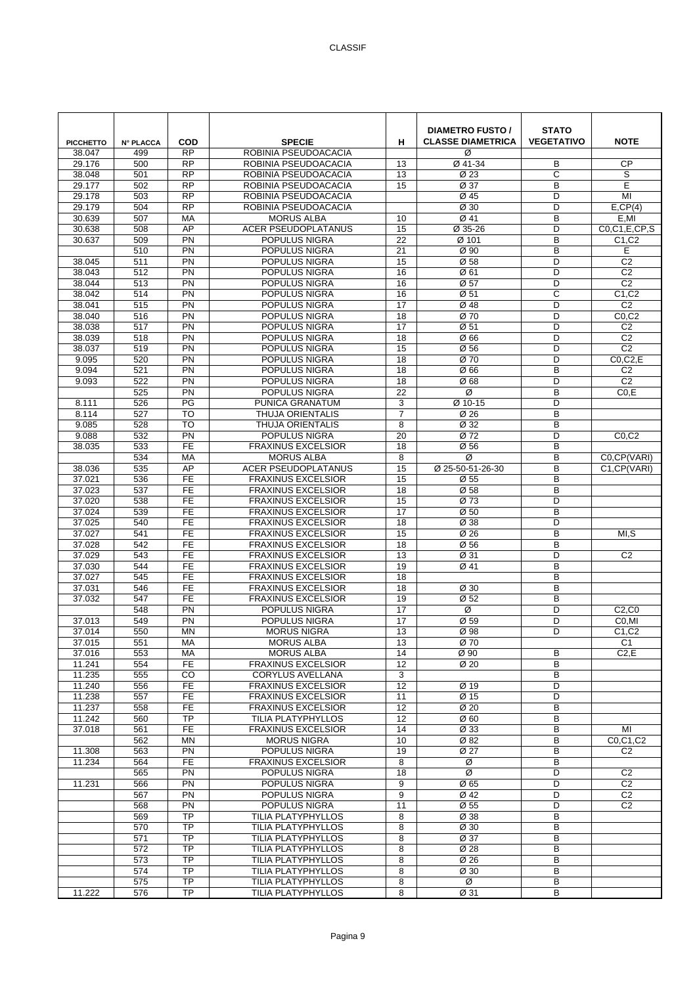| <b>PICCHETTO</b><br>38.047 | <b>N° PLACCA</b><br>499 | COD<br><b>RP</b>       | <b>SPECIE</b><br>ROBINIA PSEUDOACACIA           | н                     | <b>DIAMETRO FUSTO /</b><br><b>CLASSE DIAMETRICA</b><br>Ø | <b>STATO</b><br><b>VEGETATIVO</b> | <b>NOTE</b>                         |
|----------------------------|-------------------------|------------------------|-------------------------------------------------|-----------------------|----------------------------------------------------------|-----------------------------------|-------------------------------------|
| 29.176                     | 500                     | <b>RP</b>              | ROBINIA PSEUDOACACIA                            | 13                    | Ø 41-34                                                  | B                                 | <b>CP</b>                           |
| 38.048                     | 501                     | <b>RP</b>              | ROBINIA PSEUDOACACIA                            | 13                    | Ø 23                                                     | C                                 | S                                   |
| 29.177                     | 502                     | RP                     | ROBINIA PSEUDOACACIA                            | 15                    | Ø 37                                                     | B                                 | E                                   |
| 29.178                     | 503                     | <b>RP</b>              | ROBINIA PSEUDOACACIA                            |                       | Ø 45                                                     | D                                 | MI                                  |
| 29.179                     | 504                     | <b>RP</b>              | ROBINIA PSEUDOACACIA                            |                       | Ø 30                                                     | D                                 | E,CP(4)                             |
| 30.639                     | 507                     | MA                     | <b>MORUS ALBA</b>                               | 10                    | Ø 41                                                     | B                                 | E,MI                                |
| 30.638                     | 508                     | AP                     | <b>ACER PSEUDOPLATANUS</b>                      | 15                    | Ø 35-26                                                  | D                                 | CO, C1, E, CP, S                    |
| 30.637                     | 509<br>510              | $\overline{PN}$<br>PN  | POPULUS NIGRA<br>POPULUS NIGRA                  | $\overline{22}$<br>21 | Ø 101<br>Ø 90                                            | B<br>B                            | C <sub>1</sub> ,C <sub>2</sub><br>E |
| 38.045                     | 511                     | PN                     | POPULUS NIGRA                                   | 15                    | Ø 58                                                     | D                                 | C <sub>2</sub>                      |
| 38.043                     | 512                     | PN                     | POPULUS NIGRA                                   | 16                    | Ø 61                                                     | D                                 | C <sub>2</sub>                      |
| 38.044                     | 513                     | PN                     | POPULUS NIGRA                                   | 16                    | Ø 57                                                     | D                                 | C <sub>2</sub>                      |
| 38.042                     | 514                     | PN                     | POPULUS NIGRA                                   | 16                    | Ø 51                                                     | C                                 | C1, C2                              |
| 38.041                     | 515                     | PN                     | POPULUS NIGRA                                   | 17                    | Ø 48                                                     | D                                 | C <sub>2</sub>                      |
| 38.040                     | 516                     | PN                     | POPULUS NIGRA                                   | 18                    | Ø 70                                                     | D                                 | CO, C2                              |
| 38.038                     | 517                     | PN                     | POPULUS NIGRA                                   | 17                    | Ø 51                                                     | D                                 | C <sub>2</sub>                      |
| 38.039                     | 518                     | PN                     | POPULUS NIGRA                                   | 18                    | Ø 66                                                     | D                                 | C <sub>2</sub>                      |
| 38.037                     | 519                     | PN                     | POPULUS NIGRA                                   | 15                    | $\overline{\emptyset}$ 56                                | D                                 | C <sub>2</sub>                      |
| 9.095                      | 520                     | PN                     | POPULUS NIGRA                                   | 18                    | Ø 70                                                     | D                                 | $CO$ , $C$ $2$ , $E$                |
| 9.094                      | 521                     | PN                     | POPULUS NIGRA                                   | 18                    | Ø66                                                      | B                                 | C <sub>2</sub>                      |
| 9.093                      | 522                     | PN<br>PN               | POPULUS NIGRA                                   | 18<br>22              | Ø68                                                      | D<br>B                            | C <sub>2</sub>                      |
| 8.111                      | 525<br>526              | PG                     | POPULUS NIGRA<br>PUNICA GRANATUM                | 3                     | Ø<br>Ø 10-15                                             | D                                 | CO.E                                |
| 8.114                      | 527                     | TO                     | <b>THUJA ORIENTALIS</b>                         | $\overline{7}$        | Ø 26                                                     | B                                 |                                     |
| 9.085                      | 528                     | <b>TO</b>              | THUJA ORIENTALIS                                | 8                     | Ø 32                                                     | B                                 |                                     |
| 9.088                      | 532                     | PN                     | POPULUS NIGRA                                   | 20                    | Ø 72                                                     | D                                 | CO, C2                              |
| 38.035                     | 533                     | <b>FE</b>              | <b>FRAXINUS EXCELSIOR</b>                       | 18                    | Ø 56                                                     | B                                 |                                     |
|                            | 534                     | MA                     | <b>MORUS ALBA</b>                               | 8                     | Ø                                                        | B                                 | C0,CP(VARI)                         |
| 38.036                     | 535                     | AP                     | <b>ACER PSEUDOPLATANUS</b>                      | 15                    | Ø 25-50-51-26-30                                         | B                                 | C1, CP (VARI)                       |
| 37.021                     | 536                     | <b>FE</b>              | <b>FRAXINUS EXCELSIOR</b>                       | 15                    | Ø 55                                                     | B                                 |                                     |
| 37.023                     | 537                     | <b>FE</b>              | <b>FRAXINUS EXCELSIOR</b>                       | 18                    | Ø 58                                                     | B                                 |                                     |
| 37.020                     | 538                     | <b>FE</b>              | <b>FRAXINUS EXCELSIOR</b>                       | 15                    | Ø 73                                                     | D                                 |                                     |
| 37.024                     | 539                     | $\overline{FE}$        | <b>FRAXINUS EXCELSIOR</b>                       | 17                    | Ø <sub>50</sub>                                          | B                                 |                                     |
| 37.025                     | 540<br>541              | <b>FE</b><br><b>FE</b> | <b>FRAXINUS EXCELSIOR</b>                       | 18<br>15              | Ø 38<br>Ø 26                                             | D<br>B                            |                                     |
| 37.027<br>37.028           | 542                     | <b>FE</b>              | <b>FRAXINUS EXCELSIOR</b><br>FRAXINUS EXCELSIOR | 18                    | Ø 56                                                     | B                                 | MI,S                                |
| 37.029                     | 543                     | <b>FE</b>              | FRAXINUS EXCELSIOR                              | 13                    | Ø 31                                                     | D                                 | C <sub>2</sub>                      |
| 37.030                     | 544                     | $\overline{FE}$        | <b>FRAXINUS EXCELSIOR</b>                       | 19                    | Ø 41                                                     | B                                 |                                     |
| 37.027                     | 545                     | $\overline{FE}$        | <b>FRAXINUS EXCELSIOR</b>                       | $\overline{18}$       |                                                          | B                                 |                                     |
| 37.031                     | 546                     | <b>FE</b>              | <b>FRAXINUS EXCELSIOR</b>                       | 18                    | Ø 30                                                     | B                                 |                                     |
| 37.032                     | 547                     | <b>FE</b>              | <b>FRAXINUS EXCELSIOR</b>                       | 19                    | Ø 52                                                     | B                                 |                                     |
|                            | 548                     | PN                     | POPULUS NIGRA                                   | 17                    | Ø                                                        | D                                 | C2, C0                              |
| 37.013                     | 549                     | $\overline{PN}$        | <b>POPULUS NIGRA</b>                            | 17                    | Ø 59                                                     | D                                 | C <sub>0</sub> ,MI                  |
| 37.014                     | 550                     | MN                     | <b>MORUS NIGRA</b>                              | 13                    | Ø 98                                                     | D                                 | C1, C2                              |
| 37.015                     | 551                     | MA                     | <b>MORUS ALBA</b>                               | 13                    | Ø 70                                                     |                                   | C <sub>1</sub>                      |
| 37.016                     | 553                     | MA<br><b>FE</b>        | <b>MORUS ALBA</b><br><b>FRAXINUS EXCELSIOR</b>  | 14                    | Ø 90<br>Ø 20                                             | B                                 | C2,E                                |
| 11.241<br>11.235           | 554<br>555              | CO                     | <b>CORYLUS AVELLANA</b>                         | 12<br>3               |                                                          | B<br>B                            |                                     |
| 11.240                     | 556                     | FE                     | <b>FRAXINUS EXCELSIOR</b>                       | 12                    | Ø 19                                                     | D                                 |                                     |
| 11.238                     | 557                     | $\overline{FE}$        | <b>FRAXINUS EXCELSIOR</b>                       | 11                    | Ø 15                                                     | D                                 |                                     |
| 11.237                     | 558                     | <b>FE</b>              | <b>FRAXINUS EXCELSIOR</b>                       | 12                    | Ø 20                                                     | B                                 |                                     |
| 11.242                     | 560                     | <b>TP</b>              | TILIA PLATYPHYLLOS                              | 12                    | Ø <sub>60</sub>                                          | B                                 |                                     |
| 37.018                     | 561                     | <b>FE</b>              | <b>FRAXINUS EXCELSIOR</b>                       | 14                    | Ø 33                                                     | B                                 | MI                                  |
|                            | 562                     | MN                     | <b>MORUS NIGRA</b>                              | 10                    | Ø 82                                                     | B                                 | C0,C1,C2                            |
| 11.308                     | 563                     | PN                     | POPULUS NIGRA                                   | 19                    | Ø 27                                                     | B                                 | C <sub>2</sub>                      |
| 11.234                     | 564                     | <b>FE</b>              | <b>FRAXINUS EXCELSIOR</b>                       | 8                     | Ø                                                        | B                                 |                                     |
|                            | 565                     | PN                     | POPULUS NIGRA                                   | 18                    | Ø                                                        | D                                 | C <sub>2</sub>                      |
| 11.231                     | 566<br>567              | PN<br>$\overline{PN}$  | POPULUS NIGRA<br>POPULUS NIGRA                  | 9<br>9                | Ø 65<br>Ø 42                                             | D<br>D                            | C <sub>2</sub><br>C <sub>2</sub>    |
|                            | 568                     | <b>PN</b>              | POPULUS NIGRA                                   | 11                    | Ø 55                                                     | D                                 | C <sub>2</sub>                      |
|                            | 569                     | <b>TP</b>              | TILIA PLATYPHYLLOS                              | 8                     | Ø 38                                                     | B                                 |                                     |
|                            | 570                     | <b>TP</b>              | TILIA PLATYPHYLLOS                              | 8                     | Ø 30                                                     | B                                 |                                     |
|                            | 571                     | $\overline{TP}$        | TILIA PLATYPHYLLOS                              | 8                     | Ø 37                                                     | B                                 |                                     |
|                            | $\overline{572}$        | $\overline{TP}$        | TILIA PLATYPHYLLOS                              | 8                     | Ø 28                                                     | B                                 |                                     |
|                            | 573                     | <b>TP</b>              | TILIA PLATYPHYLLOS                              | 8                     | $\overline{\emptyset}$ 26                                | B                                 |                                     |
|                            | 574                     | <b>TP</b>              | TILIA PLATYPHYLLOS                              | 8                     | Ø 30                                                     | B                                 |                                     |
|                            | 575                     | <b>TP</b>              | TILIA PLATYPHYLLOS                              | 8                     | Ø                                                        | В                                 |                                     |
| 11.222                     | 576                     | $\overline{TP}$        | TILIA PLATYPHYLLOS                              | 8                     | Ø 31                                                     | B                                 |                                     |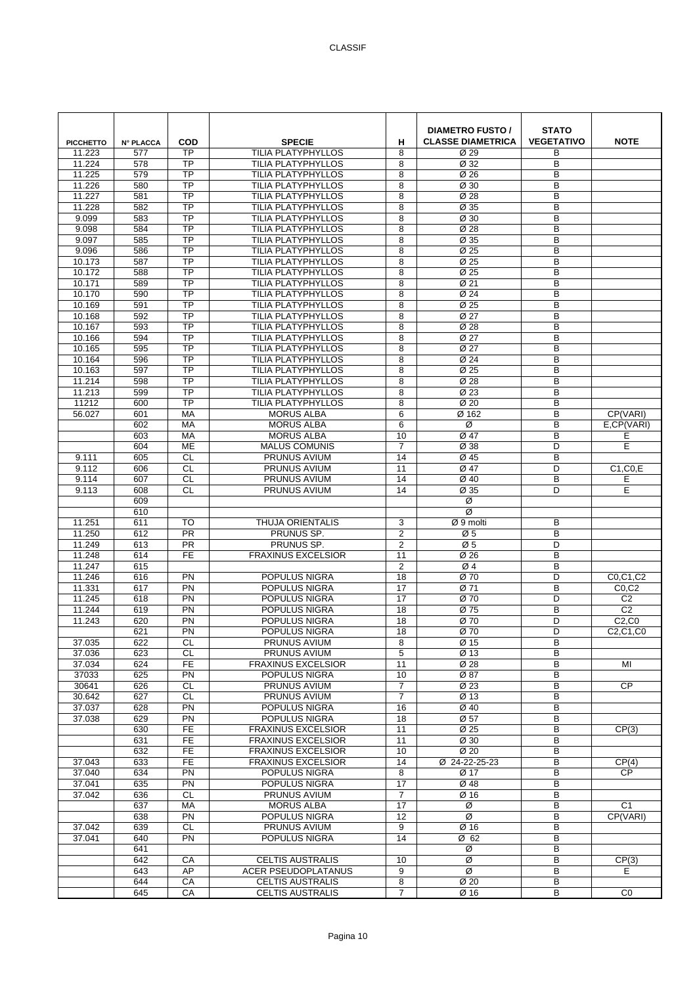| <b>PICCHETTO</b> | <b>N° PLACCA</b> | COD                    | <b>SPECIE</b>                                   | н               | <b>DIAMETRO FUSTO /</b><br><b>CLASSE DIAMETRICA</b>    | <b>STATO</b><br><b>VEGETATIVO</b> | <b>NOTE</b>       |
|------------------|------------------|------------------------|-------------------------------------------------|-----------------|--------------------------------------------------------|-----------------------------------|-------------------|
| 11.223           | 577              | <b>TP</b>              | <b>TILIA PLATYPHYLLOS</b>                       | 8               | Ø 29                                                   | В                                 |                   |
| 11.224           | 578              | <b>TP</b>              | <b>TILIA PLATYPHYLLOS</b>                       | 8               | Ø 32                                                   | B                                 |                   |
| 11.225           | 579              | <b>TP</b>              | <b>TILIA PLATYPHYLLOS</b>                       | 8               | Ø 26                                                   | B                                 |                   |
| 11.226           | 580              | <b>TP</b>              | <b>TILIA PLATYPHYLLOS</b>                       | 8               | Ø 30                                                   | B                                 |                   |
| 11.227           | 581              | $\overline{TP}$        | <b>TILIA PLATYPHYLLOS</b>                       | 8               | Ø 28                                                   | B                                 |                   |
| 11.228           | 582              | TP                     | <b>TILIA PLATYPHYLLOS</b>                       | 8               | Ø 35                                                   | B                                 |                   |
| 9.099            | 583              | <b>TP</b><br><b>TP</b> | <b>TILIA PLATYPHYLLOS</b>                       | 8               | Ø 30                                                   | B                                 |                   |
| 9.098<br>9.097   | 584              | <b>TP</b>              | TILIA PLATYPHYLLOS<br><b>TILIA PLATYPHYLLOS</b> | 8               | $\overline{\emptyset}$ 28<br>$\overline{\emptyset}$ 35 | B<br>B                            |                   |
| 9.096            | 585<br>586       | <b>TP</b>              | <b>TILIA PLATYPHYLLOS</b>                       | 8<br>8          | Ø 25                                                   | B                                 |                   |
| 10.173           | 587              | $\overline{TP}$        | TILIA PLATYPHYLLOS                              | 8               | Ø 25                                                   | B                                 |                   |
| 10.172           | 588              | <b>TP</b>              | <b>TILIA PLATYPHYLLOS</b>                       | 8               | Ø 25                                                   | B                                 |                   |
| 10.171           | 589              | TP                     | <b>TILIA PLATYPHYLLOS</b>                       | 8               | Ø 21                                                   | B                                 |                   |
| 10.170           | 590              | TP                     | TILIA PLATYPHYLLOS                              | 8               | Ø 24                                                   | B                                 |                   |
| 10.169           | 591              | TP                     | <b>TILIA PLATYPHYLLOS</b>                       | 8               | Ø 25                                                   | B                                 |                   |
| 10.168           | 592              | TP                     | TILIA PLATYPHYLLOS                              | 8               | Ø 27                                                   | B                                 |                   |
| 10.167           | 593              | <b>TP</b>              | <b>TILIA PLATYPHYLLOS</b>                       | 8               | Ø 28                                                   | B                                 |                   |
| 10.166           | 594              | $\overline{TP}$        | <b>TILIA PLATYPHYLLOS</b>                       | 8               | Ø 27                                                   | B                                 |                   |
| 10.165           | 595              | <b>TP</b>              | TILIA PLATYPHYLLOS                              | 8               | $\overline{\emptyset 27}$                              | B                                 |                   |
| 10.164           | 596              | <b>TP</b>              | <b>TILIA PLATYPHYLLOS</b>                       | 8               | Ø 24                                                   | B                                 |                   |
| 10.163           | 597              | <b>TP</b>              | TILIA PLATYPHYLLOS                              | 8               | Ø 25                                                   | B                                 |                   |
| 11.214           | 598              | $\overline{TP}$        | <b>TILIA PLATYPHYLLOS</b>                       | 8               | Ø 28                                                   | B                                 |                   |
| 11.213           | 599              | $\overline{TP}$        | TILIA PLATYPHYLLOS                              | 8               | Ø 23                                                   | B                                 |                   |
| 11212            | 600              | <b>TP</b>              | <b>TILIA PLATYPHYLLOS</b>                       | 8               | Ø <sub>20</sub>                                        | B                                 |                   |
| 56.027           | 601              | MA                     | <b>MORUS ALBA</b>                               | 6               | Ø 162                                                  | B                                 | CP(VARI)          |
|                  | 602              | MA                     | <b>MORUS ALBA</b>                               | 6               | Ø                                                      | B                                 | E,CP(VARI)        |
|                  | 603              | MA                     | <b>MORUS ALBA</b>                               | 10              | Ø 47                                                   | B                                 | Ε                 |
|                  | 604              | ME                     | <b>MALUS COMUNIS</b>                            | $\overline{7}$  | Ø 38                                                   | D                                 | E                 |
| 9.111            | 605              | CL<br>CL               | PRUNUS AVIUM                                    | 14              | Ø 45                                                   | B<br>D                            |                   |
| 9.112<br>9.114   | 606<br>607       | <b>CL</b>              | PRUNUS AVIUM<br>PRUNUS AVIUM                    | 11<br>14        | Ø 47<br>Ø 40                                           | B                                 | $C1$ , $C0$ , $E$ |
| 9.113            | 608              | <b>CL</b>              | PRUNUS AVIUM                                    | 14              | Ø 35                                                   | D                                 | Е<br>E            |
|                  | 609              |                        |                                                 |                 | Ø                                                      |                                   |                   |
|                  | 610              |                        |                                                 |                 | Ø                                                      |                                   |                   |
| 11.251           | 611              | <b>TO</b>              | <b>THUJA ORIENTALIS</b>                         | 3               | $Ø 9$ molti                                            | B                                 |                   |
| 11.250           | 612              | PR                     | PRUNUS SP.                                      | $\sqrt{2}$      | Ø5                                                     | B                                 |                   |
| 11.249           | 613              | <b>PR</b>              | PRUNUS SP.                                      | $\sqrt{2}$      | Ø <sub>5</sub>                                         | D                                 |                   |
| 11.248           | 614              | <b>FE</b>              | <b>FRAXINUS EXCELSIOR</b>                       | 11              | Ø 26                                                   | B                                 |                   |
| 11.247           | 615              |                        |                                                 | $\overline{c}$  | Ø4                                                     | B                                 |                   |
| 11.246           | 616              | PN                     | POPULUS NIGRA                                   | 18              | Ø 70                                                   | D                                 | C0,C1,C2          |
| 11.331           | 617              | PN                     | <b>POPULUS NIGRA</b>                            | 17              | Ø 71                                                   | B                                 | CO, C2            |
| 11.245           | 618              | PN                     | POPULUS NIGRA                                   | 17              | Ø 70                                                   | D                                 | C <sub>2</sub>    |
| 11.244           | 619              | PN                     | POPULUS NIGRA                                   | 18              | Ø 75                                                   | B                                 | C <sub>2</sub>    |
| 11.243           | 620              | PN                     | <b>POPULUS NIGRA</b>                            | 18              | Ø 70                                                   | D                                 | C2, C0            |
| 37.035           | 621<br>622       | PN<br>CL.              | POPULUS NIGRA<br>PRUNUS AVIUM                   | 18<br>8         | Ø 70<br>Ø 15                                           | D<br>B                            | C2,C1,C0          |
| 37.036           | 623              | CL                     | PRUNUS AVIUM                                    | 5               | Ø 13                                                   | B                                 |                   |
| 37.034           | 624              | FE                     | <b>FRAXINUS EXCELSIOR</b>                       | 11              | Ø 28                                                   | B                                 | MI                |
| 37033            | 625              | <b>PN</b>              | POPULUS NIGRA                                   | 10              | Ø 87                                                   | B                                 |                   |
| 30641            | 626              | CL                     | PRUNUS AVIUM                                    | $\overline{7}$  | Ø 23                                                   | B                                 | <b>CP</b>         |
| 30.642           | 627              | CL                     | PRUNUS AVIUM                                    | $\overline{7}$  | $\overline{\emptyset}$ 13                              | B                                 |                   |
| 37.037           | 628              | PN                     | POPULUS NIGRA                                   | 16              | Ø 40                                                   | B                                 |                   |
| 37.038           | 629              | PN                     | POPULUS NIGRA                                   | 18              | Ø 57                                                   | B                                 |                   |
|                  | 630              | FE                     | <b>FRAXINUS EXCELSIOR</b>                       | 11              | Ø 25                                                   | B                                 | CP(3)             |
|                  | 631              | $\overline{FE}$        | <b>FRAXINUS EXCELSIOR</b>                       | 11              | Ø 30                                                   | B                                 |                   |
|                  | 632              | FE                     | <b>FRAXINUS EXCELSIOR</b>                       | 10              | $\overline{\emptyset}$ 20                              | B                                 |                   |
| 37.043           | 633              | FE                     | <b>FRAXINUS EXCELSIOR</b>                       | 14              | Ø 24-22-25-23                                          | В                                 | CP(4)             |
| 37.040           | 634              | PN                     | POPULUS NIGRA                                   | 8               | Ø 17                                                   | B                                 | <b>CP</b>         |
| 37.041           | 635              | <b>PN</b>              | POPULUS NIGRA                                   | 17              | Ø 48                                                   | B                                 |                   |
| 37.042           | 636              | $\overline{c}$         | PRUNUS AVIUM                                    | $\overline{7}$  | Ø 16                                                   | B                                 |                   |
|                  | 637              | <b>MA</b>              | <b>MORUS ALBA</b>                               | $\overline{17}$ | Ø<br>Ø                                                 | B                                 | C <sub>1</sub>    |
|                  | 638              | PN                     | POPULUS NIGRA                                   | 12<br>9         |                                                        | B<br>B                            | CP(VARI)          |
| 37.042<br>37.041 | 639<br>640       | CL<br><b>PN</b>        | PRUNUS AVIUM<br>POPULUS NIGRA                   | 14              | Ø 16<br>Ø 62                                           | B                                 |                   |
|                  | 641              |                        |                                                 |                 | Ø                                                      | B                                 |                   |
|                  | 642              | CA                     | <b>CELTIS AUSTRALIS</b>                         | 10              | Ø                                                      | B                                 | CP(3)             |
|                  | 643              | AP                     | <b>ACER PSEUDOPLATANUS</b>                      | 9               | Ø                                                      | В                                 | E.                |
|                  | 644              | CA                     | <b>CELTIS AUSTRALIS</b>                         | 8               | Ø 20                                                   | В                                 |                   |
|                  | 645              | CA                     | CELTIS AUSTRALIS                                | $\overline{7}$  | Ø 16                                                   | В                                 | $\overline{C}$    |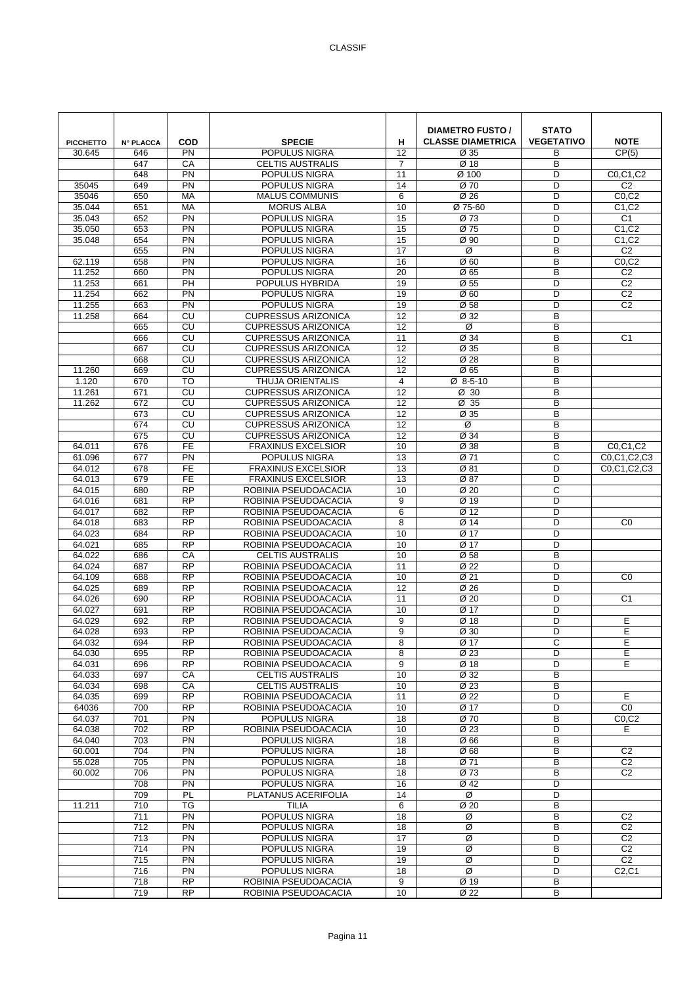| <b>PICCHETTO</b> | <b>N° PLACCA</b>        | <b>COD</b>               | <b>SPECIE</b>                                            | н              | <b>DIAMETRO FUSTO /</b><br><b>CLASSE DIAMETRICA</b> | <b>STATO</b><br><b>VEGETATIVO</b> | <b>NOTE</b>                    |
|------------------|-------------------------|--------------------------|----------------------------------------------------------|----------------|-----------------------------------------------------|-----------------------------------|--------------------------------|
| 30.645           | 646                     | PN                       | POPULUS NIGRA                                            | 12             | Ø 35                                                | В                                 | CP(5)                          |
|                  | 647                     | CA                       | <b>CELTIS AUSTRALIS</b>                                  | $\overline{7}$ | Ø 18                                                | B                                 |                                |
|                  | 648                     | PN                       | POPULUS NIGRA                                            | 11             | Ø 100                                               | D                                 | C0,C1,C2                       |
| 35045            | 649                     | PN                       | POPULUS NIGRA                                            | 14             | Ø 70                                                | D                                 | C <sub>2</sub>                 |
| 35046            | 650                     | MA                       | <b>MALUS COMMUNIS</b>                                    | 6              | Ø 26                                                | D                                 | CO, C2                         |
| 35.044           | 651                     | MA                       | <b>MORUS ALBA</b>                                        | 10             | Ø 75-60                                             | D                                 | C1, C2                         |
| 35.043<br>35.050 | 652<br>653              | PN<br>PN                 | POPULUS NIGRA<br>POPULUS NIGRA                           | 15<br>15       | Ø 73<br>Ø 75                                        | D<br>D                            | C <sub>1</sub><br>C1, C2       |
| 35.048           | 654                     | $\overline{PN}$          | POPULUS NIGRA                                            | 15             | Ø 90                                                | D                                 | C <sub>1</sub> ,C <sub>2</sub> |
|                  | 655                     | PN                       | POPULUS NIGRA                                            | 17             | Ø                                                   | B                                 | C <sub>2</sub>                 |
| 62.119           | 658                     | PN                       | POPULUS NIGRA                                            | 16             | Ø <sub>60</sub>                                     | B                                 | CO, C2                         |
| 11.252           | 660                     | PN                       | POPULUS NIGRA                                            | 20             | Ø 65                                                | B                                 | C <sub>2</sub>                 |
| 11.253           | 661                     | PH                       | POPULUS HYBRIDA                                          | 19             | Ø 55                                                | D                                 | C <sub>2</sub>                 |
| 11.254           | 662                     | PN                       | POPULUS NIGRA                                            | 19             | Ø 60                                                | D                                 | C <sub>2</sub>                 |
| 11.255           | 663                     | PN                       | POPULUS NIGRA                                            | 19             | Ø 58                                                | D                                 | C <sub>2</sub>                 |
| 11.258           | 664                     | CU                       | <b>CUPRESSUS ARIZONICA</b>                               | 12             | Ø 32                                                | B                                 |                                |
|                  | 665                     | CU                       | <b>CUPRESSUS ARIZONICA</b>                               | 12             | Ø                                                   | B                                 |                                |
|                  | 666                     | CU                       | <b>CUPRESSUS ARIZONICA</b>                               | 11             | Ø 34                                                | B                                 | C <sub>1</sub>                 |
|                  | 667                     | CU                       | <b>CUPRESSUS ARIZONICA</b>                               | 12             | Ø 35                                                | B                                 |                                |
|                  | 668                     | CU                       | <b>CUPRESSUS ARIZONICA</b>                               | 12             | Ø 28                                                | B                                 |                                |
| 11.260           | 669                     | CU                       | <b>CUPRESSUS ARIZONICA</b>                               | 12             | Ø 65                                                | B                                 |                                |
| 1.120            | 670                     | <b>TO</b>                | <b>THUJA ORIENTALIS</b>                                  | 4              | $Ø$ 8-5-10                                          | B                                 |                                |
| 11.261           | 671                     | CU                       | <b>CUPRESSUS ARIZONICA</b>                               | 12             | Ø 30                                                | B                                 |                                |
| 11.262           | 672                     | CU                       | <b>CUPRESSUS ARIZONICA</b>                               | 12             | $\overline{\emptyset}$ 35                           | B                                 |                                |
|                  | 673<br>674              | CU<br>CU                 | <b>CUPRESSUS ARIZONICA</b><br><b>CUPRESSUS ARIZONICA</b> | 12<br>12       | Ø 35<br>Ø                                           | B<br>B                            |                                |
|                  | 675                     | CU                       | <b>CUPRESSUS ARIZONICA</b>                               | 12             | Ø 34                                                | B                                 |                                |
| 64.011           | 676                     | <b>FE</b>                | <b>FRAXINUS EXCELSIOR</b>                                | 10             | Ø 38                                                | B                                 | C0,C1,C2                       |
| 61.096           | 677                     | PN                       | POPULUS NIGRA                                            | 13             | Ø 71                                                | C                                 | C0.C1.C2.C3                    |
| 64.012           | 678                     | $\overline{FE}$          | <b>FRAXINUS EXCELSIOR</b>                                | 13             | Ø 81                                                | D                                 | C0.C1.C2.C3                    |
| 64.013           | 679                     | FE                       | <b>FRAXINUS EXCELSIOR</b>                                | 13             | Ø 87                                                | D                                 |                                |
| 64.015           | 680                     | <b>RP</b>                | ROBINIA PSEUDOACACIA                                     | 10             | Ø 20                                                | C                                 |                                |
| 64.016           | 681                     | $\overline{RP}$          | ROBINIA PSEUDOACACIA                                     | 9              | Ø 19                                                | D                                 |                                |
| 64.017           | 682                     | $\overline{RP}$          | ROBINIA PSEUDOACACIA                                     | 6              | Ø 12                                                | D                                 |                                |
| 64.018           | 683                     | RP                       | ROBINIA PSEUDOACACIA                                     | 8              | Ø 14                                                | D                                 | CO                             |
| 64.023           | 684                     | <b>RP</b>                | ROBINIA PSEUDOACACIA                                     | 10             | Ø 17                                                | D                                 |                                |
| 64.021           | 685                     | <b>RP</b>                | ROBINIA PSEUDOACACIA                                     | 10             | Ø 17                                                | D                                 |                                |
| 64.022<br>64.024 | 686<br>687              | CA<br>$\overline{RP}$    | <b>CELTIS AUSTRALIS</b><br>ROBINIA PSEUDOACACIA          | 10<br>11       | Ø 58<br>Ø 22                                        | B<br>D                            |                                |
| 64.109           | 688                     | <b>RP</b>                | ROBINIA PSEUDOACACIA                                     | 10             | Ø 21                                                | D                                 | C <sub>0</sub>                 |
| 64.025           | 689                     | <b>RP</b>                | ROBINIA PSEUDOACACIA                                     | 12             | Ø 26                                                | D                                 |                                |
| 64.026           | 690                     | <b>RP</b>                | ROBINIA PSEUDOACACIA                                     | 11             | Ø 20                                                | D                                 | C <sub>1</sub>                 |
| 64.027           | 691                     | <b>RP</b>                | ROBINIA PSEUDOACACIA                                     | 10             | Ø 17                                                | D                                 |                                |
| 64.029           | 692                     | <b>RP</b>                | ROBINIA PSEUDOACACIA                                     | 9              | Ø 18                                                | D                                 | E                              |
| 64.028           | 693                     | <b>RP</b>                | ROBINIA PSEUDOACACIA                                     | 9              | Ø 30                                                | D                                 | E                              |
| 64.032           | 694                     | <b>RP</b>                | ROBINIA PSEUDOACACIA                                     | 8              | Ø 17                                                | С                                 | Е                              |
| 64.030           | 695                     | <b>RP</b>                | ROBINIA PSEUDOACACIA                                     | 8              | Ø 23                                                | D                                 | E                              |
| 64.031           | 696                     | <b>RP</b>                | ROBINIA PSEUDOACACIA                                     | 9              | Ø 18                                                | D                                 | E                              |
| 64.033           | 697                     | CA                       | <b>CELTIS AUSTRALIS</b>                                  | 10             | Ø 32                                                | B                                 |                                |
| 64.034           | 698                     | CA                       | <b>CELTIS AUSTRALIS</b>                                  | 10             | Ø 23                                                | B                                 |                                |
| 64.035           | 699                     | <b>RP</b>                | ROBINIA PSEUDOACACIA                                     | 11             | Ø 22                                                | D                                 | E                              |
| 64036            | 700                     | <b>RP</b>                | ROBINIA PSEUDOACACIA                                     | 10             | Ø 17                                                | D                                 | CO                             |
| 64.037           | 701<br>702              | PN                       | POPULUS NIGRA<br>ROBINIA PSEUDOACACIA                    | 18             | Ø 70                                                | B                                 | CO, C2                         |
| 64.038<br>64.040 | 703                     | <b>RP</b><br>PN          | POPULUS NIGRA                                            | 10<br>18       | Ø 23<br>Ø 66                                        | D<br>B                            | Е                              |
| 60.001           | 704                     | $\overline{PN}$          | POPULUS NIGRA                                            | 18             | Ø 68                                                | B                                 | C <sub>2</sub>                 |
| 55.028           | 705                     | PN                       | POPULUS NIGRA                                            | 18             | Ø 71                                                | B                                 | C <sub>2</sub>                 |
| 60.002           | 706                     | PN                       | POPULUS NIGRA                                            | 18             | Ø 73                                                | B                                 | C <sub>2</sub>                 |
|                  | 708                     | PN                       | POPULUS NIGRA                                            | 16             | Ø 42                                                | D                                 |                                |
|                  | 709                     | PL                       | PLATANUS ACERIFOLIA                                      | 14             | Ø                                                   | D                                 |                                |
| 11.211           | 710                     | $\overline{\mathsf{TG}}$ | <b>TILIA</b>                                             | 6              | Ø 20                                                | B                                 |                                |
|                  | 711                     | PN                       | POPULUS NIGRA                                            | 18             | Ø                                                   | B                                 | C <sub>2</sub>                 |
|                  | 712                     | PN                       | POPULUS NIGRA                                            | 18             | Ø                                                   | B                                 | C <sub>2</sub>                 |
|                  | 713                     | PN                       | POPULUS NIGRA                                            | 17             | Ø                                                   | D                                 | C <sub>2</sub>                 |
|                  | 714                     | PN                       | POPULUS NIGRA                                            | 19             | Ø                                                   | B                                 | C <sub>2</sub>                 |
|                  | $\overline{715}$<br>716 | $\overline{PN}$<br>PN    | POPULUS NIGRA<br>POPULUS NIGRA                           | 19             | Ø<br>Ø                                              | D<br>D                            | C <sub>2</sub><br>C2, C1       |
|                  | 718                     | <b>RP</b>                | ROBINIA PSEUDOACACIA                                     | 18<br>9        | Ø 19                                                | В                                 |                                |
|                  | 719                     | <b>RP</b>                | ROBINIA PSEUDOACACIA                                     | 10             | Ø 22                                                | В                                 |                                |
|                  |                         |                          |                                                          |                |                                                     |                                   |                                |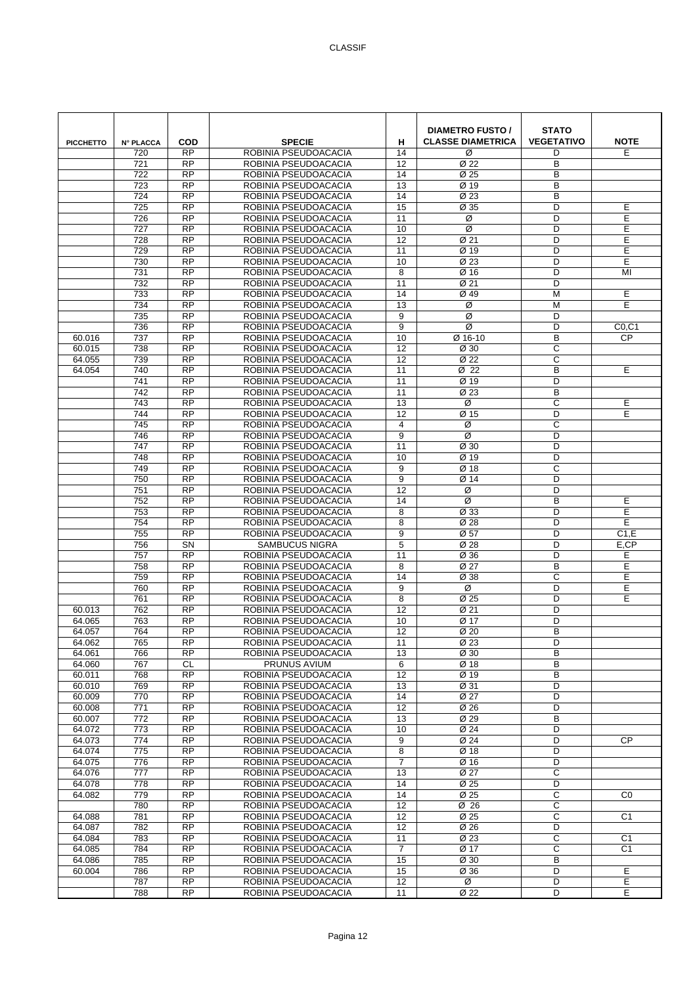| <b>PICCHETTO</b> | <b>N° PLACCA</b> | <b>COD</b>             | <b>SPECIE</b>                                | н                       | <b>DIAMETRO FUSTO /</b><br><b>CLASSE DIAMETRICA</b> | <b>STATO</b><br><b>VEGETATIVO</b> | <b>NOTE</b>    |
|------------------|------------------|------------------------|----------------------------------------------|-------------------------|-----------------------------------------------------|-----------------------------------|----------------|
|                  | 720              | <b>RP</b>              | ROBINIA PSEUDOACACIA                         | 14                      | Ø                                                   | D                                 | Е              |
|                  | 721              | <b>RP</b>              | ROBINIA PSEUDOACACIA                         | 12                      | Ø <sub>22</sub>                                     | B                                 |                |
|                  | 722              | $\overline{RP}$        | ROBINIA PSEUDOACACIA                         | 14                      | Ø 25                                                | в                                 |                |
|                  | 723              | <b>RP</b>              | ROBINIA PSEUDOACACIA                         | 13                      | Ø 19                                                | B                                 |                |
|                  | 724              | <b>RP</b>              | ROBINIA PSEUDOACACIA                         | 14                      | Ø 23                                                | B                                 |                |
|                  | 725              | <b>RP</b>              | ROBINIA PSEUDOACACIA                         | 15                      | Ø 35                                                | D                                 | Е              |
|                  | 726              | <b>RP</b>              | ROBINIA PSEUDOACACIA                         | 11                      | Ø                                                   | D                                 | Е              |
|                  | $\overline{727}$ | $\overline{RP}$        | ROBINIA PSEUDOACACIA                         | 10                      | Ø                                                   | D                                 | Е              |
|                  | 728              | <b>RP</b>              | ROBINIA PSEUDOACACIA                         | 12                      | Ø 21                                                | D                                 | E              |
|                  | 729              | <b>RP</b>              | ROBINIA PSEUDOACACIA                         | 11                      | Ø 19                                                | D                                 | Ε              |
|                  | 730              | <b>RP</b>              | ROBINIA PSEUDOACACIA                         | 10                      | Ø <sub>23</sub>                                     | D                                 | E              |
|                  | 731              | <b>RP</b>              | ROBINIA PSEUDOACACIA                         | 8                       | Ø 16                                                | D                                 | MI             |
|                  | 732              | <b>RP</b><br><b>RP</b> | ROBINIA PSEUDOACACIA                         | 11<br>14                | Ø 21<br>Ø 49                                        | D<br>M                            | Е              |
|                  | 733<br>734       | <b>RP</b>              | ROBINIA PSEUDOACACIA<br>ROBINIA PSEUDOACACIA | 13                      | Ø                                                   | M                                 | E              |
|                  | 735              | <b>RP</b>              | ROBINIA PSEUDOACACIA                         | 9                       | Ø                                                   | D                                 |                |
|                  | 736              | <b>RP</b>              | ROBINIA PSEUDOACACIA                         | 9                       | Ø                                                   | D                                 | CO, C1         |
| 60.016           | 737              | <b>RP</b>              | ROBINIA PSEUDOACACIA                         | 10                      | Ø 16-10                                             | B                                 | CP             |
| 60.015           | 738              | <b>RP</b>              | ROBINIA PSEUDOACACIA                         | 12                      | Ø 30                                                | C                                 |                |
| 64.055           | 739              | <b>RP</b>              | ROBINIA PSEUDOACACIA                         | 12                      | Ø 22                                                | C                                 |                |
| 64.054           | 740              | <b>RP</b>              | ROBINIA PSEUDOACACIA                         | 11                      | Ø 22                                                | B                                 | E              |
|                  | 741              | <b>RP</b>              | ROBINIA PSEUDOACACIA                         | 11                      | Ø 19                                                | D                                 |                |
|                  | 742              | <b>RP</b>              | ROBINIA PSEUDOACACIA                         | 11                      | Ø <sub>23</sub>                                     | B                                 |                |
|                  | 743              | <b>RP</b>              | ROBINIA PSEUDOACACIA                         | 13                      | Ø                                                   | C                                 | E              |
|                  | 744              | $\overline{RP}$        | ROBINIA PSEUDOACACIA                         | 12                      | Ø 15                                                | D                                 | Е              |
|                  | 745              | <b>RP</b>              | ROBINIA PSEUDOACACIA                         | $\overline{\mathbf{4}}$ | Ø                                                   | C                                 |                |
|                  | 746              | <b>RP</b>              | ROBINIA PSEUDOACACIA                         | 9                       | Ø                                                   | D                                 |                |
|                  | 747              | <b>RP</b>              | ROBINIA PSEUDOACACIA                         | 11                      | Ø 30                                                | D                                 |                |
|                  | 748              | <b>RP</b>              | ROBINIA PSEUDOACACIA                         | 10                      | Ø 19                                                | D                                 |                |
|                  | 749              | $\overline{RP}$        | ROBINIA PSEUDOACACIA                         | 9                       | Ø 18                                                | C                                 |                |
|                  | 750              | <b>RP</b>              | ROBINIA PSEUDOACACIA                         | 9                       | Ø 14                                                | D                                 |                |
|                  | 751              | <b>RP</b>              | ROBINIA PSEUDOACACIA                         | 12                      | Ø                                                   | D                                 |                |
|                  | 752              | <b>RP</b>              | ROBINIA PSEUDOACACIA                         | 14                      | $\overline{\varnothing}$                            | B                                 | E              |
|                  | 753              | <b>RP</b>              | ROBINIA PSEUDOACACIA                         | 8                       | Ø 33                                                | D                                 | Е              |
|                  | 754              | $\overline{RP}$        | ROBINIA PSEUDOACACIA                         | 8                       | Ø 28                                                | D                                 | E              |
|                  | 755              | <b>RP</b>              | ROBINIA PSEUDOACACIA                         | 9                       | Ø 57                                                | D                                 | C1,E           |
|                  | 756              | SN                     | <b>SAMBUCUS NIGRA</b>                        | 5                       | Ø 28                                                | D                                 | E,CP           |
|                  | 757              | <b>RP</b>              | ROBINIA PSEUDOACACIA                         | 11                      | Ø 36                                                | D                                 | Е              |
|                  | 758              | <b>RP</b>              | ROBINIA PSEUDOACACIA                         | 8                       | Ø 27                                                | B                                 | Е              |
|                  | 759              | <b>RP</b>              | ROBINIA PSEUDOACACIA                         | 14                      | Ø 38                                                | C                                 | E              |
|                  | 760              | <b>RP</b><br><b>RP</b> | ROBINIA PSEUDOACACIA<br>ROBINIA PSEUDOACACIA | 9<br>8                  | Ø                                                   | D<br>D                            | Ε<br>E         |
| 60.013           | 761<br>762       | <b>RP</b>              | ROBINIA PSEUDOACACIA                         | 12                      | Ø 25<br>Ø 21                                        | D                                 |                |
| 64.065           | 763              | <b>RP</b>              | ROBINIA PSEUDOACACIA                         | 10                      | Ø 17                                                | D                                 |                |
| 64.057           | 764              | $\overline{RP}$        | ROBINIA PSEUDOACACIA                         | 12                      | Ø 20                                                | B                                 |                |
| 64.062           | 765              | <b>RP</b>              | ROBINIA PSEUDOACACIA                         | 11                      | Ø 23                                                | D                                 |                |
| 64.061           | 766              | <b>RP</b>              | ROBINIA PSEUDOACACIA                         | 13                      | Ø 30                                                | B                                 |                |
| 64.060           | 767              | CL.                    | PRUNUS AVIUM                                 | 6                       | Ø 18                                                | B                                 |                |
| 60.011           | 768              | <b>RP</b>              | ROBINIA PSEUDOACACIA                         | 12                      | Ø 19                                                | B                                 |                |
| 60.010           | 769              | $\overline{RP}$        | ROBINIA PSEUDOACACIA                         | 13                      | Ø 31                                                | D                                 |                |
| 60.009           | 770              | $\overline{RP}$        | ROBINIA PSEUDOACACIA                         | 14                      | Ø 27                                                | D                                 |                |
| 60.008           | 771              | <b>RP</b>              | ROBINIA PSEUDOACACIA                         | 12                      | Ø 26                                                | D                                 |                |
| 60.007           | 772              | <b>RP</b>              | ROBINIA PSEUDOACACIA                         | 13                      | Ø 29                                                | B                                 |                |
| 64.072           | 773              | <b>RP</b>              | ROBINIA PSEUDOACACIA                         | 10                      | Ø 24                                                | D                                 |                |
| 64.073           | 774              | $\overline{RP}$        | ROBINIA PSEUDOACACIA                         | 9                       | Ø 24                                                | D                                 | <b>CP</b>      |
| 64.074           | 775              | <b>RP</b>              | ROBINIA PSEUDOACACIA                         | 8                       | Ø 18                                                | D                                 |                |
| 64.075           | 776              | <b>RP</b>              | ROBINIA PSEUDOACACIA                         | $\overline{7}$          | Ø 16                                                | D                                 |                |
| 64.076           | 777              | <b>RP</b>              | ROBINIA PSEUDOACACIA                         | 13                      | Ø 27                                                | C                                 |                |
| 64.078           | 778              | <b>RP</b>              | ROBINIA PSEUDOACACIA                         | 14                      | Ø 25                                                | D                                 |                |
| 64.082           | 779              | $\overline{RP}$        | ROBINIA PSEUDOACACIA                         | 14                      | Ø 25                                                | C                                 | C <sub>0</sub> |
|                  | 780<br>781       | RP<br><b>RP</b>        | ROBINIA PSEUDOACACIA                         | 12<br>12                | Ø 26<br>Ø 25                                        | C<br>C                            |                |
| 64.088           | 782              | <b>RP</b>              | ROBINIA PSEUDOACACIA<br>ROBINIA PSEUDOACACIA | 12                      | Ø 26                                                | D                                 | C1             |
| 64.087<br>64.084 | 783              | <b>RP</b>              | ROBINIA PSEUDOACACIA                         | 11                      | Ø 23                                                | C                                 | C1             |
| 64.085           | 784              | <b>RP</b>              | ROBINIA PSEUDOACACIA                         | 7                       | Ø 17                                                | С                                 | C1             |
| 64.086           | 785              | $\overline{RP}$        | ROBINIA PSEUDOACACIA                         | 15                      | Ø 30                                                | В                                 |                |
| 60.004           | 786              | RP                     | ROBINIA PSEUDOACACIA                         | 15                      | Ø 36                                                | D                                 | Е              |
|                  | 787              | <b>RP</b>              | ROBINIA PSEUDOACACIA                         | 12                      | Ø                                                   | D                                 | Е              |
|                  | 788              | <b>RP</b>              | ROBINIA PSEUDOACACIA                         | 11                      | Ø 22                                                | D                                 | E              |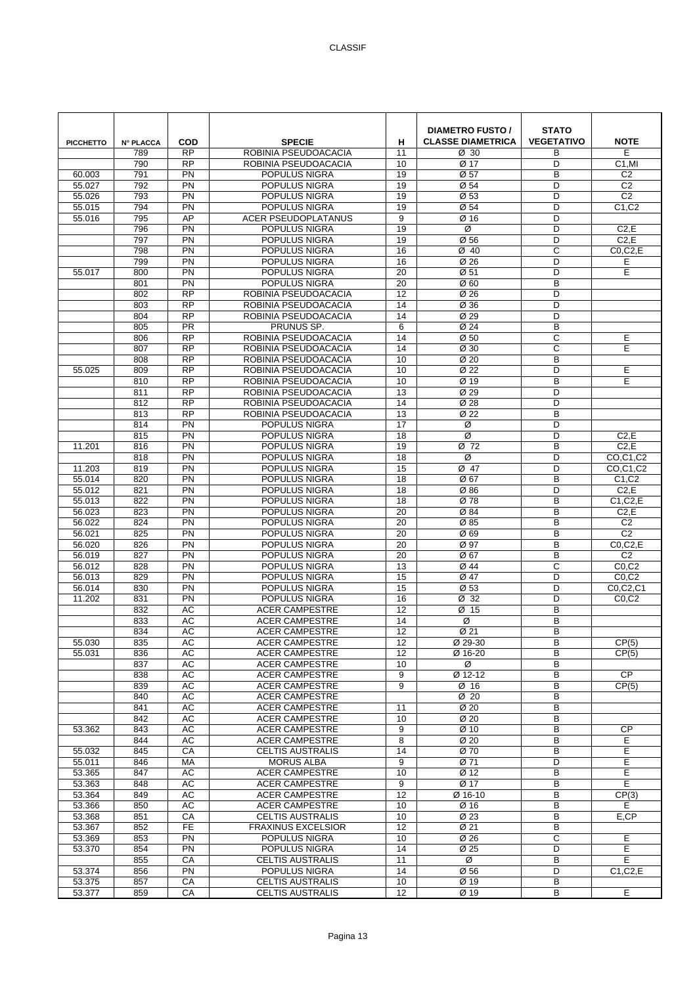| <b>PICCHETTO</b> | <b>N° PLACCA</b> | <b>COD</b>             | <b>SPECIE</b>                                  | н                     | <b>DIAMETRO FUSTO /</b><br><b>CLASSE DIAMETRICA</b> | <b>STATO</b><br><b>VEGETATIVO</b> | <b>NOTE</b>                      |
|------------------|------------------|------------------------|------------------------------------------------|-----------------------|-----------------------------------------------------|-----------------------------------|----------------------------------|
|                  | 789              | <b>RP</b>              | ROBINIA PSEUDOACACIA                           | 11                    | $\varnothing$ 30                                    | В                                 | E                                |
|                  | 790              | <b>RP</b><br>PN        | ROBINIA PSEUDOACACIA                           | 10                    | Ø 17                                                | D<br>B                            | C <sub>1</sub> ,MI               |
| 60.003<br>55.027 | 791<br>792       | PN                     | POPULUS NIGRA<br>POPULUS NIGRA                 | 19<br>19              | Ø 57<br>Ø 54                                        | D                                 | C <sub>2</sub><br>C <sub>2</sub> |
| 55.026           | 793              | PN                     | POPULUS NIGRA                                  | 19                    | Ø 53                                                | D                                 | C <sub>2</sub>                   |
| 55.015           | 794              | PN                     | POPULUS NIGRA                                  | 19                    | Ø 54                                                | D                                 | C1,C2                            |
| 55.016           | 795              | AP                     | <b>ACER PSEUDOPLATANUS</b>                     | 9                     | Ø 16                                                | D                                 |                                  |
|                  | 796              | PN                     | POPULUS NIGRA                                  | 19                    | Ø                                                   | D                                 | C2, E                            |
|                  | 797              | $\overline{PN}$        | POPULUS NIGRA                                  | 19                    | Ø 56                                                | D                                 | C2,E                             |
|                  | 798              | PN                     | POPULUS NIGRA                                  | 16                    | Ø40                                                 | C                                 | $CO$ , $C$ $2$ , $E$             |
|                  | 799              | PN                     | POPULUS NIGRA                                  | 16                    | Ø 26                                                | D                                 | Е                                |
| 55.017           | 800              | PN                     | POPULUS NIGRA                                  | 20                    | Ø 51                                                | D                                 | E                                |
|                  | 801              | PN                     | POPULUS NIGRA                                  | 20                    | Ø <sub>60</sub>                                     | B                                 |                                  |
|                  | 802              | $\overline{RP}$        | ROBINIA PSEUDOACACIA                           | $\overline{12}$       | Ø 26                                                | D                                 |                                  |
|                  | 803              | $\overline{RP}$        | ROBINIA PSEUDOACACIA                           | 14                    | Ø 36                                                | D                                 |                                  |
|                  | 804              | <b>RP</b>              | ROBINIA PSEUDOACACIA                           | 14                    | Ø 29                                                | D                                 |                                  |
|                  | 805              | <b>PR</b>              | PRUNUS SP.                                     | 6                     | Ø 24                                                | B                                 |                                  |
|                  | 806              | <b>RP</b>              | ROBINIA PSEUDOACACIA                           | 14                    | Ø 50                                                | C                                 | Е                                |
|                  | 807              | $\overline{RP}$        | ROBINIA PSEUDOACACIA                           | 14                    | Ø 30                                                | C                                 | E                                |
|                  | 808              | <b>RP</b>              | ROBINIA PSEUDOACACIA                           | 10                    | Ø 20                                                | B                                 |                                  |
| 55.025           | 809<br>810       | <b>RP</b><br><b>RP</b> | ROBINIA PSEUDOACACIA<br>ROBINIA PSEUDOACACIA   | 10<br>10              | Ø 22<br>Ø 19                                        | D<br>B                            | E<br>E                           |
|                  | 811              | <b>RP</b>              | ROBINIA PSEUDOACACIA                           | 13                    | Ø 29                                                | D                                 |                                  |
|                  | 812              | RP                     | ROBINIA PSEUDOACACIA                           | 14                    | Ø 28                                                | D                                 |                                  |
|                  | 813              | <b>RP</b>              | ROBINIA PSEUDOACACIA                           | 13                    | Ø 22                                                | B                                 |                                  |
|                  | 814              | PN                     | POPULUS NIGRA                                  | 17                    | Ø                                                   | D                                 |                                  |
|                  | 815              | PN                     | POPULUS NIGRA                                  | 18                    | Ø                                                   | D                                 | C2,E                             |
| 11.201           | 816              | PN                     | POPULUS NIGRA                                  | 19                    | Ø 72                                                | B                                 | C2, E                            |
|                  | 818              | PN                     | POPULUS NIGRA                                  | 18                    | Ø                                                   | D                                 | CO.C1.C2                         |
| 11.203           | 819              | PN                     | POPULUS NIGRA                                  | 15                    | Ø 47                                                | D                                 | CO,C1,C2                         |
| 55.014           | 820              | PN                     | POPULUS NIGRA                                  | 18                    | Ø 67                                                | B                                 | C1, C2                           |
| 55.012           | 821              | PN                     | POPULUS NIGRA                                  | 18                    | Ø 86                                                | D                                 | C2, E                            |
| 55.013           | 822              | PN                     | POPULUS NIGRA                                  | 18                    | Ø 78                                                | B                                 | C1.C2.E                          |
| 56.023           | 823<br>824       | PN<br>PN               | POPULUS NIGRA                                  | 20<br>$\overline{20}$ | Ø 84<br>Ø 85                                        | B<br>B                            | C2,E<br>C <sub>2</sub>           |
| 56.022<br>56.021 | 825              | PN                     | POPULUS NIGRA<br>POPULUS NIGRA                 | 20                    | Ø 69                                                | B                                 | C <sub>2</sub>                   |
| 56.020           | 826              | PN                     | POPULUS NIGRA                                  | 20                    | Ø 97                                                | B                                 | $CO$ , $C$ $2$ , $E$             |
| 56.019           | 827              | PN                     | POPULUS NIGRA                                  | 20                    | Ø 67                                                | B                                 | C <sub>2</sub>                   |
| 56.012           | 828              | PN                     | POPULUS NIGRA                                  | 13                    | Ø 44                                                | C                                 | CO, C2                           |
| 56.013           | 829              | PN                     | POPULUS NIGRA                                  | 15                    | Ø 47                                                | D                                 | CO, C2                           |
| 56.014           | 830              | PN                     | POPULUS NIGRA                                  | 15                    | Ø 53                                                | D                                 | C0,C2,C1                         |
| 11.202           | 831              | PN                     | POPULUS NIGRA                                  | 16                    | Ø 32                                                | D                                 | CO, C2                           |
|                  | 832              | AC                     | <b>ACER CAMPESTRE</b>                          | 12                    | Ø 15                                                | B                                 |                                  |
|                  | 833              | <b>AC</b>              | <b>ACER CAMPESTRE</b>                          | 14                    | Ø                                                   | B                                 |                                  |
|                  | 834              | АC                     | <b>ACER CAMPESTRE</b>                          | 12                    | Ø 21                                                | B                                 |                                  |
| 55.030<br>55.031 | 835<br>836       | АC<br>AC               | <b>ACER CAMPESTRE</b><br><b>ACER CAMPESTRE</b> | 12<br>12              | Ø 29-30<br>Ø 16-20                                  | B<br>B                            | CP(5)                            |
|                  | 837              | AC                     | <b>ACER CAMPESTRE</b>                          | 10                    | Ø                                                   | B                                 | CP(5)                            |
|                  | 838              | AC                     | <b>ACER CAMPESTRE</b>                          | 9                     | Ø 12-12                                             | B                                 | <b>CP</b>                        |
|                  | 839              | AC                     | <b>ACER CAMPESTRE</b>                          | 9                     | Ø 16                                                | B                                 | CP(5)                            |
|                  | 840              | <b>AC</b>              | <b>ACER CAMPESTRE</b>                          |                       | $\overline{\emptyset}$ 20                           | B                                 |                                  |
|                  | 841              | AC                     | <b>ACER CAMPESTRE</b>                          | 11                    | Ø 20                                                | B                                 |                                  |
|                  | 842              | AC                     | <b>ACER CAMPESTRE</b>                          | 10                    | Ø 20                                                | B                                 |                                  |
| 53.362           | 843              | AC                     | <b>ACER CAMPESTRE</b>                          | 9                     | Ø 10                                                | B                                 | <b>CP</b>                        |
|                  | 844              | AC                     | <b>ACER CAMPESTRE</b>                          | 8                     | Ø 20                                                | B                                 | E                                |
| 55.032           | 845              | CA                     | <b>CELTIS AUSTRALIS</b>                        | 14                    | Ø 70                                                | B                                 | E                                |
| 55.011<br>53.365 | 846<br>847       | MA<br>AC               | <b>MORUS ALBA</b><br><b>ACER CAMPESTRE</b>     | 9<br>10               | Ø 71<br>Ø 12                                        | D<br>B                            | E<br>Е                           |
| 53.363           | 848              | AC                     | <b>ACER CAMPESTRE</b>                          | 9                     | Ø 17                                                | B                                 | E                                |
| 53.364           | 849              | AC                     | <b>ACER CAMPESTRE</b>                          | 12                    | Ø 16-10                                             | B                                 | CP(3)                            |
| 53.366           | 850              | AC                     | <b>ACER CAMPESTRE</b>                          | 10                    | Ø 16                                                | B                                 | E.                               |
| 53.368           | 851              | CA                     | <b>CELTIS AUSTRALIS</b>                        | 10                    | Ø 23                                                | B                                 | E,CP                             |
| 53.367           | 852              | <b>FE</b>              | <b>FRAXINUS EXCELSIOR</b>                      | 12                    | Ø 21                                                | B                                 |                                  |
| 53.369           | 853              | PN                     | POPULUS NIGRA                                  | 10                    | Ø 26                                                | C                                 | Е                                |
| 53.370           | 854              | PN                     | POPULUS NIGRA                                  | 14                    | Ø 25                                                | D                                 | E                                |
|                  | 855              | CA                     | <b>CELTIS AUSTRALIS</b>                        | 11                    | Ø                                                   | B                                 | E                                |
| 53.374<br>53.375 | 856<br>857       | PN<br>${\sf CA}$       | POPULUS NIGRA<br><b>CELTIS AUSTRALIS</b>       | 14<br>10              | Ø 56<br>Ø 19                                        | D<br>B                            | C1, C2, E                        |
| 53.377           | 859              | CA                     | CELTIS AUSTRALIS                               | 12                    | Ø 19                                                | B                                 | E                                |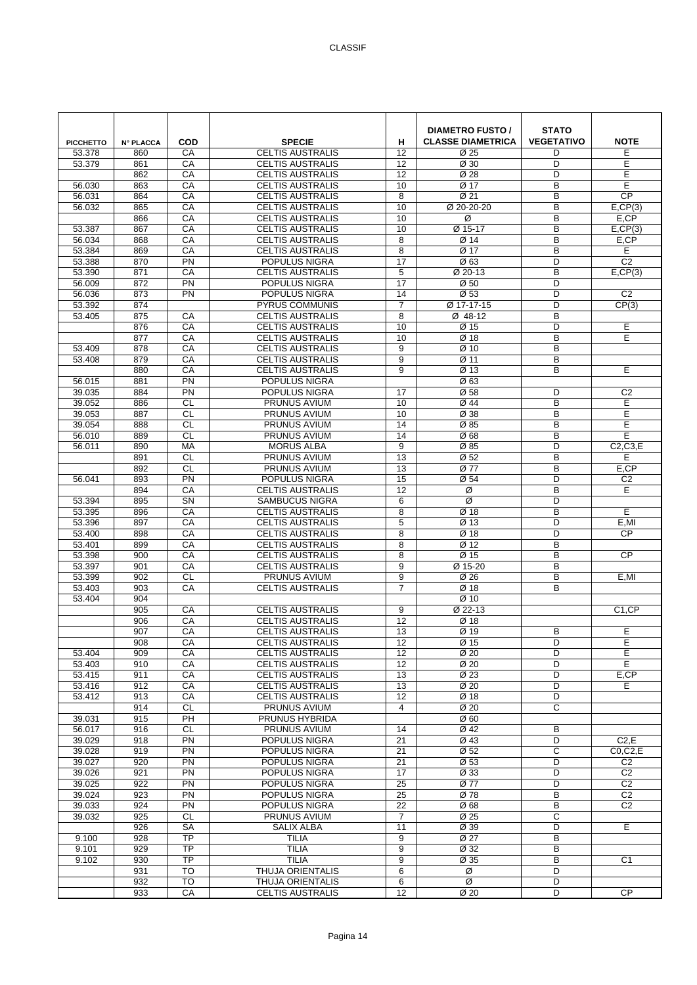| <b>PICCHETTO</b> | <b>N° PLACCA</b> | COD                          | <b>SPECIE</b>                                      | н                     | <b>DIAMETRO FUSTO /</b><br><b>CLASSE DIAMETRICA</b> | <b>STATO</b><br><b>VEGETATIVO</b> | <b>NOTE</b>                            |
|------------------|------------------|------------------------------|----------------------------------------------------|-----------------------|-----------------------------------------------------|-----------------------------------|----------------------------------------|
| 53.378<br>53.379 | 860<br>861       | CA<br>CA                     | <b>CELTIS AUSTRALIS</b><br><b>CELTIS AUSTRALIS</b> | 12<br>12              | Ø 25<br>Ø 30                                        | D<br>D                            | E<br>E                                 |
|                  | 862              | CA                           | <b>CELTIS AUSTRALIS</b>                            | 12                    | Ø 28                                                | D                                 | E                                      |
| 56.030           | 863              | CA                           | <b>CELTIS AUSTRALIS</b>                            | 10                    | Ø 17                                                | B                                 | E                                      |
| 56.031           | 864              | CA                           | <b>CELTIS AUSTRALIS</b>                            | 8                     | Ø 21                                                | B                                 | CP                                     |
| 56.032           | 865              | CA                           | <b>CELTIS AUSTRALIS</b>                            | 10                    | Ø 20-20-20                                          | B                                 | E, CP(3)                               |
|                  | 866              | CA                           | <b>CELTIS AUSTRALIS</b>                            | 10                    | Ø                                                   | B                                 | E,CP                                   |
| 53.387           | 867              | CA                           | <b>CELTIS AUSTRALIS</b>                            | 10                    | $Ø$ 15-17                                           | B                                 | E.CP(3)                                |
| 56.034<br>53.384 | 868<br>869       | CA<br>CA                     | <b>CELTIS AUSTRALIS</b><br><b>CELTIS AUSTRALIS</b> | 8<br>8                | Ø 14<br>Ø 17                                        | B<br>B                            | E,CP<br>E                              |
| 53.388           | 870              | PN                           | POPULUS NIGRA                                      | 17                    | Ø63                                                 | D                                 | C <sub>2</sub>                         |
| 53.390           | 871              | CA                           | <b>CELTIS AUSTRALIS</b>                            | 5                     | Ø 20-13                                             | B                                 | E, CP(3)                               |
| 56.009           | 872              | PN                           | POPULUS NIGRA                                      | $\overline{17}$       | Ø 50                                                | D                                 |                                        |
| 56.036           | 873              | PN                           | POPULUS NIGRA                                      | 14                    | Ø 53                                                | D                                 | C <sub>2</sub>                         |
| 53.392           | 874              |                              | <b>PYRUS COMMUNIS</b>                              | $\overline{7}$        | Ø 17-17-15                                          | D                                 | CP(3)                                  |
| 53.405           | 875              | CA                           | <b>CELTIS AUSTRALIS</b>                            | 8                     | Ø 48-12                                             | B                                 |                                        |
|                  | 876              | CA                           | <b>CELTIS AUSTRALIS</b>                            | 10                    | Ø 15                                                | D                                 | E                                      |
|                  | 877              | CA                           | <b>CELTIS AUSTRALIS</b>                            | 10                    | Ø 18                                                | B                                 | E                                      |
| 53.409<br>53.408 | 878<br>879       | CA<br>CA                     | <b>CELTIS AUSTRALIS</b><br><b>CELTIS AUSTRALIS</b> | 9<br>9                | Ø 10<br>Ø 11                                        | B<br>B                            |                                        |
|                  | 880              | CA                           | <b>CELTIS AUSTRALIS</b>                            | 9                     | Ø 13                                                | B                                 | E                                      |
| 56.015           | 881              | PN                           | POPULUS NIGRA                                      |                       | Ø63                                                 |                                   |                                        |
| 39.035           | 884              | PN                           | POPULUS NIGRA                                      | 17                    | Ø 58                                                | D                                 | C <sub>2</sub>                         |
| 39.052           | 886              | <b>CL</b>                    | PRUNUS AVIUM                                       | 10                    | Ø 44                                                | B                                 | E                                      |
| 39.053           | 887              | CL                           | <b>PRUNUS AVIUM</b>                                | 10                    | Ø 38                                                | B                                 | E                                      |
| 39.054           | 888              | <b>CL</b>                    | PRUNUS AVIUM                                       | 14                    | Ø 85                                                | B                                 | E                                      |
| 56.010           | 889              | <b>CL</b>                    | PRUNUS AVIUM                                       | 14                    | Ø68                                                 | B                                 | E                                      |
| 56.011           | 890              | <b>MA</b>                    | <b>MORUS ALBA</b>                                  | 9                     | Ø 85                                                | D                                 | C2,C3,E                                |
|                  | 891<br>892       | <b>CL</b><br><b>CL</b>       | <b>PRUNUS AVIUM</b><br><b>PRUNUS AVIUM</b>         | 13<br>$\overline{13}$ | Ø 52<br>$\overline{\emptyset 77}$                   | B<br>B                            | E<br>E,CP                              |
| 56.041           | 893              | PN                           | POPULUS NIGRA                                      | 15                    | Ø 54                                                | D                                 | C <sub>2</sub>                         |
|                  | 894              | CA                           | <b>CELTIS AUSTRALIS</b>                            | 12                    | Ø                                                   | B                                 | E                                      |
| 53.394           | 895              | SN                           | <b>SAMBUCUS NIGRA</b>                              | 6                     | Ø                                                   | D                                 |                                        |
| 53.395           | 896              | CA                           | <b>CELTIS AUSTRALIS</b>                            | 8                     | Ø 18                                                | B                                 | E                                      |
| 53.396           | 897              | CA                           | <b>CELTIS AUSTRALIS</b>                            | 5                     | Ø 13                                                | D                                 | E,MI                                   |
| 53.400           | 898              | CA                           | <b>CELTIS AUSTRALIS</b>                            | 8                     | Ø 18                                                | D                                 | <b>CP</b>                              |
| 53.401           | 899              | CA                           | <b>CELTIS AUSTRALIS</b>                            | 8                     | Ø 12                                                | B                                 |                                        |
| 53.398<br>53.397 | 900<br>901       | CA<br>CA                     | <b>CELTIS AUSTRALIS</b><br><b>CELTIS AUSTRALIS</b> | 8<br>9                | Ø 15<br>Ø 15-20                                     | B<br>B                            | <b>CP</b>                              |
| 53.399           | 902              | $\overline{c}$               | <b>PRUNUS AVIUM</b>                                | 9                     | Ø 26                                                | B                                 | E,MI                                   |
| 53.403           | 903              | CA                           | <b>CELTIS AUSTRALIS</b>                            | 7                     | Ø 18                                                | B                                 |                                        |
| 53.404           | 904              |                              |                                                    |                       | Ø 10                                                |                                   |                                        |
|                  | 905              | CA                           | <b>CELTIS AUSTRALIS</b>                            | 9                     | Ø 22-13                                             |                                   | C <sub>1</sub> ,CP                     |
|                  | 906              | CA                           | <b>CELTIS AUSTRALIS</b>                            | 12                    | Ø 18                                                |                                   |                                        |
|                  | 907              | CA                           | <b>CELTIS AUSTRALIS</b>                            | 13                    | Ø 19                                                | B                                 | E                                      |
|                  | 908              | СA                           | <b>CELTIS AUSTRALIS</b>                            | 12                    | Ø 15                                                | D                                 | Ε                                      |
| 53.404           | 909<br>910       | CA<br>CA                     | <b>CELTIS AUSTRALIS</b>                            | 12<br>12              | Ø 20                                                | D<br>D                            | E<br>E                                 |
| 53.403<br>53.415 | 911              | CA                           | <b>CELTIS AUSTRALIS</b><br><b>CELTIS AUSTRALIS</b> | 13                    | Ø 20<br>Ø 23                                        | D                                 | E,CP                                   |
| 53.416           | 912              | CA                           | <b>CELTIS AUSTRALIS</b>                            | 13                    | Ø 20                                                | D                                 | E.                                     |
| 53.412           | 913              | CA                           | <b>CELTIS AUSTRALIS</b>                            | $\overline{12}$       | Ø 18                                                | D                                 |                                        |
|                  | 914              | <b>CL</b>                    | PRUNUS AVIUM                                       | $\overline{4}$        | Ø 20                                                | C                                 |                                        |
| 39.031           | 915              | PH                           | PRUNUS HYBRIDA                                     |                       | Ø 60                                                |                                   |                                        |
| 56.017           | 916              | CL                           | PRUNUS AVIUM                                       | 14                    | Ø 42                                                | В                                 |                                        |
| 39.029           | 918              | $\overline{PN}$              | POPULUS NIGRA                                      | 21                    | Ø 43                                                | D                                 | C2,E                                   |
| 39.028<br>39.027 | 919<br>920       | $\overline{PN}$<br>PN        | POPULUS NIGRA<br>POPULUS NIGRA                     | 21<br>21              | Ø 52<br>Ø 53                                        | C<br>D                            | $CO$ , $C$ $2$ , $E$<br>C <sub>2</sub> |
| 39.026           | 921              | PN                           | POPULUS NIGRA                                      | 17                    | Ø 33                                                | D                                 | C <sub>2</sub>                         |
| 39.025           | 922              | PN                           | POPULUS NIGRA                                      | 25                    | Ø 77                                                | D                                 | C <sub>2</sub>                         |
| 39.024           | 923              | $\overline{PN}$              | POPULUS NIGRA                                      | 25                    | Ø 78                                                | B                                 | C <sub>2</sub>                         |
| 39.033           | 924              | $\overline{PN}$              | POPULUS NIGRA                                      | $\overline{22}$       | Ø68                                                 | B                                 | C <sub>2</sub>                         |
| 39.032           | 925              | <b>CL</b>                    | PRUNUS AVIUM                                       | $\overline{7}$        | Ø 25                                                | C                                 |                                        |
|                  | 926              | <b>SA</b>                    | <b>SALIX ALBA</b>                                  | 11                    | Ø 39                                                | D                                 | E                                      |
| 9.100            | 928              | $\overline{TP}$              | <b>TILIA</b>                                       | 9                     | Ø 27                                                | B                                 |                                        |
| 9.101            | 929              | $\overline{TP}$<br><b>TP</b> | <b>TILIA</b><br><b>TILIA</b>                       | 9<br>9                | Ø 32                                                | В<br>B                            |                                        |
| 9.102            | 930<br>931       | <b>TO</b>                    | THUJA ORIENTALIS                                   | 6                     | Ø 35<br>Ø                                           | D                                 | C <sub>1</sub>                         |
|                  | 932              | <b>TO</b>                    | THUJA ORIENTALIS                                   | 6                     | Ø                                                   | D                                 |                                        |
|                  | 933              | CA                           | <b>CELTIS AUSTRALIS</b>                            | 12                    | Ø 20                                                | D                                 | CP                                     |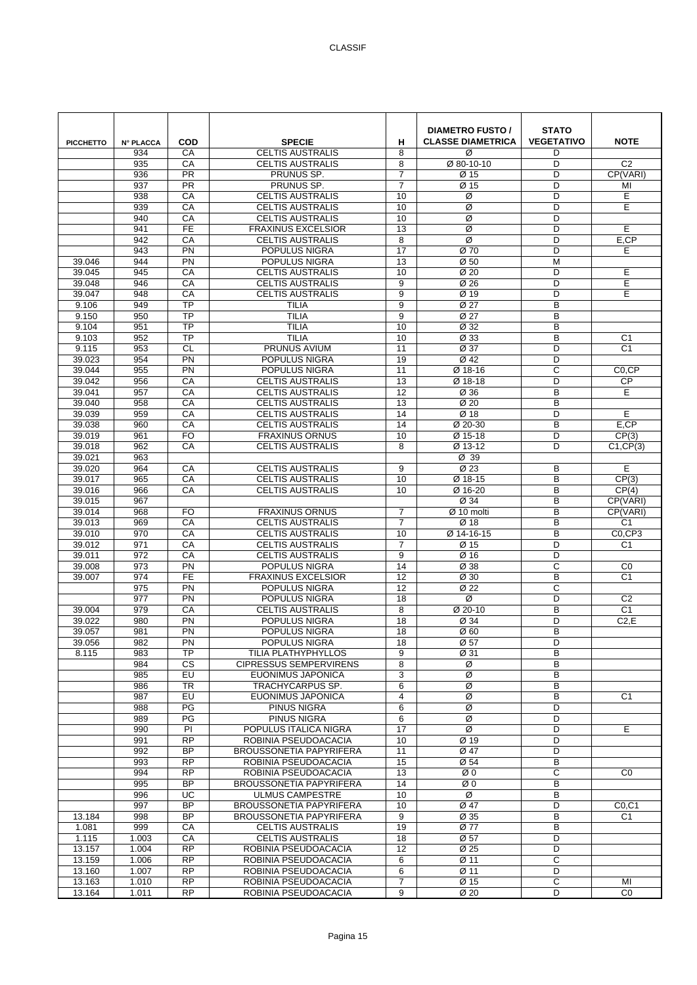| <b>PICCHETTO</b> | <b>N° PLACCA</b> | <b>COD</b>      | <b>SPECIE</b><br><b>CELTIS AUSTRALIS</b> | н               | <b>DIAMETRO FUSTO /</b><br><b>CLASSE DIAMETRICA</b> | <b>STATO</b><br><b>VEGETATIVO</b> | <b>NOTE</b>                |
|------------------|------------------|-----------------|------------------------------------------|-----------------|-----------------------------------------------------|-----------------------------------|----------------------------|
|                  | 934              | CA              |                                          | 8               | Ø                                                   | D                                 |                            |
|                  | 935<br>936       | CA<br><b>PR</b> | <b>CELTIS AUSTRALIS</b><br>PRUNUS SP.    | 8<br>7          | Ø 80-10-10<br>Ø 15                                  | D<br>D                            | C <sub>2</sub><br>CP(VARI) |
|                  | 937              | $\overline{PR}$ | PRUNUS SP.                               | $\overline{7}$  | $\overline{\emptyset}$ 15                           | D                                 | MI                         |
|                  | 938              | CA              | CELTIS AUSTRALIS                         | 10              | Ø                                                   | D                                 | E                          |
|                  | 939              | CA              | <b>CELTIS AUSTRALIS</b>                  | 10              | Ø                                                   | D                                 | E                          |
|                  | 940              | CA              | <b>CELTIS AUSTRALIS</b>                  | 10              | Ø                                                   | D                                 |                            |
|                  | 941              | <b>FE</b>       | <b>FRAXINUS EXCELSIOR</b>                | 13              | Ø                                                   | D                                 | E                          |
|                  | 942              | CA              | <b>CELTIS AUSTRALIS</b>                  | 8               | Ø                                                   | D                                 | $E,$ CP                    |
|                  | 943              | PN              | POPULUS NIGRA                            | 17              | Ø 70                                                | D                                 | Е                          |
| 39.046           | 944              | $\overline{PN}$ | POPULUS NIGRA                            | 13              | Ø 50                                                | M                                 |                            |
| 39.045           | 945              | CA              | <b>CELTIS AUSTRALIS</b>                  | 10              | Ø <sub>20</sub>                                     | D                                 | E                          |
| 39.048           | 946              | CA              | <b>CELTIS AUSTRALIS</b>                  | 9               | Ø 26                                                | D                                 | E                          |
| 39.047           | 948              | CA              | <b>CELTIS AUSTRALIS</b>                  | 9               | Ø 19                                                | D                                 | E                          |
| 9.106            | 949              | <b>TP</b>       | <b>TILIA</b>                             | 9               | Ø 27                                                | B                                 |                            |
| 9.150            | 950              | $\overline{TP}$ | <b>TILIA</b>                             | 9               | Ø 27                                                | B                                 |                            |
| 9.104            | 951              | <b>TP</b>       | <b>TILIA</b>                             | 10              | Ø 32                                                | B                                 |                            |
| 9.103            | 952              | $\overline{TP}$ | <b>TILIA</b>                             | 10              | Ø 33                                                | B                                 | C <sub>1</sub>             |
| 9.115            | 953              | $\overline{c}$  | <b>PRUNUS AVIUM</b>                      | 11              | Ø 37                                                | D                                 | C <sub>1</sub>             |
| 39.023           | 954              | PN              | POPULUS NIGRA                            | 19              | Ø 42                                                | D                                 |                            |
| 39.044           | 955              | PN              | POPULUS NIGRA                            | 11              | Ø 18-16                                             | C                                 | C <sub>0.</sub> CP         |
| 39.042           | 956              | CA              | <b>CELTIS AUSTRALIS</b>                  | 13              | Ø 18-18                                             | D                                 | <b>CP</b>                  |
| 39.041           | 957              | CA              | <b>CELTIS AUSTRALIS</b>                  | 12              | Ø 36                                                | B                                 | E                          |
| 39.040           | 958              | CA              | <b>CELTIS AUSTRALIS</b>                  | $\overline{13}$ | $\overline{\emptyset}$ 20                           | B                                 |                            |
| 39.039           | 959              | CA              | <b>CELTIS AUSTRALIS</b>                  | 14              | $\overline{\emptyset}$ 18                           | D                                 | E                          |
| 39.038           | 960              | CA              | <b>CELTIS AUSTRALIS</b>                  | 14              | Ø 20-30                                             | B                                 | E,CP                       |
| 39.019           | 961              | <b>FO</b>       | <b>FRAXINUS ORNUS</b>                    | 10              | Ø 15-18                                             | D                                 | CP(3)                      |
| 39.018           | 962              | CA              | <b>CELTIS AUSTRALIS</b>                  | 8               | Ø 13-12                                             | D                                 | C1.CP(3)                   |
| 39.021           | 963              |                 |                                          |                 | Ø 39                                                |                                   |                            |
| 39.020           | 964              | CA              | <b>CELTIS AUSTRALIS</b>                  | 9               | Ø 23                                                | B                                 | E                          |
| 39.017           | 965              | CA              | <b>CELTIS AUSTRALIS</b>                  | 10              | Ø 18-15                                             | B                                 | CP(3)                      |
| 39.016           | 966              | CA              | <b>CELTIS AUSTRALIS</b>                  | 10              | Ø 16-20                                             | B                                 | CP(4)                      |
| 39.015           | 967              |                 |                                          |                 | Ø 34                                                | B                                 | CP(VARI)                   |
| 39.014           | 968              | FO              | <b>FRAXINUS ORNUS</b>                    | 7               | $\overline{\varnothing}$ 10 molti                   | B                                 | CP(VARI)                   |
| 39.013           | 969              | CA              | <b>CELTIS AUSTRALIS</b>                  | 7               | $\overline{\emptyset}$ 18                           | B                                 | C <sub>1</sub>             |
| 39.010           | 970              | CA              | <b>CELTIS AUSTRALIS</b>                  | 10              | Ø 14-16-15                                          | B                                 | $\overline{CO,CP}$ 3       |
| 39.012           | 971              | CA              | <b>CELTIS AUSTRALIS</b>                  | $\overline{7}$  | Ø 15                                                | D                                 | C <sub>1</sub>             |
| 39.011           | 972              | CA              | <b>CELTIS AUSTRALIS</b>                  | 9               | Ø 16                                                | D                                 |                            |
| 39.008           | 973              | PN              | POPULUS NIGRA                            | 14              | Ø 38                                                | C                                 | CO                         |
| 39.007           | 974              | <b>FE</b>       | <b>FRAXINUS EXCELSIOR</b>                | 12              | Ø 30                                                | B                                 | C <sub>1</sub>             |
|                  | 975              | PN              | POPULUS NIGRA                            | 12              | Ø 22                                                | C                                 |                            |
|                  | 977              | PN              | POPULUS NIGRA                            | 18              | Ø                                                   | D                                 | C <sub>2</sub>             |
| 39.004           | 979              | CA              | <b>CELTIS AUSTRALIS</b>                  | 8               | Ø 20-10                                             | B                                 | C <sub>1</sub>             |
| 39.022           | 980              | PN              | POPULUS NIGRA                            | 18              | Ø 34                                                | D                                 | C2,E                       |
| 39.057           | 981              | $\overline{PN}$ | <b>POPULUS NIGRA</b>                     | 18              | $\overline{\emptyset}$ 60                           | B                                 |                            |
| 39.056           | 982              | <b>PN</b>       | POPULUS NIGRA                            | 18              | Ø 57                                                | D                                 |                            |
| 8.115            | 983              | TP              | TILIA PLATHYPHYLLOS                      | 9               | Ø 31                                                | B                                 |                            |
|                  | 984              | <b>CS</b>       | <b>CIPRESSUS SEMPERVIRENS</b>            | 8               | Ø                                                   | B                                 |                            |
|                  | 985<br>986       | EU<br>TR        | EUONIMUS JAPONICA<br>TRACHYCARPUS SP.    | 3<br>6          | Ø<br>Ø                                              | B<br>B                            |                            |
|                  | 987              | EU              | EUONIMUS JAPONICA                        | 4               | Ø                                                   | B                                 | C <sub>1</sub>             |
|                  | 988              | PG              | PINUS NIGRA                              | 6               | Ø                                                   | D                                 |                            |
|                  | 989              | PG              | <b>PINUS NIGRA</b>                       | 6               | Ø                                                   | D                                 |                            |
|                  | 990              | PI              | POPULUS ITALICA NIGRA                    | 17              | Ø                                                   | D                                 | E                          |
|                  | 991              | $\overline{RP}$ | ROBINIA PSEUDOACACIA                     | 10              | Ø 19                                                | D                                 |                            |
|                  | 992              | BP              | <b>BROUSSONETIA PAPYRIFERA</b>           | 11              | Ø 47                                                | D                                 |                            |
|                  | 993              | <b>RP</b>       | ROBINIA PSEUDOACACIA                     | 15              | Ø 54                                                | В                                 |                            |
|                  | 994              | <b>RP</b>       | ROBINIA PSEUDOACACIA                     | 13              | ØΟ                                                  | C                                 | CO                         |
|                  | 995              | BP              | <b>BROUSSONETIA PAPYRIFERA</b>           | 14              | ØΟ                                                  | B                                 |                            |
|                  | 996              | $\overline{UC}$ | <b>ULMUS CAMPESTRE</b>                   | 10              | Ø                                                   | B                                 |                            |
|                  | 997              | $\overline{BP}$ | <b>BROUSSONETIA PAPYRIFERA</b>           | 10              | Ø 47                                                | D                                 | CO, C1                     |
| 13.184           | 998              | <b>BP</b>       | <b>BROUSSONETIA PAPYRIFERA</b>           | 9               | Ø 35                                                | B                                 | C <sub>1</sub>             |
| 1.081            | 999              | CA              | <b>CELTIS AUSTRALIS</b>                  | 19              | Ø 77                                                | B                                 |                            |
| 1.115            | 1.003            | CA              | <b>CELTIS AUSTRALIS</b>                  | 18              | Ø 57                                                | D                                 |                            |
| 13.157           | 1.004            | $\overline{RP}$ | ROBINIA PSEUDOACACIA                     | 12              | Ø 25                                                | D                                 |                            |
| 13.159           | 1.006            | <b>RP</b>       | ROBINIA PSEUDOACACIA                     | 6               | Ø 11                                                | C                                 |                            |
| 13.160           | 1.007            | <b>RP</b>       | ROBINIA PSEUDOACACIA                     | 6               | Ø 11                                                | D                                 |                            |
| 13.163           | 1.010            | <b>RP</b>       | ROBINIA PSEUDOACACIA                     | 7               | Ø 15                                                | $\mathsf C$                       | MI                         |
| 13.164           | 1.011            | <b>RP</b>       | ROBINIA PSEUDOACACIA                     | 9               | $\overline{\emptyset 20}$                           | D                                 | CO                         |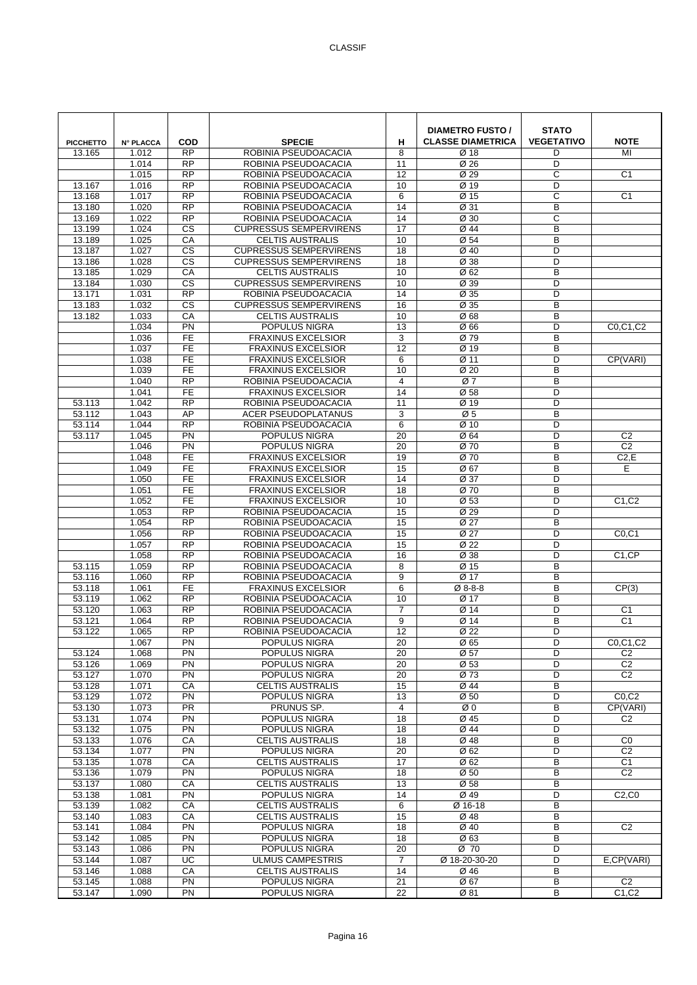| <b>PICCHETTO</b> | <b>N° PLACCA</b> | <b>COD</b>                   | <b>SPECIE</b>                                            | н                     | <b>DIAMETRO FUSTO /</b><br><b>CLASSE DIAMETRICA</b> | <b>STATO</b><br><b>VEGETATIVO</b> | <b>NOTE</b>                      |
|------------------|------------------|------------------------------|----------------------------------------------------------|-----------------------|-----------------------------------------------------|-----------------------------------|----------------------------------|
| 13.165           | 1.012            | <b>RP</b>                    | ROBINIA PSEUDOACACIA                                     | 8                     | Ø 18                                                | D                                 | MI                               |
|                  | 1.014<br>1.015   | <b>RP</b><br>$\overline{RP}$ | ROBINIA PSEUDOACACIA<br>ROBINIA PSEUDOACACIA             | 11<br>12              | Ø 26<br>Ø 29                                        | D<br>C                            | C <sub>1</sub>                   |
| 13.167           | 1.016            | $\overline{RP}$              | ROBINIA PSEUDOACACIA                                     | 10                    | Ø 19                                                | D                                 |                                  |
| 13.168           | 1.017            | <b>RP</b>                    | ROBINIA PSEUDOACACIA                                     | 6                     | Ø 15                                                | C                                 | C <sub>1</sub>                   |
| 13.180           | 1.020            | <b>RP</b>                    | ROBINIA PSEUDOACACIA                                     | 14                    | Ø 31                                                | B                                 |                                  |
| 13.169           | 1.022            | <b>RP</b>                    | ROBINIA PSEUDOACACIA                                     | 14                    | Ø 30                                                | C                                 |                                  |
| 13.199           | 1.024            | $\overline{\text{cs}}$       | <b>CUPRESSUS SEMPERVIRENS</b>                            | $\overline{17}$       | Ø 44                                                | B                                 |                                  |
| 13.189           | 1.025            | CA                           | <b>CELTIS AUSTRALIS</b>                                  | 10                    | $\overline{\emptyset}$ 54                           | B                                 |                                  |
| 13.187           | 1.027            | <b>CS</b><br><b>CS</b>       | <b>CUPRESSUS SEMPERVIRENS</b>                            | 18                    | Ø 40                                                | D<br>D                            |                                  |
| 13.186<br>13.185 | 1.028<br>1.029   | CA                           | <b>CUPRESSUS SEMPERVIRENS</b><br><b>CELTIS AUSTRALIS</b> | 18<br>10              | Ø 38<br>Ø 62                                        | B                                 |                                  |
| 13.184           | 1.030            | $\overline{\text{cs}}$       | <b>CUPRESSUS SEMPERVIRENS</b>                            | 10                    | Ø 39                                                | D                                 |                                  |
| 13.171           | 1.031            | $\overline{RP}$              | ROBINIA PSEUDOACACIA                                     | 14                    | Ø 35                                                | D                                 |                                  |
| 13.183           | 1.032            | $\overline{\text{cs}}$       | <b>CUPRESSUS SEMPERVIRENS</b>                            | 16                    | Ø 35                                                | B                                 |                                  |
| 13.182           | 1.033            | CA                           | <b>CELTIS AUSTRALIS</b>                                  | 10                    | Ø68                                                 | B                                 |                                  |
|                  | 1.034            | PN                           | POPULUS NIGRA                                            | 13                    | Ø 66                                                | D                                 | C0,C1,C2                         |
|                  | 1.036            | <b>FE</b>                    | <b>FRAXINUS EXCELSIOR</b>                                | 3                     | Ø 79                                                | B                                 |                                  |
|                  | 1.037            | $\overline{FE}$              | <b>FRAXINUS EXCELSIOR</b>                                | $\overline{12}$       | Ø 19                                                | B                                 |                                  |
|                  | 1.038<br>1.039   | <b>FE</b><br><b>FE</b>       | <b>FRAXINUS EXCELSIOR</b><br><b>FRAXINUS EXCELSIOR</b>   | 6<br>10               | Ø 11<br>Ø 20                                        | D<br>B                            | CP(VARI)                         |
|                  | 1.040            | $\overline{RP}$              | ROBINIA PSEUDOACACIA                                     | 4                     | Ø7                                                  | B                                 |                                  |
|                  | 1.041            | FE                           | <b>FRAXINUS EXCELSIOR</b>                                | 14                    | Ø 58                                                | D                                 |                                  |
| 53.113           | 1.042            | $\overline{RP}$              | ROBINIA PSEUDOACACIA                                     | 11                    | Ø 19                                                | D                                 |                                  |
| 53.112           | 1.043            | AP                           | <b>ACER PSEUDOPLATANUS</b>                               | 3                     | Ø5                                                  | B                                 |                                  |
| 53.114           | 1.044            | <b>RP</b>                    | ROBINIA PSEUDOACACIA                                     | 6                     | Ø 10                                                | D                                 |                                  |
| 53.117           | 1.045            | PN                           | POPULUS NIGRA                                            | 20                    | Ø 64                                                | D                                 | C <sub>2</sub>                   |
|                  | 1.046            | PN                           | POPULUS NIGRA                                            | 20                    | Ø 70                                                | B                                 | C <sub>2</sub>                   |
|                  | 1.048            | <b>FE</b>                    | <b>FRAXINUS EXCELSIOR</b>                                | 19                    | Ø 70                                                | B                                 | C2, E                            |
|                  | 1.049<br>1.050   | $\overline{FE}$<br><b>FE</b> | <b>FRAXINUS EXCELSIOR</b><br><b>FRAXINUS EXCELSIOR</b>   | 15<br>14              | Ø 67<br>Ø 37                                        | B<br>D                            | E                                |
|                  | 1.051            | <b>FE</b>                    | <b>FRAXINUS EXCELSIOR</b>                                | 18                    | Ø 70                                                | B                                 |                                  |
|                  | 1.052            | FE                           | <b>FRAXINUS EXCELSIOR</b>                                | 10                    | Ø53                                                 | D                                 | C <sub>1</sub> ,C <sub>2</sub>   |
|                  | 1.053            | $\overline{RP}$              | ROBINIA PSEUDOACACIA                                     | 15                    | Ø 29                                                | D                                 |                                  |
|                  | 1.054            | <b>RP</b>                    | ROBINIA PSEUDOACACIA                                     | 15                    | Ø 27                                                | B                                 |                                  |
|                  | 1.056            | <b>RP</b>                    | ROBINIA PSEUDOACACIA                                     | 15                    | Ø 27                                                | D                                 | CO, C1                           |
|                  | 1.057            | <b>RP</b>                    | ROBINIA PSEUDOACACIA                                     | 15                    | Ø 22                                                | D                                 |                                  |
|                  | 1.058            | <b>RP</b><br>$\overline{RP}$ | ROBINIA PSEUDOACACIA                                     | 16                    | Ø 38                                                | D                                 | C <sub>1</sub> ,CP               |
| 53.115<br>53.116 | 1.059<br>1.060   | $\overline{RP}$              | ROBINIA PSEUDOACACIA<br>ROBINIA PSEUDOACACIA             | 8<br>9                | Ø 15<br>Ø 17                                        | B<br>B                            |                                  |
| 53.118           | 1.061            | FE                           | <b>FRAXINUS EXCELSIOR</b>                                | 6                     | Ø 8-8-8                                             | B                                 | CP(3)                            |
| 53.119           | 1.062            | <b>RP</b>                    | ROBINIA PSEUDOACACIA                                     | 10                    | Ø 17                                                | B                                 |                                  |
| 53.120           | 1.063            | <b>RP</b>                    | ROBINIA PSEUDOACACIA                                     | $\overline{7}$        | Ø 14                                                | D                                 | C <sub>1</sub>                   |
| 53.121           | 1.064            | <b>RP</b>                    | ROBINIA PSEUDOACACIA                                     | 9                     | Ø 14                                                | B                                 | C <sub>1</sub>                   |
| 53.122           | 1.065            | <b>RP</b>                    | ROBINIA PSEUDOACACIA                                     | 12                    | Ø 22                                                | D                                 |                                  |
|                  | 1.067            | PN                           | POPULUS NIGRA                                            | 20                    | Ø 65                                                | D                                 | C0,C1,C2                         |
| 53.124<br>53.126 | 1.068<br>1.069   | PN<br>PN                     | POPULUS NIGRA<br>POPULUS NIGRA                           | 20<br>20              | Ø 57<br>Ø 53                                        | D<br>D                            | C <sub>2</sub><br>C <sub>2</sub> |
| 53.127           | 1.070            | PN                           | POPULUS NIGRA                                            | 20                    | Ø 73                                                | D                                 | C <sub>2</sub>                   |
| 53.128           | 1.071            | CA                           | <b>CELTIS AUSTRALIS</b>                                  | 15                    | Ø 44                                                | В                                 |                                  |
| 53.129           | 1.072            | $\overline{PN}$              | POPULUS NIGRA                                            | 13                    | $\overline{\emptyset}$ 50                           | D                                 | CO, C2                           |
| 53.130           | 1.073            | PR                           | PRUNUS SP.                                               | 4                     | ØΟ                                                  | В                                 | CP(VARI)                         |
| 53.131           | 1.074            | PN                           | POPULUS NIGRA                                            | 18                    | Ø 45                                                | D                                 | C <sub>2</sub>                   |
| 53.132           | 1.075            | PN                           | POPULUS NIGRA                                            | 18                    | Ø 44                                                | D                                 |                                  |
| 53.133           | 1.076            | CA                           | <b>CELTIS AUSTRALIS</b>                                  | 18                    | Ø 48                                                | B                                 | CO<br>C <sub>2</sub>             |
| 53.134<br>53.135 | 1.077<br>1.078   | $\overline{PN}$<br>CA        | POPULUS NIGRA<br><b>CELTIS AUSTRALIS</b>                 | $\overline{20}$<br>17 | Ø 62<br>Ø 62                                        | D<br>В                            | C <sub>1</sub>                   |
| 53.136           | 1.079            | PN                           | POPULUS NIGRA                                            | 18                    | Ø 50                                                | B                                 | C <sub>2</sub>                   |
| 53.137           | 1.080            | CA                           | <b>CELTIS AUSTRALIS</b>                                  | 13                    | Ø 58                                                | В                                 |                                  |
| 53.138           | 1.081            | PN                           | POPULUS NIGRA                                            | 14                    | Ø 49                                                | D                                 | C2, C0                           |
| 53.139           | 1.082            | CA                           | <b>CELTIS AUSTRALIS</b>                                  | 6                     | Ø 16-18                                             | B                                 |                                  |
| 53.140           | 1.083            | CA                           | <b>CELTIS AUSTRALIS</b>                                  | 15                    | Ø 48                                                | B                                 |                                  |
| 53.141           | 1.084            | PN                           | POPULUS NIGRA                                            | 18                    | Ø 40                                                | B                                 | C <sub>2</sub>                   |
| 53.142           | 1.085            | PN                           | POPULUS NIGRA                                            | 18                    | Ø63                                                 | B<br>D                            |                                  |
| 53.143<br>53.144 | 1.086<br>1.087   | PN<br>$\overline{UC}$        | POPULUS NIGRA<br><b>ULMUS CAMPESTRIS</b>                 | 20<br>$\overline{7}$  | Ø 70<br>Ø 18-20-30-20                               | D                                 | E,CP(VARI)                       |
| 53.146           | 1.088            | CA                           | <b>CELTIS AUSTRALIS</b>                                  | 14                    | Ø 46                                                | B                                 |                                  |
| 53.145           | 1.088            | PN                           | POPULUS NIGRA                                            | 21                    | Ø 67                                                | В                                 | C <sub>2</sub>                   |
| 53.147           | 1.090            | PN                           | POPULUS NIGRA                                            | 22                    | Ø 81                                                | В                                 | C1, C2                           |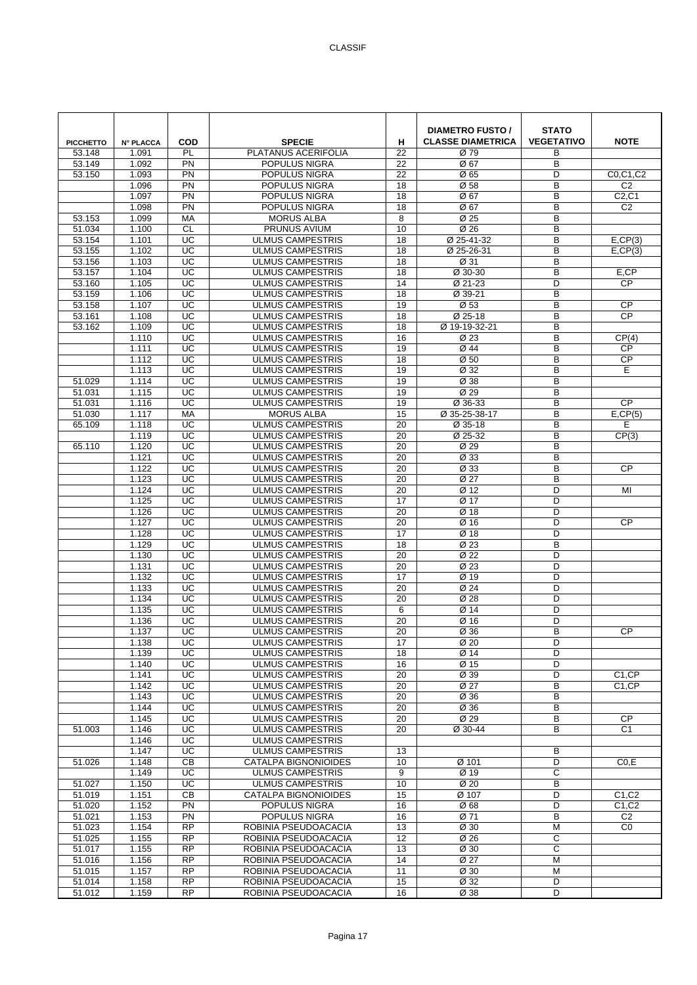| <b>PICCHETTO</b> | <b>N° PLACCA</b> | <b>COD</b>            | <b>SPECIE</b>                                      | н               | <b>DIAMETRO FUSTO /</b><br><b>CLASSE DIAMETRICA</b> | <b>STATO</b><br><b>VEGETATIVO</b> | <b>NOTE</b>                    |
|------------------|------------------|-----------------------|----------------------------------------------------|-----------------|-----------------------------------------------------|-----------------------------------|--------------------------------|
| 53.148           | 1.091            | PL                    | PLATANUS ACERIFOLIA                                | 22              | Ø 79                                                | B                                 |                                |
| 53.149           | 1.092            | PN                    | POPULUS NIGRA                                      | 22              | Ø 67                                                | B                                 |                                |
| 53.150           | 1.093            | PN                    | POPULUS NIGRA                                      | 22              | Ø 65                                                | D                                 | C0.C1.C2                       |
|                  | 1.096            | PN                    | POPULUS NIGRA                                      | 18              | Ø58                                                 | B                                 | C <sub>2</sub>                 |
|                  | 1.097            | PN                    | POPULUS NIGRA                                      | 18              | Ø 67                                                | B                                 | C2, C1                         |
|                  | 1.098            | PN                    | POPULUS NIGRA                                      | 18              | Ø 67                                                | B                                 | C <sub>2</sub>                 |
| 53.153           | 1.099            | MA                    | <b>MORUS ALBA</b>                                  | 8               | Ø 25                                                | B                                 |                                |
| 51.034           | 1.100            | CL                    | PRUNUS AVIUM                                       | 10              | $\overline{\emptyset}$ 26                           | B                                 |                                |
| 53.154           | 1.101            | UC                    | <b>ULMUS CAMPESTRIS</b>                            | 18              | Ø 25-41-32                                          | B                                 | $E,$ CP $(3)$                  |
| 53.155           | 1.102            | UC                    | <b>ULMUS CAMPESTRIS</b>                            | 18              | Ø 25-26-31                                          | B                                 | E, CP(3)                       |
| 53.156           | 1.103            | UC                    | <b>ULMUS CAMPESTRIS</b>                            | 18              | Ø 31                                                | B                                 |                                |
| 53.157<br>53.160 | 1.104<br>1.105   | UC<br>UC              | <b>ULMUS CAMPESTRIS</b><br><b>ULMUS CAMPESTRIS</b> | 18<br>14        | Ø 30-30<br>Ø 21-23                                  | B<br>D                            | E,CP<br><b>CP</b>              |
| 53.159           | 1.106            | UC                    | <b>ULMUS CAMPESTRIS</b>                            | 18              | Ø 39-21                                             | B                                 |                                |
| 53.158           | 1.107            | UC                    | <b>ULMUS CAMPESTRIS</b>                            | 19              | Ø53                                                 | B                                 | <b>CP</b>                      |
| 53.161           | 1.108            | UC                    | <b>ULMUS CAMPESTRIS</b>                            | 18              | Ø 25-18                                             | B                                 | <b>CP</b>                      |
| 53.162           | 1.109            | UC                    | <b>ULMUS CAMPESTRIS</b>                            | 18              | Ø 19-19-32-21                                       | B                                 |                                |
|                  | 1.110            | UC                    | <b>ULMUS CAMPESTRIS</b>                            | 16              | Ø 23                                                | B                                 | CP(4)                          |
|                  | 1.111            | UC                    | <b>ULMUS CAMPESTRIS</b>                            | 19              | Ø 44                                                | B                                 | <b>CP</b>                      |
|                  | 1.112            | UC                    | <b>ULMUS CAMPESTRIS</b>                            | 18              | Ø 50                                                | B                                 | <b>CP</b>                      |
|                  | 1.113            | UC                    | <b>ULMUS CAMPESTRIS</b>                            | 19              | Ø 32                                                | B                                 | Е                              |
| 51.029           | 1.114            | $\overline{UC}$       | <b>ULMUS CAMPESTRIS</b>                            | 19              | Ø 38                                                | B                                 |                                |
| 51.031           | 1.115            | UC                    | <b>ULMUS CAMPESTRIS</b>                            | 19              | Ø 29                                                | B                                 |                                |
| 51.031           | 1.116            | UC                    | <b>ULMUS CAMPESTRIS</b>                            | 19              | Ø 36-33                                             | B                                 | CP                             |
| 51.030           | 1.117            | <b>MA</b>             | <b>MORUS ALBA</b>                                  | 15              | Ø 35-25-38-17                                       | B                                 | E, CP(5)                       |
| 65.109           | 1.118            | UC                    | <b>ULMUS CAMPESTRIS</b>                            | 20              | Ø 35-18                                             | B                                 | Е                              |
|                  | 1.119            | UC                    | <b>ULMUS CAMPESTRIS</b>                            | 20              | Ø 25-32                                             | B                                 | CP(3)                          |
| 65.110           | 1.120            | UC                    | <b>ULMUS CAMPESTRIS</b>                            | 20              | Ø 29                                                | B                                 |                                |
|                  | 1.121            | UC                    | <b>ULMUS CAMPESTRIS</b>                            | 20              | Ø 33                                                | B                                 |                                |
|                  | 1.122            | UC                    | <b>ULMUS CAMPESTRIS</b>                            | 20              | Ø 33                                                | B                                 | <b>CP</b>                      |
|                  | 1.123            | UC                    | <b>ULMUS CAMPESTRIS</b>                            | 20              | Ø 27                                                | B                                 |                                |
|                  | 1.124            | UC                    | <b>ULMUS CAMPESTRIS</b>                            | 20              | Ø 12                                                | D                                 | MI                             |
|                  | 1.125            | UC                    | <b>ULMUS CAMPESTRIS</b>                            | 17              | Ø 17                                                | D                                 |                                |
|                  | 1.126<br>1.127   | UC<br>$\overline{UC}$ | <b>ULMUS CAMPESTRIS</b>                            | 20              | Ø 18<br>$\overline{\emptyset}$ 16                   | D<br>D                            | <b>CP</b>                      |
|                  | 1.128            | UC                    | <b>ULMUS CAMPESTRIS</b><br><b>ULMUS CAMPESTRIS</b> | 20<br>17        | Ø 18                                                | D                                 |                                |
|                  | 1.129            | UC                    | <b>ULMUS CAMPESTRIS</b>                            | 18              | Ø 23                                                | B                                 |                                |
|                  | 1.130            | UC                    | <b>ULMUS CAMPESTRIS</b>                            | 20              | Ø <sub>22</sub>                                     | D                                 |                                |
|                  | 1.131            | UC                    | <b>ULMUS CAMPESTRIS</b>                            | 20              | Ø 23                                                | D                                 |                                |
|                  | 1.132            | UC                    | <b>ULMUS CAMPESTRIS</b>                            | 17              | Ø 19                                                | D                                 |                                |
|                  | 1.133            | UC                    | <b>ULMUS CAMPESTRIS</b>                            | 20              | Ø 24                                                | D                                 |                                |
|                  | 1.134            | UC                    | <b>ULMUS CAMPESTRIS</b>                            | 20              | Ø 28                                                | D                                 |                                |
|                  | 1.135            | UC                    | <b>ULMUS CAMPESTRIS</b>                            | 6               | Ø 14                                                | D                                 |                                |
|                  | 1.136            | UC                    | <b>ULMUS CAMPESTRIS</b>                            | 20              | Ø 16                                                | D                                 |                                |
|                  | 1.137            | UC                    | <b>ULMUS CAMPESTRIS</b>                            | 20              | Ø 36                                                | B                                 | CP                             |
|                  | 1.138            | UC                    | <b>ULMUS CAMPESTRIS</b>                            | 17              | Ø 20                                                | D                                 |                                |
|                  | 1.139            | UC                    | <b>ULMUS CAMPESTRIS</b>                            | 18              | Ø 14                                                | D                                 |                                |
|                  | 1.140            | UC                    | <b>ULMUS CAMPESTRIS</b>                            | 16              | Ø 15                                                | D                                 |                                |
|                  | 1.141            | UC                    | <b>ULMUS CAMPESTRIS</b>                            | 20              | Ø 39                                                | D                                 | C <sub>1</sub> ,CP             |
|                  | 1.142            | UC                    | <b>ULMUS CAMPESTRIS</b>                            | 20              | Ø 27                                                | B                                 | C <sub>1</sub> ,CP             |
|                  | 1.143            | $\overline{UC}$<br>UC | <b>ULMUS CAMPESTRIS</b>                            | $\overline{20}$ | Ø 36                                                | B                                 |                                |
|                  | 1.144<br>1.145   | UC                    | <b>ULMUS CAMPESTRIS</b><br><b>ULMUS CAMPESTRIS</b> | 20<br>20        | Ø 36<br>Ø 29                                        | B<br>B                            | <b>CP</b>                      |
| 51.003           | 1.146            | UC                    | <b>ULMUS CAMPESTRIS</b>                            | 20              | Ø 30-44                                             | B                                 | C <sub>1</sub>                 |
|                  | 1.146            | $\overline{UC}$       | <b>ULMUS CAMPESTRIS</b>                            |                 |                                                     |                                   |                                |
|                  | 1.147            | $\overline{UC}$       | <b>ULMUS CAMPESTRIS</b>                            | 13              |                                                     | В                                 |                                |
| 51.026           | 1.148            | CB                    | <b>CATALPA BIGNONIOIDES</b>                        | 10              | Ø 101                                               | D                                 | CO.E                           |
|                  | 1.149            | UC                    | <b>ULMUS CAMPESTRIS</b>                            | 9               | Ø 19                                                | C                                 |                                |
| 51.027           | 1.150            | UC                    | <b>ULMUS CAMPESTRIS</b>                            | 10              | Ø 20                                                | B                                 |                                |
| 51.019           | 1.151            | $\overline{CB}$       | <b>CATALPA BIGNONIOIDES</b>                        | 15              | Ø 107                                               | D                                 | C <sub>1</sub> ,C <sub>2</sub> |
| 51.020           | 1.152            | PN                    | POPULUS NIGRA                                      | 16              | Ø68                                                 | D                                 | C <sub>1</sub> ,C <sub>2</sub> |
| 51.021           | 1.153            | PN                    | POPULUS NIGRA                                      | 16              | Ø 71                                                | B                                 | C <sub>2</sub>                 |
| 51.023           | 1.154            | <b>RP</b>             | ROBINIA PSEUDOACACIA                               | 13              | Ø 30                                                | M                                 | C <sub>0</sub>                 |
| 51.025           | 1.155            | <b>RP</b>             | ROBINIA PSEUDOACACIA                               | 12              | Ø 26                                                | C                                 |                                |
| 51.017           | 1.155            | <b>RP</b>             | ROBINIA PSEUDOACACIA                               | 13              | Ø 30                                                | C                                 |                                |
| 51.016           | 1.156            | <b>RP</b>             | ROBINIA PSEUDOACACIA                               | 14              | $\overline{\emptyset}$ 27                           | $\overline{M}$                    |                                |
| 51.015           | 1.157            | <b>RP</b>             | ROBINIA PSEUDOACACIA                               | 11              | Ø 30                                                | М                                 |                                |
| 51.014           | 1.158            | <b>RP</b>             | ROBINIA PSEUDOACACIA                               | 15              | Ø 32                                                | D                                 |                                |
| 51.012           | 1.159            | <b>RP</b>             | ROBINIA PSEUDOACACIA                               | 16              | Ø 38                                                | D                                 |                                |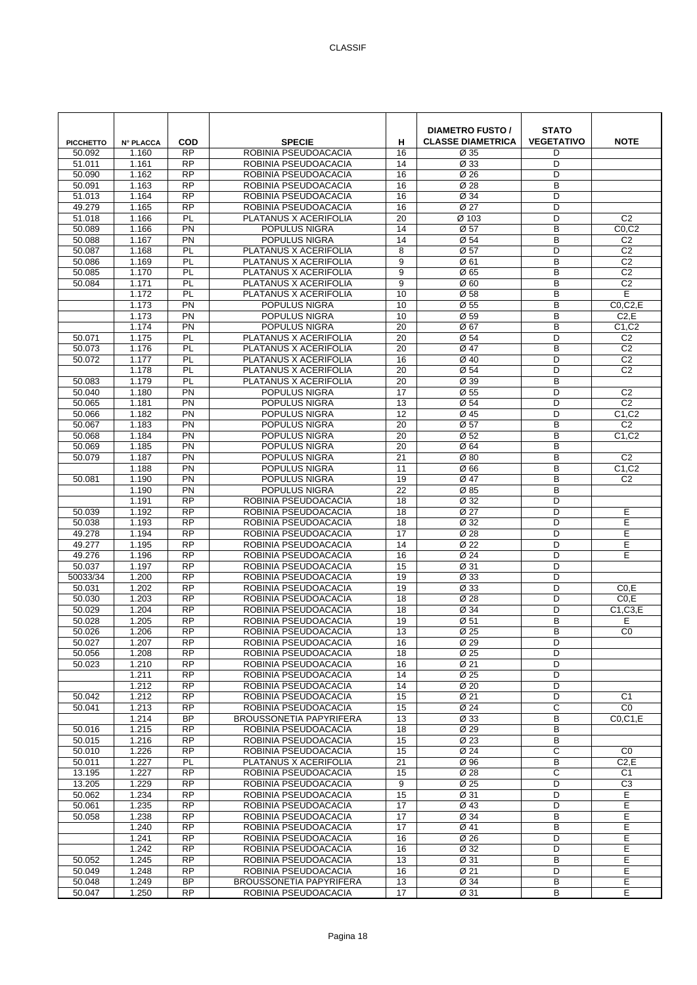| <b>PICCHETTO</b> | <b>N° PLACCA</b> | <b>COD</b>                   | <b>SPECIE</b>                                          | н        | <b>DIAMETRO FUSTO /</b><br><b>CLASSE DIAMETRICA</b> | <b>STATO</b><br><b>VEGETATIVO</b> | <b>NOTE</b>                  |
|------------------|------------------|------------------------------|--------------------------------------------------------|----------|-----------------------------------------------------|-----------------------------------|------------------------------|
| 50.092           | 1.160            | <b>RP</b>                    | ROBINIA PSEUDOACACIA                                   | 16       | Ø 35                                                | D                                 |                              |
| 51.011           | 1.161            | <b>RP</b><br>$\overline{RP}$ | ROBINIA PSEUDOACACIA<br>ROBINIA PSEUDOACACIA           | 14       | Ø 33                                                | D<br>D                            |                              |
| 50.090<br>50.091 | 1.162<br>1.163   | RP                           | ROBINIA PSEUDOACACIA                                   | 16<br>16 | Ø 26<br>Ø 28                                        | B                                 |                              |
| 51.013           | 1.164            | <b>RP</b>                    | ROBINIA PSEUDOACACIA                                   | 16       | Ø 34                                                | D                                 |                              |
| 49.279           | 1.165            | <b>RP</b>                    | ROBINIA PSEUDOACACIA                                   | 16       | Ø 27                                                | D                                 |                              |
| 51.018           | 1.166            | PL                           | PLATANUS X ACERIFOLIA                                  | 20       | Ø 103                                               | D                                 | C <sub>2</sub>               |
| 50.089           | 1.166            | PN                           | POPULUS NIGRA                                          | 14       | $\overline{\emptyset}$ 57                           | B                                 | CO, C2                       |
| 50.088           | 1.167            | $\overline{PN}$              | <b>POPULUS NIGRA</b>                                   | 14       | Ø 54                                                | B                                 | C <sub>2</sub>               |
| 50.087           | 1.168            | PL                           | PLATANUS X ACERIFOLIA                                  | 8        | Ø 57                                                | D                                 | C <sub>2</sub>               |
| 50.086           | 1.169            | PL                           | PLATANUS X ACERIFOLIA                                  | 9        | Ø 61                                                | B                                 | C <sub>2</sub>               |
| 50.085           | 1.170            | PL                           | PLATANUS X ACERIFOLIA                                  | 9        | Ø 65                                                | B                                 | C <sub>2</sub>               |
| 50.084           | 1.171            | PL                           | PLATANUS X ACERIFOLIA                                  | 9        | Ø <sub>60</sub>                                     | B                                 | C <sub>2</sub>               |
|                  | 1.172            | PL                           | PLATANUS X ACERIFOLIA                                  | 10       | Ø 58                                                | B                                 | Ε                            |
|                  | 1.173<br>1.173   | PN<br>PN                     | POPULUS NIGRA<br>POPULUS NIGRA                         | 10<br>10 | Ø 55<br>Ø 59                                        | B<br>B                            | $CO$ , $C$ $2$ , $E$<br>C2,E |
|                  | 1.174            | <b>PN</b>                    | POPULUS NIGRA                                          | 20       | Ø 67                                                | B                                 | C1, C2                       |
| 50.071           | 1.175            | PL                           | PLATANUS X ACERIFOLIA                                  | 20       | Ø 54                                                | D                                 | C <sub>2</sub>               |
| 50.073           | 1.176            | PL                           | PLATANUS X ACERIFOLIA                                  | 20       | Ø 47                                                | B                                 | C <sub>2</sub>               |
| 50.072           | 1.177            | PL                           | PLATANUS X ACERIFOLIA                                  | 16       | Ø 40                                                | D                                 | C <sub>2</sub>               |
|                  | 1.178            | PL                           | PLATANUS X ACERIFOLIA                                  | 20       | Ø 54                                                | D                                 | C <sub>2</sub>               |
| 50.083           | 1.179            | PL                           | PLATANUS X ACERIFOLIA                                  | 20       | Ø 39                                                | B                                 |                              |
| 50.040           | 1.180            | PN                           | POPULUS NIGRA                                          | 17       | Ø 55                                                | D                                 | C <sub>2</sub>               |
| 50.065           | 1.181            | PN                           | POPULUS NIGRA                                          | 13       | Ø 54                                                | D                                 | C <sub>2</sub>               |
| 50.066           | 1.182            | PN                           | POPULUS NIGRA                                          | 12       | Ø 45                                                | D                                 | C1, C2                       |
| 50.067           | 1.183            | <b>PN</b>                    | POPULUS NIGRA                                          | 20       | Ø 57                                                | B                                 | C <sub>2</sub>               |
| 50.068           | 1.184            | <b>PN</b>                    | POPULUS NIGRA                                          | 20       | Ø 52                                                | B                                 | C1.C2                        |
| 50.069           | 1.185            | <b>PN</b>                    | POPULUS NIGRA                                          | 20       | Ø 64                                                | B                                 |                              |
| 50.079           | 1.187            | <b>PN</b><br>$\overline{PN}$ | POPULUS NIGRA                                          | 21       | Ø80                                                 | B                                 | C <sub>2</sub>               |
| 50.081           | 1.188<br>1.190   | PN                           | POPULUS NIGRA<br>POPULUS NIGRA                         | 11<br>19 | Ø66<br>Ø 47                                         | B<br>B                            | C1, C2<br>C <sub>2</sub>     |
|                  | 1.190            | PN                           | POPULUS NIGRA                                          | 22       | Ø 85                                                | B                                 |                              |
|                  | 1.191            | $\overline{RP}$              | ROBINIA PSEUDOACACIA                                   | 18       | Ø 32                                                | D                                 |                              |
| 50.039           | 1.192            | $\overline{RP}$              | ROBINIA PSEUDOACACIA                                   | 18       | Ø 27                                                | D                                 | Е                            |
| 50.038           | 1.193            | RP                           | ROBINIA PSEUDOACACIA                                   | 18       | Ø 32                                                | D                                 | E                            |
| 49.278           | 1.194            | <b>RP</b>                    | ROBINIA PSEUDOACACIA                                   | 17       | Ø 28                                                | D                                 | E                            |
| 49.277           | 1.195            | <b>RP</b>                    | ROBINIA PSEUDOACACIA                                   | 14       | Ø 22                                                | D                                 | Е                            |
| 49.276           | 1.196            | <b>RP</b>                    | ROBINIA PSEUDOACACIA                                   | 16       | Ø 24                                                | D                                 | E                            |
| 50.037           | 1.197            | $\overline{RP}$              | ROBINIA PSEUDOACACIA                                   | 15       | Ø 31                                                | D                                 |                              |
| 50033/34         | 1.200            | $\overline{RP}$<br><b>RP</b> | ROBINIA PSEUDOACACIA                                   | 19       | Ø 33                                                | D                                 |                              |
| 50.031<br>50.030 | 1.202<br>1.203   | <b>RP</b>                    | ROBINIA PSEUDOACACIA<br>ROBINIA PSEUDOACACIA           | 19<br>18 | Ø 33<br>Ø 28                                        | D<br>D                            | CO.E<br>CO.E                 |
| 50.029           | 1.204            | <b>RP</b>                    | ROBINIA PSEUDOACACIA                                   | 18       | Ø 34                                                | D                                 | C1,C3,E                      |
| 50.028           | 1.205            | <b>RP</b>                    | ROBINIA PSEUDOACACIA                                   | 19       | Ø 51                                                | B                                 | Е                            |
| 50.026           | 1.206            | <b>RP</b>                    | ROBINIA PSEUDOACACIA                                   | 13       | Ø 25                                                | B                                 | CO                           |
| 50.027           | 1.207            | <b>RP</b>                    | ROBINIA PSEUDOACACIA                                   | 16       | Ø 29                                                | D                                 |                              |
| 50.056           | 1.208            | <b>RP</b>                    | ROBINIA PSEUDOACACIA                                   | 18       | Ø 25                                                | D                                 |                              |
| 50.023           | 1.210            | <b>RP</b>                    | ROBINIA PSEUDOACACIA                                   | 16       | Ø 21                                                | D                                 |                              |
|                  | 1.211            | <b>RP</b>                    | ROBINIA PSEUDOACACIA                                   | 14       | Ø 25                                                | D                                 |                              |
|                  | 1.212            | <b>RP</b>                    | ROBINIA PSEUDOACACIA                                   | 14       | Ø 20                                                | D                                 |                              |
| 50.042           | 1.212            | $\overline{RP}$              | ROBINIA PSEUDOACACIA                                   | 15       | Ø 21                                                | D                                 | C <sub>1</sub>               |
| 50.041           | 1.213            | <b>RP</b><br><b>BP</b>       | ROBINIA PSEUDOACACIA<br><b>BROUSSONETIA PAPYRIFERA</b> | 15       | Ø 24                                                | C                                 | C0<br>C0.C1.E                |
| 50.016           | 1.214<br>1.215   | <b>RP</b>                    | ROBINIA PSEUDOACACIA                                   | 13<br>18 | Ø 33<br>Ø 29                                        | B<br>В                            |                              |
| 50.015           | 1.216            | $\overline{RP}$              | ROBINIA PSEUDOACACIA                                   | 15       | Ø 23                                                | B                                 |                              |
| 50.010           | 1.226            | RP                           | ROBINIA PSEUDOACACIA                                   | 15       | Ø 24                                                | С                                 | C <sub>0</sub>               |
| 50.011           | 1.227            | PL.                          | PLATANUS X ACERIFOLIA                                  | 21       | Ø 96                                                | В                                 | C2, E                        |
| 13.195           | 1.227            | <b>RP</b>                    | ROBINIA PSEUDOACACIA                                   | 15       | Ø 28                                                | C                                 | C1                           |
| 13.205           | 1.229            | <b>RP</b>                    | ROBINIA PSEUDOACACIA                                   | 9        | Ø 25                                                | D                                 | C <sub>3</sub>               |
| 50.062           | 1.234            | <b>RP</b>                    | ROBINIA PSEUDOACACIA                                   | 15       | Ø 31                                                | D                                 | Е                            |
| 50.061           | 1.235            | $\overline{RP}$              | ROBINIA PSEUDOACACIA                                   | 17       | Ø 43                                                | D                                 | Е                            |
| 50.058           | 1.238            | <b>RP</b>                    | ROBINIA PSEUDOACACIA                                   | 17       | Ø 34                                                | B                                 | E                            |
|                  | 1.240            | <b>RP</b>                    | ROBINIA PSEUDOACACIA                                   | 17       | Ø 41                                                | B                                 | $\overline{E}$               |
|                  | 1.241            | <b>RP</b>                    | ROBINIA PSEUDOACACIA                                   | 16       | Ø 26                                                | D                                 | E                            |
| 50.052           | 1.242<br>1.245   | <b>RP</b><br>$\overline{RP}$ | ROBINIA PSEUDOACACIA<br>ROBINIA PSEUDOACACIA           | 16<br>13 | Ø 32<br>Ø 31                                        | D<br>B                            | E<br>E                       |
| 50.049           | 1.248            | <b>RP</b>                    | ROBINIA PSEUDOACACIA                                   | 16       | Ø 21                                                | D                                 | Е                            |
| 50.048           | 1.249            | <b>BP</b>                    | <b>BROUSSONETIA PAPYRIFERA</b>                         | 13       | Ø 34                                                | В                                 | Е                            |
| 50.047           | 1.250            | <b>RP</b>                    | ROBINIA PSEUDOACACIA                                   | 17       | Ø 31                                                | B                                 | E                            |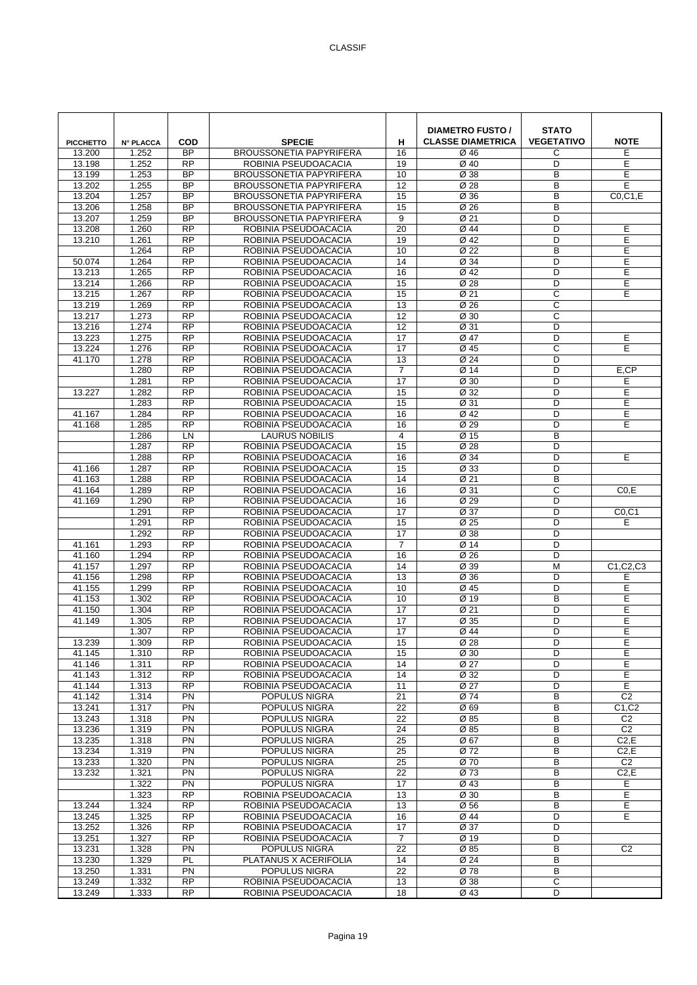| <b>PICCHETTO</b> | <b>N° PLACCA</b> | <b>COD</b>             | <b>SPECIE</b>                                | н               | <b>DIAMETRO FUSTO /</b><br><b>CLASSE DIAMETRICA</b> | <b>STATO</b><br><b>VEGETATIVO</b> | <b>NOTE</b>     |
|------------------|------------------|------------------------|----------------------------------------------|-----------------|-----------------------------------------------------|-----------------------------------|-----------------|
| 13.200           | 1.252            | <b>BP</b>              | <b>BROUSSONETIA PAPYRIFERA</b>               | 16              | Ø 46                                                | С                                 | Е               |
| 13.198           | 1.252            | <b>RP</b>              | ROBINIA PSEUDOACACIA                         | 19              | Ø 40                                                | D                                 | E               |
| 13.199           | 1.253            | <b>BP</b>              | <b>BROUSSONETIA PAPYRIFERA</b>               | 10              | Ø 38                                                | B                                 | E               |
| 13.202           | 1.255            | <b>BP</b>              | <b>BROUSSONETIA PAPYRIFERA</b>               | 12              | Ø 28                                                | B                                 | E               |
| 13.204           | 1.257            | <b>BP</b>              | <b>BROUSSONETIA PAPYRIFERA</b>               | 15              | Ø 36                                                | B                                 | CO, C1, E       |
| 13.206           | 1.258            | <b>BP</b>              | <b>BROUSSONETIA PAPYRIFERA</b>               | 15              | Ø 26                                                | B                                 |                 |
| 13.207           | 1.259            | <b>BP</b>              | <b>BROUSSONETIA PAPYRIFERA</b>               | 9               | Ø 21                                                | D                                 |                 |
| 13.208           | 1.260            | <b>RP</b>              | ROBINIA PSEUDOACACIA                         | 20              | Ø 44                                                | D                                 | E               |
| 13.210           | 1.261            | <b>RP</b>              | ROBINIA PSEUDOACACIA                         | 19              | Ø 42                                                | D                                 | Ε               |
|                  | 1.264            | <b>RP</b>              | ROBINIA PSEUDOACACIA                         | 10              | Ø 22                                                | B                                 | E               |
| 50.074           | 1.264            | <b>RP</b>              | ROBINIA PSEUDOACACIA                         | 14              | Ø 34                                                | D                                 | Е               |
| 13.213           | 1.265<br>1.266   | <b>RP</b><br>RP        | ROBINIA PSEUDOACACIA                         | 16<br>15        | Ø 42                                                | D<br>D                            | E<br>E          |
| 13.214<br>13.215 | 1.267            | <b>RP</b>              | ROBINIA PSEUDOACACIA<br>ROBINIA PSEUDOACACIA | 15              | Ø 28<br>Ø 21                                        | C                                 | E               |
| 13.219           | 1.269            | <b>RP</b>              | ROBINIA PSEUDOACACIA                         | 13              | Ø 26                                                | C                                 |                 |
| 13.217           | 1.273            | <b>RP</b>              | ROBINIA PSEUDOACACIA                         | 12              | Ø 30                                                | C                                 |                 |
| 13.216           | 1.274            | <b>RP</b>              | ROBINIA PSEUDOACACIA                         | 12              | Ø 31                                                | D                                 |                 |
| 13.223           | 1.275            | <b>RP</b>              | ROBINIA PSEUDOACACIA                         | 17              | Ø 47                                                | D                                 | Ε               |
| 13.224           | 1.276            | <b>RP</b>              | ROBINIA PSEUDOACACIA                         | 17              | Ø 45                                                | С                                 | E               |
| 41.170           | 1.278            | <b>RP</b>              | ROBINIA PSEUDOACACIA                         | 13              | Ø 24                                                | D                                 |                 |
|                  | 1.280            | <b>RP</b>              | ROBINIA PSEUDOACACIA                         | $\overline{7}$  | Ø 14                                                | D                                 | E,CP            |
|                  | 1.281            | <b>RP</b>              | ROBINIA PSEUDOACACIA                         | 17              | Ø 30                                                | D                                 | E               |
| 13.227           | 1.282            | <b>RP</b>              | ROBINIA PSEUDOACACIA                         | 15              | Ø 32                                                | D                                 | Ε               |
|                  | 1.283            | <b>RP</b>              | ROBINIA PSEUDOACACIA                         | 15              | Ø 31                                                | D                                 | E               |
| 41.167           | 1.284            | $\overline{RP}$        | ROBINIA PSEUDOACACIA                         | 16              | Ø 42                                                | D                                 | E               |
| 41.168           | 1.285            | <b>RP</b>              | ROBINIA PSEUDOACACIA                         | 16              | Ø 29                                                | D                                 | E               |
|                  | 1.286            | LN                     | LAURUS NOBILIS                               | $\overline{4}$  | Ø 15                                                | B                                 |                 |
|                  | 1.287            | <b>RP</b>              | ROBINIA PSEUDOACACIA                         | 15              | Ø 28                                                | D                                 |                 |
|                  | 1.288            | <b>RP</b>              | ROBINIA PSEUDOACACIA                         | 16              | Ø 34                                                | D                                 | E               |
| 41.166           | 1.287            | $\overline{RP}$        | ROBINIA PSEUDOACACIA                         | 15              | Ø 33                                                | D                                 |                 |
| 41.163           | 1.288            | <b>RP</b>              | ROBINIA PSEUDOACACIA                         | 14              | Ø 21                                                | B                                 |                 |
| 41.164           | 1.289            | <b>RP</b>              | ROBINIA PSEUDOACACIA                         | 16              | Ø 31                                                | C                                 | CO.E            |
| 41.169           | 1.290            | <b>RP</b>              | ROBINIA PSEUDOACACIA                         | 16              | Ø 29                                                | D                                 |                 |
|                  | 1.291            | <b>RP</b>              | ROBINIA PSEUDOACACIA                         | 17              | Ø 37                                                | D                                 | CO, C1          |
|                  | 1.291            | $\overline{RP}$        | ROBINIA PSEUDOACACIA                         | 15              | $\overline{\emptyset}$ 25                           | D                                 | E               |
|                  | 1.292            | <b>RP</b>              | ROBINIA PSEUDOACACIA                         | 17              | Ø 38                                                | D                                 |                 |
| 41.161           | 1.293            | <b>RP</b>              | ROBINIA PSEUDOACACIA                         | $\overline{7}$  | Ø 14                                                | D                                 |                 |
| 41.160           | 1.294            | <b>RP</b><br><b>RP</b> | ROBINIA PSEUDOACACIA                         | 16<br>14        | Ø 26                                                | D<br>M                            |                 |
| 41.157<br>41.156 | 1.297<br>1.298   | <b>RP</b>              | ROBINIA PSEUDOACACIA<br>ROBINIA PSEUDOACACIA | 13              | Ø 39<br>Ø 36                                        | D                                 | C1, C2, C3<br>Е |
| 41.155           | 1.299            | <b>RP</b>              | ROBINIA PSEUDOACACIA                         | 10              | Ø 45                                                | D                                 | Ε               |
| 41.153           | 1.302            | <b>RP</b>              | ROBINIA PSEUDOACACIA                         | 10              | Ø 19                                                | B                                 | E               |
| 41.150           | 1.304            | <b>RP</b>              | ROBINIA PSEUDOACACIA                         | 17              | Ø 21                                                | D                                 | Ε               |
| 41.149           | 1.305            | <b>RP</b>              | ROBINIA PSEUDOACACIA                         | 17              | Ø 35                                                | D                                 | E               |
|                  | 1.307            | $\overline{RP}$        | ROBINIA PSEUDOACACIA                         | 17              | Ø 44                                                | D                                 | E               |
| 13.239           | 1.309            | <b>RP</b>              | ROBINIA PSEUDOACACIA                         | 15              | Ø 28                                                | D                                 | Ε               |
| 41.145           | 1.310            | <b>RP</b>              | ROBINIA PSEUDOACACIA                         | 15              | Ø 30                                                | D                                 | E               |
| 41.146           | 1.311            | <b>RP</b>              | ROBINIA PSEUDOACACIA                         | 14              | Ø 27                                                | D                                 | Ε               |
| 41.143           | 1.312            | <b>RP</b>              | ROBINIA PSEUDOACACIA                         | 14              | Ø 32                                                | D                                 | Ε               |
| 41.144           | 1.313            | <b>RP</b>              | ROBINIA PSEUDOACACIA                         | 11              | Ø 27                                                | D                                 | E               |
| 41.142           | 1.314            | $\overline{PN}$        | POPULUS NIGRA                                | $\overline{21}$ | Ø 74                                                | B                                 | C <sub>2</sub>  |
| 13.241           | 1.317            | PN                     | POPULUS NIGRA                                | 22              | Ø69                                                 | B                                 | C1, C2          |
| 13.243           | 1.318            | PN                     | POPULUS NIGRA                                | 22              | Ø 85                                                | B                                 | C <sub>2</sub>  |
| 13.236           | 1.319            | PN                     | POPULUS NIGRA                                | 24              | Ø 85                                                | B                                 | C <sub>2</sub>  |
| 13.235           | 1.318            | PN                     | POPULUS NIGRA                                | 25              | Ø 67                                                | B                                 | C2, E           |
| 13.234           | 1.319            | $\overline{PN}$        | POPULUS NIGRA                                | 25              | Ø 72                                                | B                                 | C2, E           |
| 13.233<br>13.232 | 1.320            | <b>PN</b>              | POPULUS NIGRA                                | 25              | Ø 70                                                | B                                 | C <sub>2</sub>  |
|                  | 1.321<br>1.322   | PN<br><b>PN</b>        | POPULUS NIGRA<br>POPULUS NIGRA               | 22<br>17        | Ø 73<br>Ø 43                                        | В<br>В                            | C2,E<br>E       |
|                  | 1.323            | $\overline{RP}$        | ROBINIA PSEUDOACACIA                         | 13              | Ø 30                                                | B                                 | E               |
| 13.244           | 1.324            | <b>RP</b>              | ROBINIA PSEUDOACACIA                         | 13              | Ø 56                                                | B                                 | Е               |
| 13.245           | 1.325            | <b>RP</b>              | ROBINIA PSEUDOACACIA                         | 16              | Ø 44                                                | D                                 | E               |
| 13.252           | 1.326            | <b>RP</b>              | ROBINIA PSEUDOACACIA                         | 17              | Ø 37                                                | D                                 |                 |
| 13.251           | 1.327            | <b>RP</b>              | ROBINIA PSEUDOACACIA                         | $\overline{7}$  | Ø 19                                                | D                                 |                 |
| 13.231           | 1.328            | PN                     | POPULUS NIGRA                                | $\overline{22}$ | Ø 85                                                | B                                 | C <sub>2</sub>  |
| 13.230           | 1.329            | PL                     | PLATANUS X ACERIFOLIA                        | 14              | Ø24                                                 | B                                 |                 |
| 13.250           | 1.331            | PN                     | POPULUS NIGRA                                | 22              | Ø 78                                                | B                                 |                 |
| 13.249           | 1.332            | <b>RP</b>              | ROBINIA PSEUDOACACIA                         | 13              | Ø 38                                                | C                                 |                 |
| 13.249           | 1.333            | <b>RP</b>              | ROBINIA PSEUDOACACIA                         | 18              | Ø 43                                                | D                                 |                 |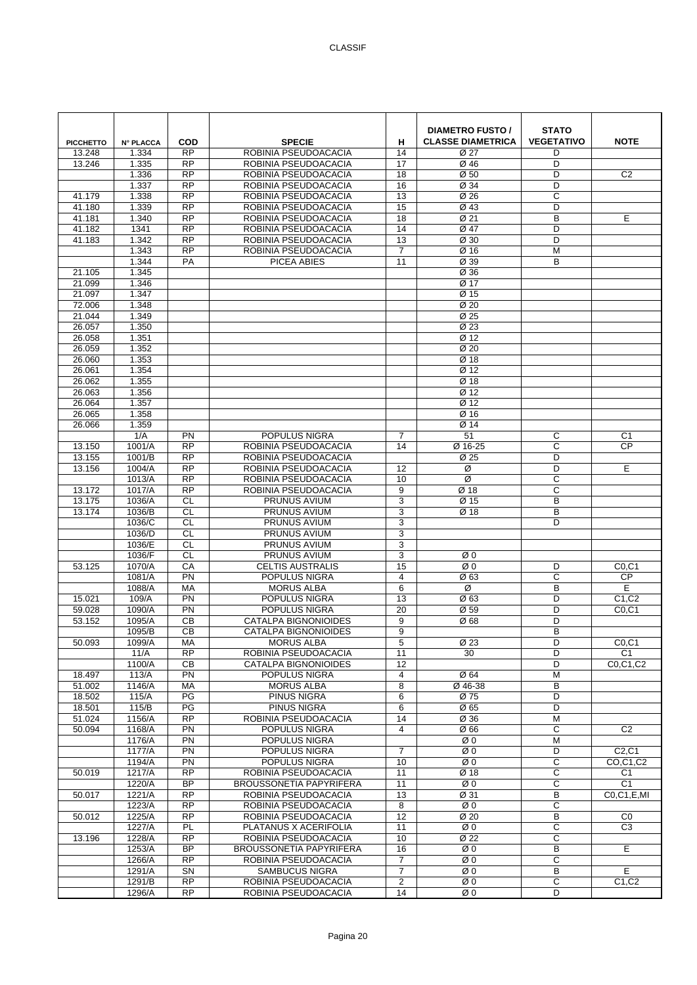| <b>PICCHETTO</b> | <b>N° PLACCA</b> | COD<br><b>RP</b>             | <b>SPECIE</b>                                 | н                             | <b>DIAMETRO FUSTO /</b><br><b>CLASSE DIAMETRICA</b> | <b>STATO</b><br><b>VEGETATIVO</b> | <b>NOTE</b>                              |
|------------------|------------------|------------------------------|-----------------------------------------------|-------------------------------|-----------------------------------------------------|-----------------------------------|------------------------------------------|
| 13.248<br>13.246 | 1.334<br>1.335   | <b>RP</b>                    | ROBINIA PSEUDOACACIA<br>ROBINIA PSEUDOACACIA  | 14<br>17                      | Ø 27<br>Ø 46                                        | D<br>D                            |                                          |
|                  | 1.336            | <b>RP</b>                    | ROBINIA PSEUDOACACIA                          | 18                            | Ø <sub>50</sub>                                     | D                                 | C <sub>2</sub>                           |
|                  | 1.337            | <b>RP</b>                    | ROBINIA PSEUDOACACIA                          | 16                            | Ø 34                                                | D                                 |                                          |
| 41.179           | 1.338            | <b>RP</b>                    | ROBINIA PSEUDOACACIA                          | 13                            | Ø 26                                                | C                                 |                                          |
| 41.180           | 1.339            | <b>RP</b>                    | ROBINIA PSEUDOACACIA                          | 15                            | Ø 43                                                | D                                 |                                          |
| 41.181           | 1.340            | <b>RP</b>                    | ROBINIA PSEUDOACACIA                          | 18                            | Ø 21                                                | B                                 | E                                        |
| 41.182           | 1341             | RP                           | ROBINIA PSEUDOACACIA                          | 14                            | Ø 47                                                | D                                 |                                          |
| 41.183           | 1.342            | <b>RP</b>                    | ROBINIA PSEUDOACACIA                          | $\overline{13}$               | Ø 30                                                | D                                 |                                          |
|                  | 1.343            | <b>RP</b>                    | ROBINIA PSEUDOACACIA                          | $\overline{7}$                | Ø 16                                                | M                                 |                                          |
| 21.105           | 1.344<br>1.345   | PA                           | PICEA ABIES                                   | 11                            | Ø 39<br>Ø 36                                        | B                                 |                                          |
| 21.099           | 1.346            |                              |                                               |                               | Ø 17                                                |                                   |                                          |
| 21.097           | 1.347            |                              |                                               |                               | Ø 15                                                |                                   |                                          |
| 72.006           | 1.348            |                              |                                               |                               | Ø <sub>20</sub>                                     |                                   |                                          |
| 21.044           | 1.349            |                              |                                               |                               | Ø 25                                                |                                   |                                          |
| 26.057           | 1.350            |                              |                                               |                               | Ø 23                                                |                                   |                                          |
| 26.058           | 1.351            |                              |                                               |                               | Ø 12                                                |                                   |                                          |
| 26.059           | 1.352            |                              |                                               |                               | Ø <sub>20</sub>                                     |                                   |                                          |
| 26.060           | 1.353            |                              |                                               |                               | Ø 18                                                |                                   |                                          |
| 26.061<br>26.062 | 1.354<br>1.355   |                              |                                               |                               | Ø 12<br>Ø 18                                        |                                   |                                          |
| 26.063           | 1.356            |                              |                                               |                               | Ø 12                                                |                                   |                                          |
| 26.064           | 1.357            |                              |                                               |                               | Ø 12                                                |                                   |                                          |
| 26.065           | 1.358            |                              |                                               |                               | Ø 16                                                |                                   |                                          |
| 26.066           | 1.359            |                              |                                               |                               | Ø 14                                                |                                   |                                          |
|                  | 1/A              | <b>PN</b>                    | POPULUS NIGRA                                 | $\overline{7}$                | 51                                                  | С                                 | C <sub>1</sub>                           |
| 13.150           | 1001/A           | <b>RP</b>                    | ROBINIA PSEUDOACACIA                          | 14                            | Ø 16-25                                             | C                                 | <b>CP</b>                                |
| 13.155           | 1001/B           | <b>RP</b>                    | ROBINIA PSEUDOACACIA                          |                               | Ø 25                                                | D                                 |                                          |
| 13.156           | 1004/A           | $\overline{RP}$              | ROBINIA PSEUDOACACIA                          | 12                            | Ø                                                   | D                                 | E                                        |
|                  | 1013/A           | <b>RP</b>                    | ROBINIA PSEUDOACACIA                          | 10                            | Ø                                                   | C                                 |                                          |
| 13.172           | 1017/A<br>1036/A | <b>RP</b><br><b>CL</b>       | ROBINIA PSEUDOACACIA<br><b>PRUNUS AVIUM</b>   | 9                             | Ø 18                                                | C<br>B                            |                                          |
| 13.175<br>13.174 | 1036/B           | CL                           | PRUNUS AVIUM                                  | 3<br>3                        | Ø 15<br>Ø 18                                        | B                                 |                                          |
|                  | 1036/C           | <b>CL</b>                    | <b>PRUNUS AVIUM</b>                           | 3                             |                                                     | D                                 |                                          |
|                  | 1036/D           | <b>CL</b>                    | PRUNUS AVIUM                                  | 3                             |                                                     |                                   |                                          |
|                  | 1036/E           | <b>CL</b>                    | <b>PRUNUS AVIUM</b>                           | 3                             |                                                     |                                   |                                          |
|                  | 1036/F           | <b>CL</b>                    | PRUNUS AVIUM                                  | 3                             | ØΟ                                                  |                                   |                                          |
| 53.125           | 1070/A           | CA                           | <b>CELTIS AUSTRALIS</b>                       | 15                            | Ø0                                                  | D                                 | CO, C1                                   |
|                  | 1081/A           | PN                           | POPULUS NIGRA                                 | $\overline{4}$                | Ø63                                                 | C                                 | $\overline{CP}$                          |
|                  | 1088/A           | MA                           | <b>MORUS ALBA</b>                             | 6                             | Ø                                                   | B                                 | E                                        |
| 15.021<br>59.028 | 109/A<br>1090/A  | PN<br>PN                     | POPULUS NIGRA<br>POPULUS NIGRA                | 13<br>20                      | Ø63<br>Ø 59                                         | D<br>D                            | C <sub>1</sub> ,C <sub>2</sub><br>CO, C1 |
| 53.152           | 1095/A           | <b>CB</b>                    | <b>CATALPA BIGNONIOIDES</b>                   | 9                             | Ø68                                                 | D                                 |                                          |
|                  | 1095/B           | CВ                           | <b>CATALPA BIGNONIOIDES</b>                   | 9                             |                                                     | B                                 |                                          |
| 50.093           | 1099/A           | МA                           | <b>MORUS ALBA</b>                             | 5                             | Ø 23                                                | D                                 | CO, C1                                   |
|                  | 11/A             | <b>RP</b>                    | ROBINIA PSEUDOACACIA                          | 11                            | 30                                                  | D                                 | C <sub>1</sub>                           |
|                  | 1100/A           | <b>CB</b>                    | <b>CATALPA BIGNONIOIDES</b>                   | 12                            |                                                     | D                                 | C0,C1,C2                                 |
| 18.497           | 113/A            | PN                           | POPULUS NIGRA                                 | $\overline{4}$                | Ø 64                                                | M                                 |                                          |
| 51.002           | 1146/A           | MA                           | <b>MORUS ALBA</b>                             | 8                             | Ø 46-38                                             | B                                 |                                          |
| 18.502           | 115/A            | PG                           | <b>PINUS NIGRA</b>                            | 6                             | Ø 75                                                | D<br>D                            |                                          |
| 18.501<br>51.024 | 115/B<br>1156/A  | PG<br><b>RP</b>              | PINUS NIGRA<br>ROBINIA PSEUDOACACIA           | 6<br>14                       | Ø 65<br>Ø 36                                        | M                                 |                                          |
| 50.094           | 1168/A           | <b>PN</b>                    | POPULUS NIGRA                                 | $\overline{4}$                | Ø 66                                                | С                                 | C <sub>2</sub>                           |
|                  | 1176/A           | $\overline{PN}$              | POPULUS NIGRA                                 |                               | ØΟ                                                  | M                                 |                                          |
|                  | 1177/A           | PN                           | POPULUS NIGRA                                 | $\overline{7}$                | ØΟ                                                  | D                                 | C2, C1                                   |
|                  | 1194/A           | PN                           | POPULUS NIGRA                                 | 10                            | ØΟ                                                  | C                                 | CO.C1.C2                                 |
| 50.019           | 1217/A           | <b>RP</b>                    | ROBINIA PSEUDOACACIA                          | 11                            | Ø 18                                                | C                                 | C <sub>1</sub>                           |
|                  | 1220/A           | <b>BP</b>                    | <b>BROUSSONETIA PAPYRIFERA</b>                | 11                            | ØΟ                                                  | C                                 | C <sub>1</sub>                           |
| 50.017           | 1221/A           | <b>RP</b>                    | ROBINIA PSEUDOACACIA                          | 13                            | Ø 31                                                | B                                 | CO, C1, E, MI                            |
| 50.012           | 1223/A<br>1225/A | $\overline{RP}$<br><b>RP</b> | ROBINIA PSEUDOACACIA                          | $\overline{\mathbf{8}}$<br>12 | $\overline{\emptyset}$ 0<br>Ø <sub>20</sub>         | С<br>B                            | CO                                       |
|                  | 1227/A           | PL                           | ROBINIA PSEUDOACACIA<br>PLATANUS X ACERIFOLIA | 11                            | ØΟ                                                  | С                                 | C <sub>3</sub>                           |
| 13.196           | 1228/A           | <b>RP</b>                    | ROBINIA PSEUDOACACIA                          | 10                            | Ø 22                                                | C                                 |                                          |
|                  | 1253/A           | <b>BP</b>                    | <b>BROUSSONETIA PAPYRIFERA</b>                | 16                            | ØΟ                                                  | В                                 | E                                        |
|                  | 1266/A           | $\overline{RP}$              | ROBINIA PSEUDOACACIA                          | $\overline{7}$                | ØΟ                                                  | C                                 |                                          |
|                  | 1291/A           | <b>SN</b>                    | SAMBUCUS NIGRA                                | $\overline{7}$                | ØΟ                                                  | В                                 | E                                        |
|                  | 1291/B           | <b>RP</b>                    | ROBINIA PSEUDOACACIA                          | $\overline{c}$                | ØΟ                                                  | C                                 | C1, C2                                   |
|                  | 1296/A           | <b>RP</b>                    | ROBINIA PSEUDOACACIA                          | 14                            | ØΟ                                                  | D                                 |                                          |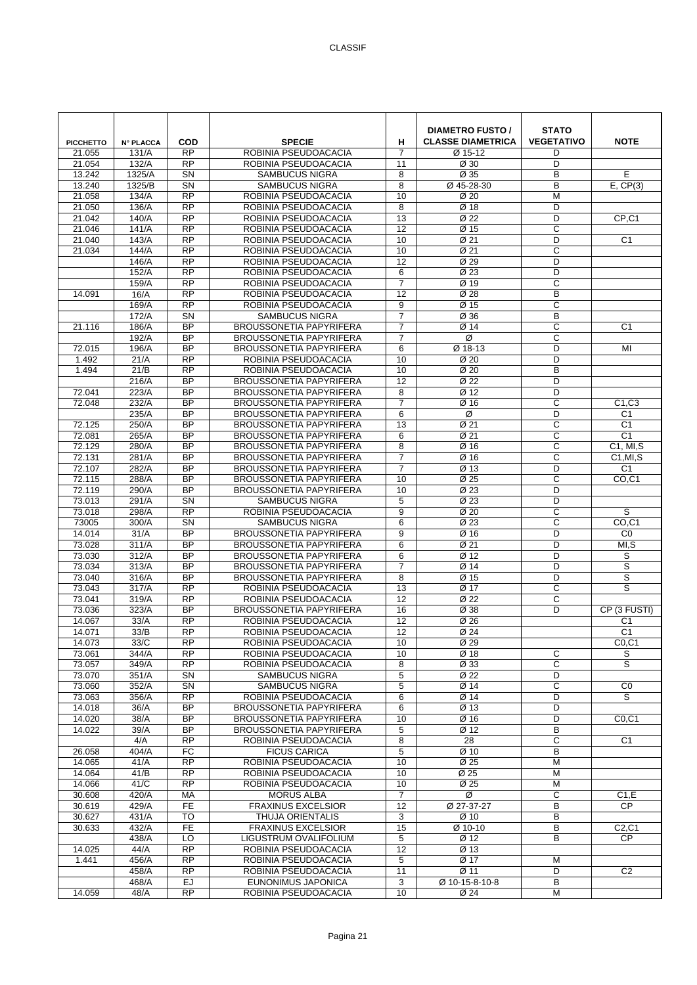| <b>PICCHETTO</b> | <b>N° PLACCA</b> | <b>COD</b>                          | <b>SPECIE</b>                                                    | н                                 | <b>DIAMETRO FUSTO /</b><br><b>CLASSE DIAMETRICA</b> | <b>STATO</b><br><b>VEGETATIVO</b> | <b>NOTE</b>                    |
|------------------|------------------|-------------------------------------|------------------------------------------------------------------|-----------------------------------|-----------------------------------------------------|-----------------------------------|--------------------------------|
| 21.055           | 131/A            | <b>RP</b>                           | ROBINIA PSEUDOACACIA                                             | $\overline{7}$                    | Ø 15-12                                             | D                                 |                                |
| 21.054           | 132/A            | <b>RP</b>                           | ROBINIA PSEUDOACACIA                                             | 11                                | Ø 30                                                | D                                 |                                |
| 13.242<br>13.240 | 1325/A<br>1325/B | $\overline{\text{SN}}$<br><b>SN</b> | SAMBUCUS NIGRA<br><b>SAMBUCUS NIGRA</b>                          | 8<br>8                            | Ø 35<br>Ø 45-28-30                                  | B<br>B                            | E<br>E, CP(3)                  |
| 21.058           | 134/A            | <b>RP</b>                           | ROBINIA PSEUDOACACIA                                             | 10                                | Ø 20                                                | M                                 |                                |
| 21.050           | 136/A            | <b>RP</b>                           | ROBINIA PSEUDOACACIA                                             | 8                                 | Ø 18                                                | D                                 |                                |
| 21.042           | 140/A            | <b>RP</b>                           | ROBINIA PSEUDOACACIA                                             | 13                                | Ø 22                                                | D                                 | CP,C1                          |
| 21.046           | 141/A            | $\overline{RP}$                     | ROBINIA PSEUDOACACIA                                             | $\overline{12}$                   | Ø 15                                                | C                                 |                                |
| 21.040           | 143/A            | RP                                  | ROBINIA PSEUDOACACIA                                             | 10                                | $\overline{\emptyset}$ 21                           | D                                 | $\overline{C1}$                |
| 21.034           | 144/A            | <b>RP</b>                           | ROBINIA PSEUDOACACIA                                             | 10                                | Ø 21                                                | $\overline{c}$                    |                                |
|                  | 146/A            | <b>RP</b>                           | ROBINIA PSEUDOACACIA                                             | 12                                | Ø 29                                                | D                                 |                                |
|                  | 152/A            | <b>RP</b><br>RP                     | ROBINIA PSEUDOACACIA                                             | 6                                 | Ø 23                                                | D                                 |                                |
| 14.091           | 159/A<br>16/A    | $\overline{RP}$                     | ROBINIA PSEUDOACACIA<br>ROBINIA PSEUDOACACIA                     | $\overline{7}$<br>$\overline{12}$ | Ø 19<br>Ø 28                                        | C<br>B                            |                                |
|                  | 169/A            | <b>RP</b>                           | ROBINIA PSEUDOACACIA                                             | 9                                 | Ø 15                                                | $\mathsf{C}$                      |                                |
|                  | 172/A            | SN                                  | <b>SAMBUCUS NIGRA</b>                                            | $\overline{7}$                    | Ø 36                                                | B                                 |                                |
| 21.116           | 186/A            | <b>BP</b>                           | BROUSSONETIA PAPYRIFERA                                          | $\overline{7}$                    | Ø 14                                                | C                                 | C <sub>1</sub>                 |
|                  | 192/A            | <b>BP</b>                           | <b>BROUSSONETIA PAPYRIFERA</b>                                   | $\overline{7}$                    | Ø                                                   | C                                 |                                |
| 72.015           | 196/A            | $\overline{BP}$                     | <b>BROUSSONETIA PAPYRIFERA</b>                                   | 6                                 | Ø 18-13                                             | D                                 | $\overline{M}$                 |
| 1.492            | 21/A             | <b>RP</b>                           | ROBINIA PSEUDOACACIA                                             | 10                                | Ø 20                                                | D                                 |                                |
| 1.494            | 21/B             | <b>RP</b>                           | ROBINIA PSEUDOACACIA                                             | 10                                | Ø <sub>20</sub>                                     | B                                 |                                |
|                  | 216/A            | <b>BP</b>                           | BROUSSONETIA PAPYRIFERA                                          | 12                                | Ø 22                                                | D                                 |                                |
| 72.041           | 223/A            | <b>BP</b><br><b>BP</b>              | <b>BROUSSONETIA PAPYRIFERA</b>                                   | 8<br>$\overline{7}$               | Ø 12<br>Ø 16                                        | D<br>C                            |                                |
| 72.048           | 232/A<br>235/A   | <b>BP</b>                           | <b>BROUSSONETIA PAPYRIFERA</b><br><b>BROUSSONETIA PAPYRIFERA</b> | 6                                 | Ø                                                   | D                                 | C1.C3<br>C <sub>1</sub>        |
| 72.125           | 250/A            | <b>BP</b>                           | <b>BROUSSONETIA PAPYRIFERA</b>                                   | 13                                | Ø 21                                                | C                                 | C <sub>1</sub>                 |
| 72.081           | 265/A            | <b>BP</b>                           | <b>BROUSSONETIA PAPYRIFERA</b>                                   | 6                                 | Ø 21                                                | C                                 | C <sub>1</sub>                 |
| 72.129           | 280/A            | <b>BP</b>                           | <b>BROUSSONETIA PAPYRIFERA</b>                                   | 8                                 | Ø 16                                                | C                                 | C1, MI, S                      |
| 72.131           | 281/A            | <b>BP</b>                           | <b>BROUSSONETIA PAPYRIFERA</b>                                   | $\overline{7}$                    | Ø 16                                                | C                                 | C1, MI, S                      |
| 72.107           | 282/A            | <b>BP</b>                           | <b>BROUSSONETIA PAPYRIFERA</b>                                   | $\overline{7}$                    | Ø 13                                                | D                                 | C <sub>1</sub>                 |
| 72.115           | 288/A            | <b>BP</b>                           | <b>BROUSSONETIA PAPYRIFERA</b>                                   | 10                                | Ø 25                                                | C                                 | CO <sub>.</sub> C <sub>1</sub> |
| 72.119           | 290/A            | <b>BP</b>                           | <b>BROUSSONETIA PAPYRIFERA</b>                                   | 10                                | Ø 23                                                | D                                 |                                |
| 73.013           | 291/A            | <b>SN</b><br>$\overline{RP}$        | <b>SAMBUCUS NIGRA</b>                                            | 5                                 | Ø 23                                                | D                                 | S                              |
| 73.018<br>73005  | 298/A<br>300/A   | <b>SN</b>                           | ROBINIA PSEUDOACACIA<br><b>SAMBUCUS NIGRA</b>                    | 9<br>6                            | Ø 20<br>Ø 23                                        | C<br>$\overline{C}$               | CO, C1                         |
| 14.014           | 31/A             | <b>BP</b>                           | <b>BROUSSONETIA PAPYRIFERA</b>                                   | 9                                 | Ø 16                                                | D                                 | CO                             |
| 73.028           | 311/A            | $\overline{BP}$                     | <b>BROUSSONETIA PAPYRIFERA</b>                                   | 6                                 | $\overline{\emptyset}$ 21                           | D                                 | MI, S                          |
| 73.030           | 312/A            | <b>BP</b>                           | <b>BROUSSONETIA PAPYRIFERA</b>                                   | 6                                 | $\overline{\emptyset}$ 12                           | D                                 | S                              |
| 73.034           | 313/A            | <b>BP</b>                           | <b>BROUSSONETIA PAPYRIFERA</b>                                   | $\overline{7}$                    | Ø 14                                                | D                                 | $\mathbb S$                    |
| 73.040           | 316/A            | <b>BP</b>                           | <b>BROUSSONETIA PAPYRIFERA</b>                                   | 8                                 | Ø 15                                                | D                                 | S                              |
| 73.043           | 317/A            | <b>RP</b>                           | ROBINIA PSEUDOACACIA                                             | 13                                | Ø 17                                                | C                                 | S                              |
| 73.041           | 319/A            | <b>RP</b>                           | ROBINIA PSEUDOACACIA                                             | 12                                | Ø 22                                                | C                                 |                                |
| 73.036<br>14.067 | 323/A<br>33/A    | <b>BP</b><br>RP                     | <b>BROUSSONETIA PAPYRIFERA</b><br>ROBINIA PSEUDOACACIA           | 16<br>12                          | Ø 38<br>Ø 26                                        | D                                 | CP (3 FUSTI)<br>C <sub>1</sub> |
| 14.071           | 33/B             | <b>RP</b>                           | ROBINIA PSEUDOACACIA                                             | 12                                | Ø 24                                                |                                   | C <sub>1</sub>                 |
| 14.073           | 33/C             | <b>RP</b>                           | ROBINIA PSEUDOACACIA                                             | 10                                | Ø 29                                                |                                   | CO, C1                         |
| 73.061           | 344/A            | <b>RP</b>                           | ROBINIA PSEUDOACACIA                                             | 10                                | Ø 18                                                | С                                 | S                              |
| 73.057           | 349/A            | $\overline{RP}$                     | ROBINIA PSEUDOACACIA                                             | 8                                 | Ø 33                                                | $\overline{c}$                    | S                              |
| 73.070           | 351/A            | SN                                  | <b>SAMBUCUS NIGRA</b>                                            | 5                                 | Ø 22                                                | D                                 |                                |
| 73.060           | 352/A            | SN                                  | SAMBUCUS NIGRA                                                   | 5                                 | Ø 14                                                | $\mathsf C$                       | CO                             |
| 73.063           | 356/A            | $\overline{RP}$                     | ROBINIA PSEUDOACACIA                                             | 6                                 | Ø 14                                                | D                                 | S                              |
| 14.018<br>14.020 | 36/A<br>38/A     | <b>BP</b><br>$\overline{BP}$        | <b>BROUSSONETIA PAPYRIFERA</b><br><b>BROUSSONETIA PAPYRIFERA</b> | 6<br>10                           | Ø 13<br>Ø 16                                        | D<br>D                            | CO, C1                         |
| 14.022           | 39/A             | BP                                  | <b>BROUSSONETIA PAPYRIFERA</b>                                   | 5                                 | Ø 12                                                | B                                 |                                |
|                  | 4/A              | <b>RP</b>                           | ROBINIA PSEUDOACACIA                                             | 8                                 | 28                                                  | С                                 | C <sub>1</sub>                 |
| 26.058           | 404/A            | FC                                  | <b>FICUS CARICA</b>                                              | 5                                 | Ø 10                                                | В                                 |                                |
| 14.065           | 41/A             | <b>RP</b>                           | ROBINIA PSEUDOACACIA                                             | 10                                | Ø 25                                                | M                                 |                                |
| 14.064           | 41/B             | $\overline{RP}$                     | ROBINIA PSEUDOACACIA                                             | 10                                | Ø 25                                                | M                                 |                                |
| 14.066           | 41/C             | RP                                  | ROBINIA PSEUDOACACIA                                             | 10                                | Ø 25                                                | M                                 |                                |
| 30.608           | 420/A            | MA                                  | <b>MORUS ALBA</b>                                                | $\overline{7}$                    | Ø                                                   | C                                 | C1,E                           |
| 30.619           | 429/A            | <b>FE</b><br><b>TO</b>              | <b>FRAXINUS EXCELSIOR</b>                                        | 12<br>3                           | Ø 27-37-27                                          | В<br>B                            | <b>CP</b>                      |
| 30.627<br>30.633 | 431/A<br>432/A   | FE                                  | THUJA ORIENTALIS<br><b>FRAXINUS EXCELSIOR</b>                    | 15                                | Ø 10<br>Ø 10-10                                     | В                                 | C2, C1                         |
|                  | 438/A            | LO                                  | LIGUSTRUM OVALIFOLIUM                                            | 5                                 | Ø 12                                                | B                                 | <b>CP</b>                      |
| 14.025           | 44/A             | <b>RP</b>                           | ROBINIA PSEUDOACACIA                                             | 12                                | Ø 13                                                |                                   |                                |
| 1.441            | 456/A            | <b>RP</b>                           | ROBINIA PSEUDOACACIA                                             | 5                                 | Ø 17                                                | М                                 |                                |
|                  | 458/A            | <b>RP</b>                           | ROBINIA PSEUDOACACIA                                             | 11                                | Ø 11                                                | D                                 | C <sub>2</sub>                 |
|                  | 468/A            | EJ                                  | EUNONIMUS JAPONICA                                               | 3                                 | Ø 10-15-8-10-8                                      | В                                 |                                |
| 14.059           | 48/A             | $\overline{RP}$                     | ROBINIA PSEUDOACACIA                                             | 10                                | Ø 24                                                | М                                 |                                |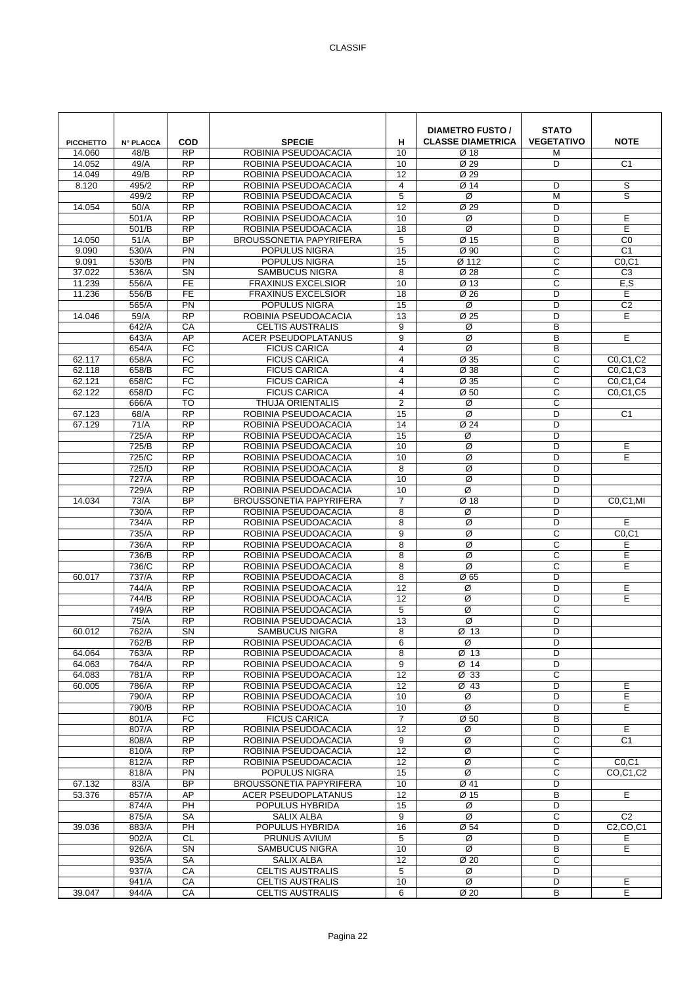| <b>PICCHETTO</b> | <b>N° PLACCA</b> | <b>COD</b>                   | <b>SPECIE</b>                                   | н                   | <b>DIAMETRO FUSTO /</b><br><b>CLASSE DIAMETRICA</b> | <b>STATO</b><br><b>VEGETATIVO</b> | <b>NOTE</b>                                      |
|------------------|------------------|------------------------------|-------------------------------------------------|---------------------|-----------------------------------------------------|-----------------------------------|--------------------------------------------------|
| 14.060           | 48/B             | <b>RP</b>                    | ROBINIA PSEUDOACACIA                            | 10                  | Ø 18                                                | М                                 |                                                  |
| 14.052           | 49/A             | <b>RP</b>                    | ROBINIA PSEUDOACACIA                            | 10                  | Ø 29                                                | D                                 | C <sub>1</sub>                                   |
| 14.049           | 49/B             | $\overline{RP}$              | ROBINIA PSEUDOACACIA                            | 12                  | Ø 29                                                |                                   |                                                  |
| 8.120            | 495/2            | $\overline{RP}$<br><b>RP</b> | ROBINIA PSEUDOACACIA                            | $\overline{4}$<br>5 | Ø 14<br>Ø                                           | D<br>M                            | s<br>S                                           |
| 14.054           | 499/2<br>50/A    | <b>RP</b>                    | ROBINIA PSEUDOACACIA<br>ROBINIA PSEUDOACACIA    | 12                  | Ø 29                                                | D                                 |                                                  |
|                  | 501/A            | <b>RP</b>                    | ROBINIA PSEUDOACACIA                            | 10                  | Ø                                                   | D                                 | Е                                                |
|                  | 501/B            | $\overline{RP}$              | ROBINIA PSEUDOACACIA                            | 18                  | Ø                                                   | D                                 | Е                                                |
| 14.050           | 51/A             | $\overline{BP}$              | <b>BROUSSONETIA PAPYRIFERA</b>                  | 5                   | Ø 15                                                | B                                 | $\overline{C}$                                   |
| 9.090            | 530/A            | <b>PN</b>                    | POPULUS NIGRA                                   | 15                  | Ø 90                                                | C                                 | C <sub>1</sub>                                   |
| 9.091            | 530/B            | <b>PN</b>                    | POPULUS NIGRA                                   | 15                  | Ø 112                                               | C                                 | CO, C1                                           |
| 37.022           | 536/A            | SN                           | <b>SAMBUCUS NIGRA</b>                           | 8                   | Ø 28                                                | C                                 | C <sub>3</sub>                                   |
| 11.239           | 556/A            | $\overline{FE}$              | <b>FRAXINUS EXCELSIOR</b>                       | 10                  | Ø 13                                                | C                                 | E, S                                             |
| 11.236           | 556/B            | $\overline{FE}$              | <b>FRAXINUS EXCELSIOR</b>                       | $\overline{18}$     | $\overline{\emptyset}$ 26                           | D                                 | Е                                                |
|                  | 565/A            | PN<br><b>RP</b>              | POPULUS NIGRA                                   | 15                  | Ø                                                   | D<br>D                            | C <sub>2</sub>                                   |
| 14.046           | 59/A<br>642/A    | CA                           | ROBINIA PSEUDOACACIA<br><b>CELTIS AUSTRALIS</b> | 13<br>9             | Ø 25<br>Ø                                           | B                                 | Е                                                |
|                  | 643/A            | AP                           | <b>ACER PSEUDOPLATANUS</b>                      | 9                   | Ø                                                   | B                                 | E                                                |
|                  | 654/A            | $\overline{FC}$              | <b>FICUS CARICA</b>                             | $\overline{4}$      | Ø                                                   | B                                 |                                                  |
| 62.117           | 658/A            | <b>FC</b>                    | <b>FICUS CARICA</b>                             | $\overline{4}$      | Ø 35                                                | C                                 | C0.C1.C2                                         |
| 62.118           | 658/B            | FC                           | <b>FICUS CARICA</b>                             | $\overline{4}$      | Ø 38                                                | C                                 | C0,C1,C3                                         |
| 62.121           | 658/C            | FC                           | <b>FICUS CARICA</b>                             | 4                   | Ø 35                                                | C                                 | C0,C1,C4                                         |
| 62.122           | 658/D            | FC                           | <b>FICUS CARICA</b>                             | $\overline{4}$      | Ø <sub>50</sub>                                     | C                                 | C0,C1,C5                                         |
|                  | 666/A            | <b>TO</b>                    | THUJA ORIENTALIS                                | $\overline{2}$      | Ø                                                   | C                                 |                                                  |
| 67.123           | 68/A             | $\overline{RP}$              | ROBINIA PSEUDOACACIA                            | 15                  | Ø                                                   | D                                 | C <sub>1</sub>                                   |
| 67.129           | 71/A             | <b>RP</b>                    | ROBINIA PSEUDOACACIA                            | 14                  | Ø 24                                                | D                                 |                                                  |
|                  | 725/A            | <b>RP</b>                    | ROBINIA PSEUDOACACIA                            | 15                  | Ø                                                   | D                                 |                                                  |
|                  | 725/B<br>725/C   | <b>RP</b><br>$\overline{RP}$ | ROBINIA PSEUDOACACIA<br>ROBINIA PSEUDOACACIA    | 10<br>10            | Ø<br>Ø                                              | D<br>D                            | Е<br>E                                           |
|                  | 725/D            | $\overline{RP}$              | ROBINIA PSEUDOACACIA                            | 8                   | Ø                                                   | D                                 |                                                  |
|                  | 727/A            | <b>RP</b>                    | ROBINIA PSEUDOACACIA                            | 10                  | Ø                                                   | D                                 |                                                  |
|                  | 729/A            | <b>RP</b>                    | ROBINIA PSEUDOACACIA                            | 10                  | Ø                                                   | D                                 |                                                  |
| 14.034           | 73/A             | <b>BP</b>                    | <b>BROUSSONETIA PAPYRIFERA</b>                  | $\overline{7}$      | Ø 18                                                | D                                 | C0,C1,MI                                         |
|                  | 730/A            | $\overline{RP}$              | ROBINIA PSEUDOACACIA                            | 8                   | Ø                                                   | D                                 |                                                  |
|                  | 734/A            | <b>RP</b>                    | ROBINIA PSEUDOACACIA                            | 8                   | Ø                                                   | D                                 | E                                                |
|                  | 735/A            | <b>RP</b>                    | ROBINIA PSEUDOACACIA                            | 9                   | Ø                                                   | C                                 | CO, C1                                           |
|                  | 736/A            | <b>RP</b>                    | ROBINIA PSEUDOACACIA                            | 8                   | Ø                                                   | C                                 | Е                                                |
|                  | 736/B            | <b>RP</b>                    | ROBINIA PSEUDOACACIA                            | 8                   | Ø                                                   | C                                 | E                                                |
| 60.017           | 736/C<br>737/A   | $\overline{RP}$<br><b>RP</b> | ROBINIA PSEUDOACACIA                            | 8                   | Ø<br>Ø65                                            | C<br>D                            | E                                                |
|                  | 744/A            | <b>RP</b>                    | ROBINIA PSEUDOACACIA<br>ROBINIA PSEUDOACACIA    | 8<br>12             | Ø                                                   | D                                 | Е                                                |
|                  | 744/B            | <b>RP</b>                    | ROBINIA PSEUDOACACIA                            | 12                  | Ø                                                   | D                                 | E                                                |
|                  | 749/A            | <b>RP</b>                    | ROBINIA PSEUDOACACIA                            | 5                   | Ø                                                   | C                                 |                                                  |
|                  | 75/A             | <b>RP</b>                    | ROBINIA PSEUDOACACIA                            | 13                  | Ø                                                   | D                                 |                                                  |
| 60.012           | 762/A            | SN                           | SAMBUCUS NIGRA                                  | 8                   | Ø 13                                                | D                                 |                                                  |
|                  | 762/B            | <b>RP</b>                    | ROBINIA PSEUDOACACIA                            | 6                   | Ø                                                   | D                                 |                                                  |
| 64.064           | 763/A            | <b>RP</b>                    | ROBINIA PSEUDOACACIA                            | 8                   | Ø 13                                                | D                                 |                                                  |
| 64.063           | 764/A            | <b>RP</b>                    | ROBINIA PSEUDOACACIA                            | 9                   | Ø 14                                                | D                                 |                                                  |
| 64.083           | 781/A            | <b>RP</b>                    | ROBINIA PSEUDOACACIA                            | 12                  | Ø 33                                                | C                                 |                                                  |
| 60.005           | 786/A            | <b>RP</b><br>$\overline{RP}$ | ROBINIA PSEUDOACACIA                            | 12                  | Ø 43<br>Ø                                           | D<br>D                            | Е<br>E                                           |
|                  | 790/A<br>790/B   | <b>RP</b>                    | ROBINIA PSEUDOACACIA<br>ROBINIA PSEUDOACACIA    | 10<br>10            | Ø                                                   | D                                 | E                                                |
|                  | 801/A            | FC                           | <b>FICUS CARICA</b>                             | $\overline{7}$      | Ø 50                                                | B                                 |                                                  |
|                  | 807/A            | <b>RP</b>                    | ROBINIA PSEUDOACACIA                            | 12                  | Ø                                                   | D                                 | E                                                |
|                  | 808/A            | <b>RP</b>                    | ROBINIA PSEUDOACACIA                            | 9                   | Ø                                                   | C                                 | C <sub>1</sub>                                   |
|                  | 810/A            | $\overline{RP}$              | ROBINIA PSEUDOACACIA                            | $\overline{12}$     | Ø                                                   | C                                 |                                                  |
|                  | 812/A            | <b>RP</b>                    | ROBINIA PSEUDOACACIA                            | 12                  | Ø                                                   | C                                 | CO, C1                                           |
|                  | 818/A            | PN                           | POPULUS NIGRA                                   | 15                  | Ø                                                   | C                                 | CO.C1.C2                                         |
| 67.132           | 83/A             | <b>BP</b>                    | BROUSSONETIA PAPYRIFERA                         | 10                  | Ø 41                                                | D                                 |                                                  |
| 53.376           | 857/A            | AP                           | <b>ACER PSEUDOPLATANUS</b>                      | 12                  | Ø 15                                                | B                                 | E                                                |
|                  | 874/A<br>875/A   | $\overline{PH}$<br><b>SA</b> | POPULUS HYBRIDA                                 | 15<br>9             | Ø<br>Ø                                              | D<br>C                            | C <sub>2</sub>                                   |
| 39.036           | 883/A            | PH                           | SALIX ALBA<br>POPULUS HYBRIDA                   | 16                  | Ø 54                                                | D                                 | C <sub>2</sub> , C <sub>O</sub> , C <sub>1</sub> |
|                  | 902/A            | <b>CL</b>                    | PRUNUS AVIUM                                    | 5                   | Ø                                                   | D                                 | Е                                                |
|                  | 926/A            | <b>SN</b>                    | <b>SAMBUCUS NIGRA</b>                           | 10                  | Ø                                                   | B                                 | E                                                |
|                  | 935/A            | <b>SA</b>                    | SALIX ALBA                                      | 12                  | Ø 20                                                | C                                 |                                                  |
|                  | 937/A            | СA                           | <b>CELTIS AUSTRALIS</b>                         | 5                   | Ø                                                   | D                                 |                                                  |
|                  | 941/A            | CA                           | <b>CELTIS AUSTRALIS</b>                         | 10                  | Ø                                                   | D                                 | Е                                                |
| 39.047           | 944/A            | CA                           | <b>CELTIS AUSTRALIS</b>                         | 6                   | Ø 20                                                | B                                 | E                                                |